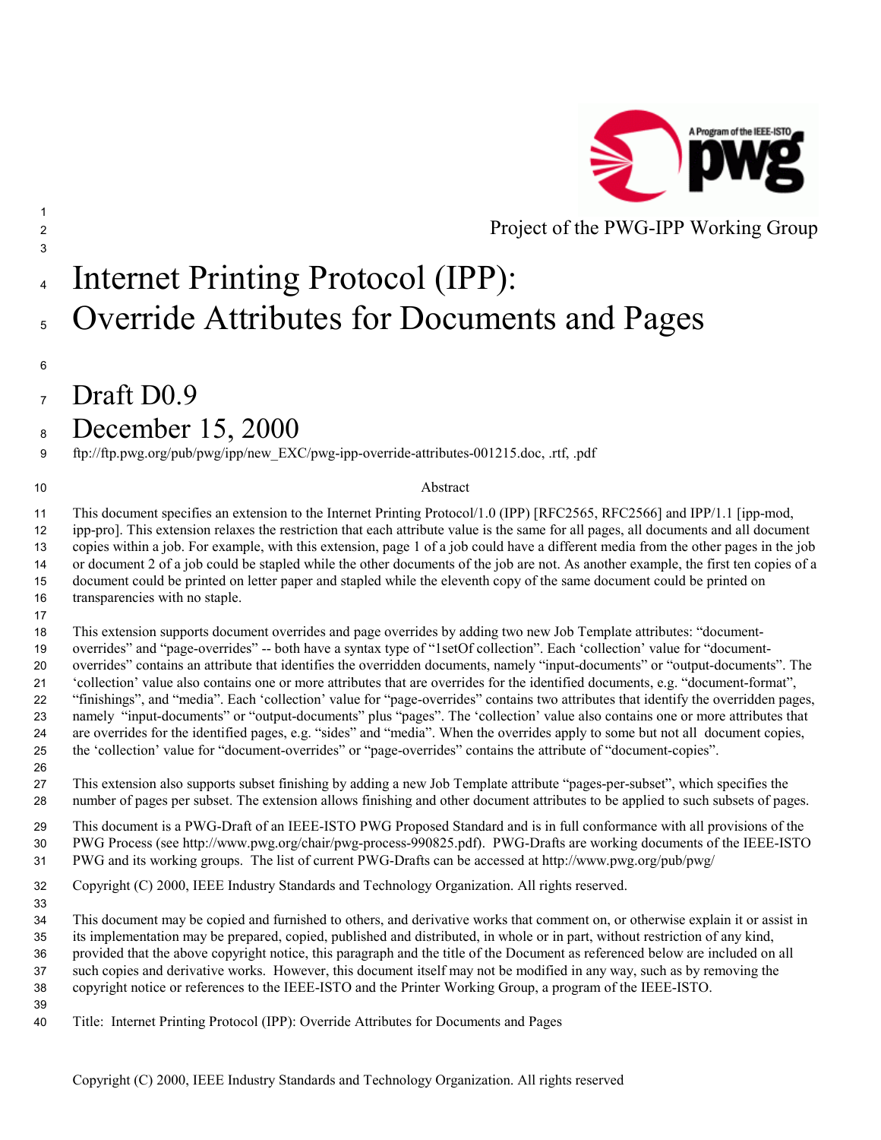

# 4 Internet Printing Protocol (IPP): 5 Override Attributes for Documents and Pages

 $Draft D0.9$ 

## December 15, 2000

ftp://ftp.pwg.org/pub/pwg/ipp/new\_EXC/pwg-ipp-override-attributes-001215.doc, .rtf, .pdf

#### 10 Abstract

This document specifies an extension to the Internet Printing Protocol/1.0 (IPP) [RFC2565, RFC2566] and IPP/1.1 [ipp-mod, ipp-pro]. This extension relaxes the restriction that each attribute value is the same for all pages, all documents and all document copies within a job. For example, with this extension, page 1 of a job could have a different media from the other pages in the job or document 2 of a job could be stapled while the other documents of the job are not. As another example, the first ten copies of a document could be printed on letter paper and stapled while the eleventh copy of the same document could be printed on transparencies with no staple.

This extension supports document overrides and page overrides by adding two new Job Template attributes: "document-overrides" and "page-overrides" -- both have a syntax type of "1setOf collection". Each 'collection' value for "document-overrides" contains an attribute that identifies the overridden documents, namely "input-documents" or "output-documents". The 'collection' value also contains one or more attributes that are overrides for the identified documents, e.g. "document-format", "finishings", and "media". Each 'collection' value for "page-overrides" contains two attributes that identify the overridden pages, namely "input-documents" or "output-documents" plus "pages". The 'collection' value also contains one or more attributes that are overrides for the identified pages, e.g. "sides" and "media". When the overrides apply to some but not all document copies, the 'collection' value for "document-overrides" or "page-overrides" contains the attribute of "document-copies".

This extension also supports subset finishing by adding a new Job Template attribute "pages-per-subset", which specifies the number of pages per subset. The extension allows finishing and other document attributes to be applied to such subsets of pages.

This document is a PWG-Draft of an IEEE-ISTO PWG Proposed Standard and is in full conformance with all provisions of the PWG Process (see http://www.pwg.org/chair/pwg-process-990825.pdf). PWG-Drafts are working documents of the IEEE-ISTO PWG and its working groups. The list of current PWG-Drafts can be accessed at http://www.pwg.org/pub/pwg/

Copyright (C) 2000, IEEE Industry Standards and Technology Organization. All rights reserved.

This document may be copied and furnished to others, and derivative works that comment on, or otherwise explain it or assist in its implementation may be prepared, copied, published and distributed, in whole or in part, without restriction of any kind, provided that the above copyright notice, this paragraph and the title of the Document as referenced below are included on all such copies and derivative works. However, this document itself may not be modified in any way, such as by removing the copyright notice or references to the IEEE-ISTO and the Printer Working Group, a program of the IEEE-ISTO.

Title: Internet Printing Protocol (IPP): Override Attributes for Documents and Pages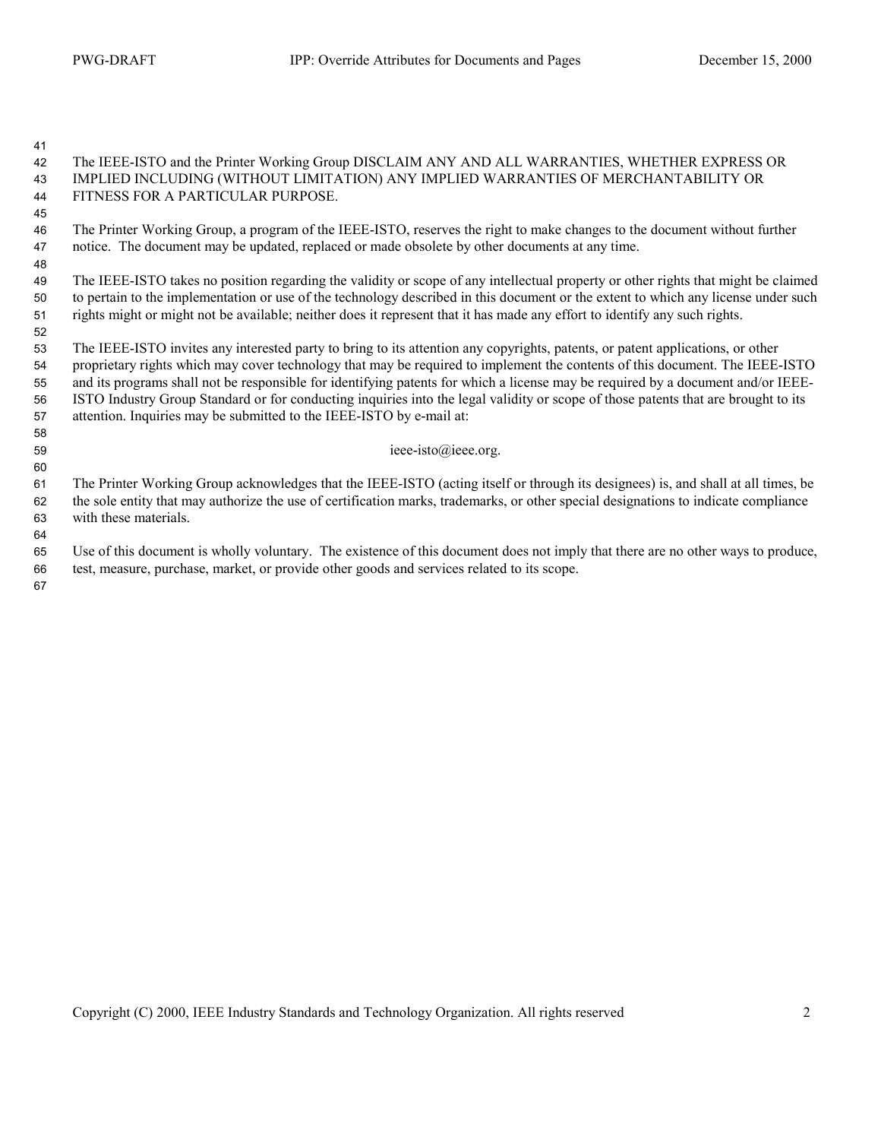#### The IEEE-ISTO and the Printer Working Group DISCLAIM ANY AND ALL WARRANTIES, WHETHER EXPRESS OR IMPLIED INCLUDING (WITHOUT LIMITATION) ANY IMPLIED WARRANTIES OF MERCHANTABILITY OR FITNESS FOR A PARTICULAR PURPOSE.

The Printer Working Group, a program of the IEEE-ISTO, reserves the right to make changes to the document without further notice. The document may be updated, replaced or made obsolete by other documents at any time.

The IEEE-ISTO takes no position regarding the validity or scope of any intellectual property or other rights that might be claimed to pertain to the implementation or use of the technology described in this document or the extent to which any license under such rights might or might not be available; neither does it represent that it has made any effort to identify any such rights. 

The IEEE-ISTO invites any interested party to bring to its attention any copyrights, patents, or patent applications, or other proprietary rights which may cover technology that may be required to implement the contents of this document. The IEEE-ISTO and its programs shall not be responsible for identifying patents for which a license may be required by a document and/or IEEE-ISTO Industry Group Standard or for conducting inquiries into the legal validity or scope of those patents that are brought to its attention. Inquiries may be submitted to the IEEE-ISTO by e-mail at:

ieee-isto $@$ ieee.org.

The Printer Working Group acknowledges that the IEEE-ISTO (acting itself or through its designees) is, and shall at all times, be the sole entity that may authorize the use of certification marks, trademarks, or other special designations to indicate compliance with these materials.

Use of this document is wholly voluntary. The existence of this document does not imply that there are no other ways to produce, test, measure, purchase, market, or provide other goods and services related to its scope.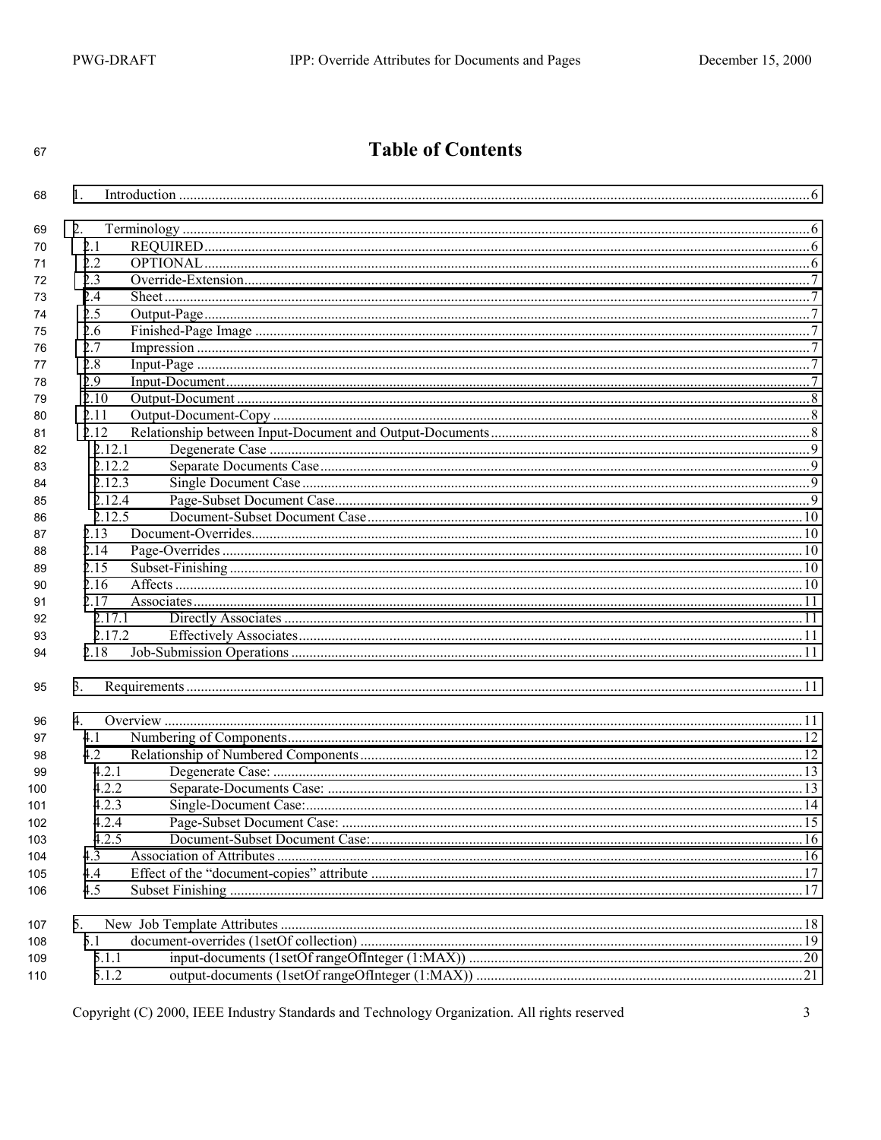## **Table of Contents**

| 68  | 1.     |  |
|-----|--------|--|
| 69  | 2.     |  |
| 70  | 2.1    |  |
| 71  | 2.2    |  |
| 72  | 2.3    |  |
| 73  | 2.4    |  |
| 74  | 2.5    |  |
| 75  | 2.6    |  |
| 76  | 2.7    |  |
| 77  | 2.8    |  |
| 78  | 2.9    |  |
| 79  | 2.10   |  |
| 80  | 2.11   |  |
| 81  | 2.12   |  |
| 82  | 2.12.1 |  |
| 83  | 2.12.2 |  |
| 84  | 2.12.3 |  |
|     | 2.12.4 |  |
| 85  | 2.12.5 |  |
| 86  | 2.13   |  |
| 87  | 2.14   |  |
| 88  | 2.15   |  |
| 89  |        |  |
| 90  | 2.16   |  |
| 91  | 2.17   |  |
| 92  | 2.17.1 |  |
| 93  | 2.17.2 |  |
| 94  | 2.18   |  |
| 95  | 3.     |  |
| 96  | 4.     |  |
| 97  | 4.1    |  |
| 98  | 4.2    |  |
| 99  | 4.2.1  |  |
| 100 | 422    |  |
| 101 | 4.2.3  |  |
| 102 | 4.2.4  |  |
| 103 | 4.2.5  |  |
| 104 | 4.3    |  |
| 105 | 4.4    |  |
| 106 | 4.5    |  |
|     |        |  |
| 107 | 5.     |  |
| 108 | 5.1    |  |
| 109 | 5.1.1  |  |
| 110 | 5.1.2  |  |
|     |        |  |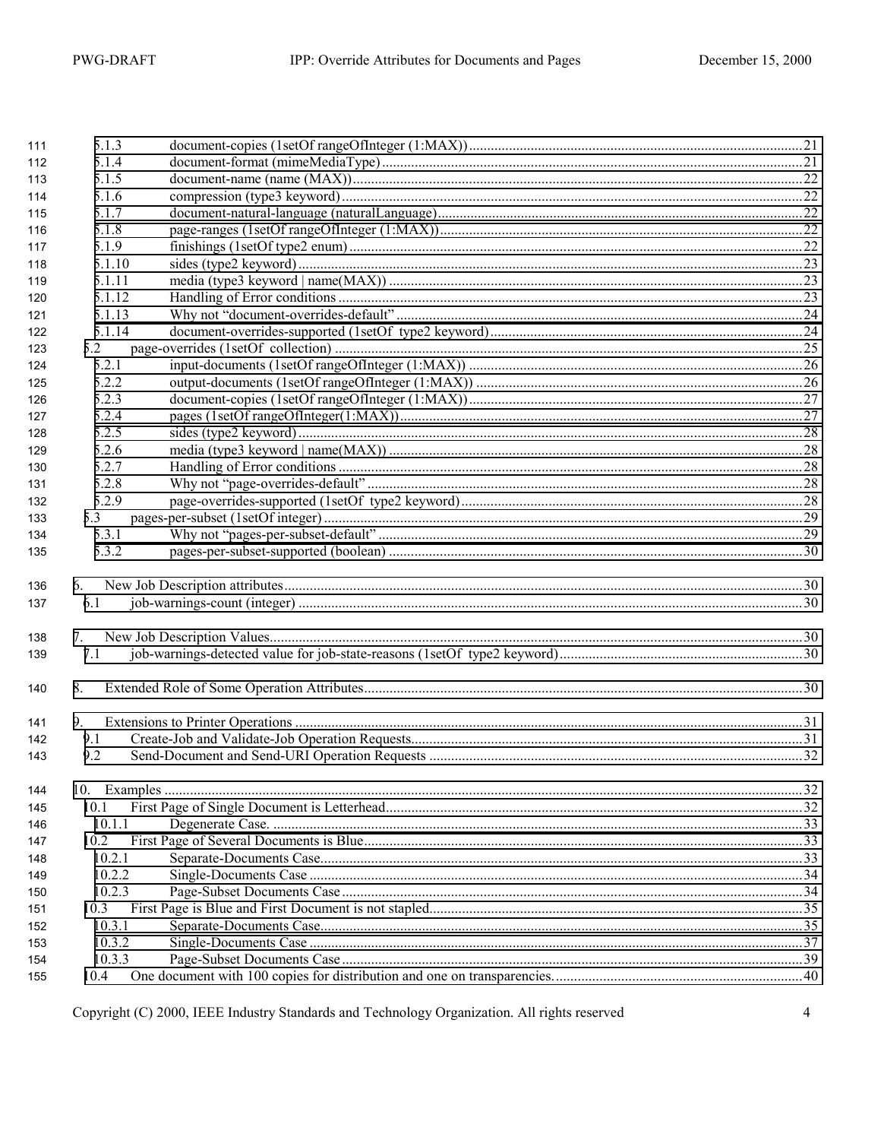| 111 | 5.1.3  |  |
|-----|--------|--|
| 112 | 5.1.4  |  |
| 113 | 5.1.5  |  |
| 114 | 5.1.6  |  |
| 115 | 5.1.7  |  |
| 116 | 5.1.8  |  |
| 117 | 5.1.9  |  |
| 118 | 5.1.10 |  |
| 119 | 5.1.11 |  |
| 120 | 5.1.12 |  |
| 121 | 5.1.13 |  |
| 122 | 5.1.14 |  |
| 123 | 5.2    |  |
| 124 | 5.2.1  |  |
| 125 | 5.2.2  |  |
| 126 | 5.2.3  |  |
| 127 | 5.2.4  |  |
| 128 | 5.2.5  |  |
| 129 | 5.2.6  |  |
| 130 | 5.2.7  |  |
| 131 | 5.2.8  |  |
| 132 | 5.2.9  |  |
| 133 | 5.3    |  |
| 134 | 5.3.1  |  |
| 135 | 5.3.2  |  |
|     |        |  |
| 136 | 6.     |  |
| 137 | 6.1    |  |
|     |        |  |
| 138 | 7.     |  |
| 139 | 7.1    |  |
|     |        |  |
| 140 | 8.     |  |
|     |        |  |
| 141 | 9.     |  |
| 142 | 9.1    |  |
| 143 | 9.2    |  |
|     |        |  |
| 144 |        |  |
| 145 | 10.1   |  |
| 146 | 10.1.1 |  |
| 147 | 10.2   |  |
| 148 | 10.2.1 |  |
| 149 | 10.2.2 |  |
| 150 | 10.2.3 |  |
| 151 | 10.3   |  |
| 152 | 10.3.1 |  |
| 153 | 10.3.2 |  |
|     |        |  |
| 154 | 10.3.3 |  |
| 155 | 10.4   |  |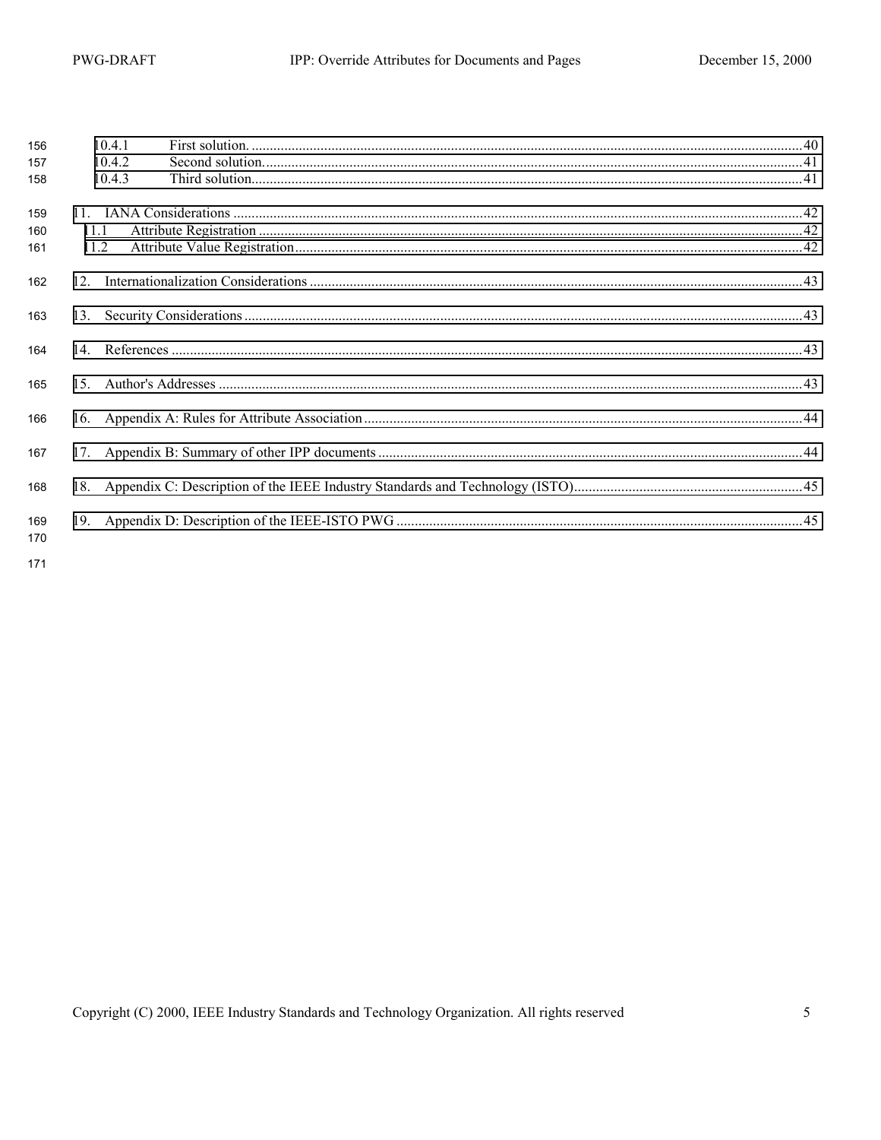| 156        |      | 10.4.1 |  |
|------------|------|--------|--|
| 157        |      | 10.4.2 |  |
| 158        |      | 10.4.3 |  |
| 159        |      |        |  |
| 160        | 11.1 |        |  |
| 161        | 11.2 |        |  |
| 162        |      |        |  |
| 163        |      |        |  |
| 164        |      |        |  |
| 165        | 15   |        |  |
| 166        |      |        |  |
| 167        |      |        |  |
| 168        |      |        |  |
| 169<br>170 |      |        |  |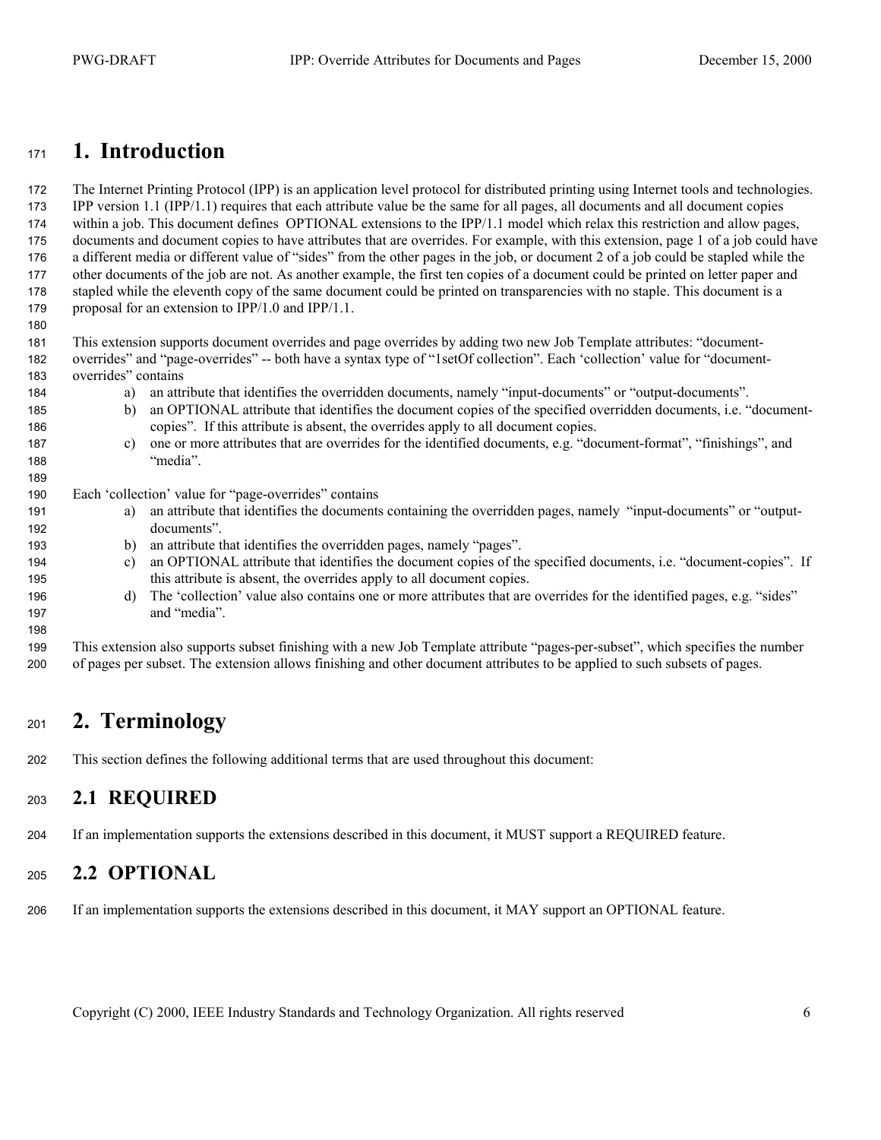#### <span id="page-5-0"></span>**1. Introduction**

The Internet Printing Protocol (IPP) is an application level protocol for distributed printing using Internet tools and technologies. IPP version 1.1 (IPP/1.1) requires that each attribute value be the same for all pages, all documents and all document copies within a job. This document defines OPTIONAL extensions to the IPP/1.1 model which relax this restriction and allow pages, documents and document copies to have attributes that are overrides. For example, with this extension, page 1 of a job could have a different media or different value of "sides" from the other pages in the job, or document 2 of a job could be stapled while the other documents of the job are not. As another example, the first ten copies of a document could be printed on letter paper and stapled while the eleventh copy of the same document could be printed on transparencies with no staple. This document is a proposal for an extension to IPP/1.0 and IPP/1.1.

This extension supports document overrides and page overrides by adding two new Job Template attributes: "document-overrides" and "page-overrides" -- both have a syntax type of "1setOf collection". Each 'collection' value for "document-overrides" contains

- a) an attribute that identifies the overridden documents, namely "input-documents" or "output-documents".
- b) an OPTIONAL attribute that identifies the document copies of the specified overridden documents, i.e. "document-copies". If this attribute is absent, the overrides apply to all document copies.
- c) one or more attributes that are overrides for the identified documents, e.g. "document-format", "finishings", and "media".

Each 'collection' value for "page-overrides" contains

- a) an attribute that identifies the documents containing the overridden pages, namely "input-documents" or "output-documents".
- b) an attribute that identifies the overridden pages, namely "pages".
- c) an OPTIONAL attribute that identifies the document copies of the specified documents, i.e. "document-copies". If this attribute is absent, the overrides apply to all document copies.
- d) The 'collection' value also contains one or more attributes that are overrides for the identified pages, e.g. "sides" and "media".

This extension also supports subset finishing with a new Job Template attribute "pages-per-subset", which specifies the number of pages per subset. The extension allows finishing and other document attributes to be applied to such subsets of pages.

### **2. Terminology**

This section defines the following additional terms that are used throughout this document:

#### **2.1 REQUIRED**

If an implementation supports the extensions described in this document, it MUST support a REQUIRED feature.

#### **2.2 OPTIONAL**

If an implementation supports the extensions described in this document, it MAY support an OPTIONAL feature.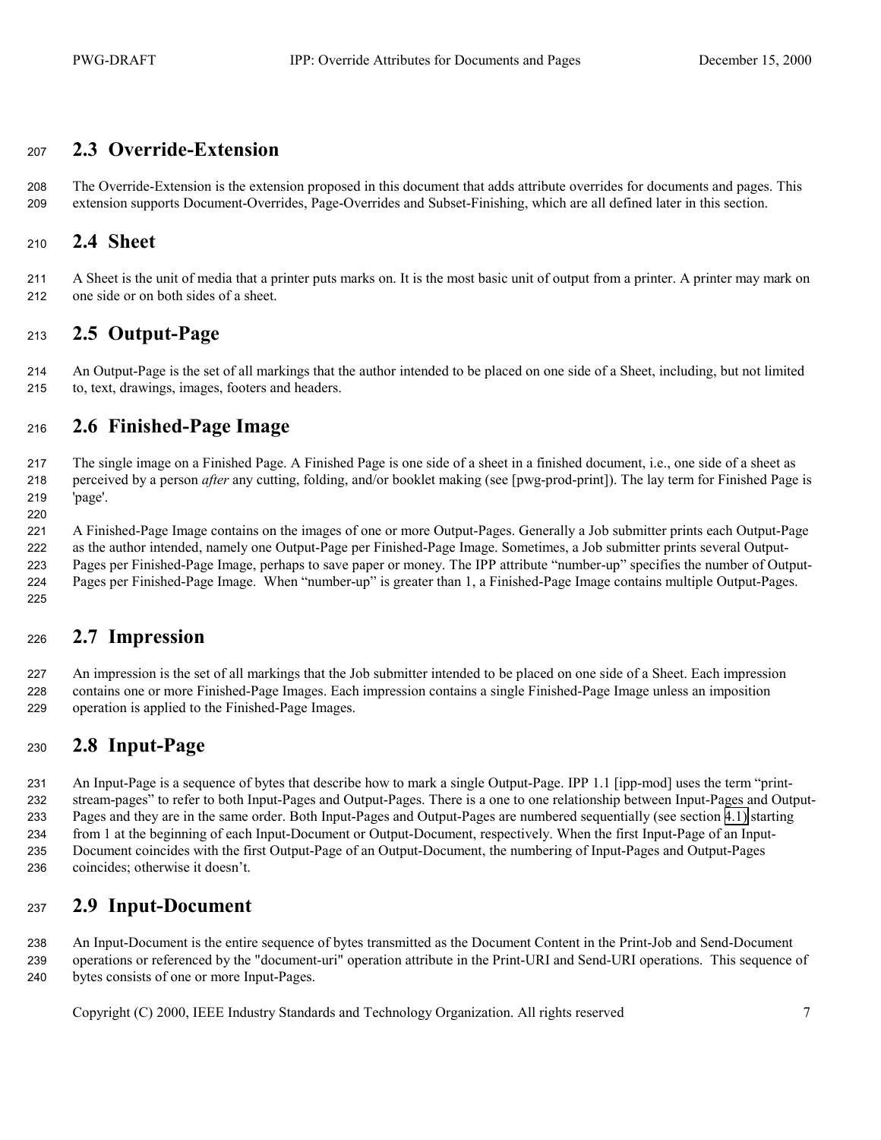#### <span id="page-6-0"></span>**2.3 Override-Extension**

The Override-Extension is the extension proposed in this document that adds attribute overrides for documents and pages. This extension supports Document-Overrides, Page-Overrides and Subset-Finishing, which are all defined later in this section.

#### **2.4 Sheet**

A Sheet is the unit of media that a printer puts marks on. It is the most basic unit of output from a printer. A printer may mark on one side or on both sides of a sheet.

#### **2.5 Output-Page**

An Output-Page is the set of all markings that the author intended to be placed on one side of a Sheet, including, but not limited to, text, drawings, images, footers and headers.

#### **2.6 Finished-Page Image**

The single image on a Finished Page. A Finished Page is one side of a sheet in a finished document, i.e., one side of a sheet as perceived by a person *after* any cutting, folding, and/or booklet making (see [pwg-prod-print]). The lay term for Finished Page is 'page'. 

A Finished-Page Image contains on the images of one or more Output-Pages. Generally a Job submitter prints each Output-Page as the author intended, namely one Output-Page per Finished-Page Image. Sometimes, a Job submitter prints several Output-Pages per Finished-Page Image, perhaps to save paper or money. The IPP attribute "number-up" specifies the number of Output-Pages per Finished-Page Image. When "number-up" is greater than 1, a Finished-Page Image contains multiple Output-Pages.

#### 

#### **2.7 Impression**

An impression is the set of all markings that the Job submitter intended to be placed on one side of a Sheet. Each impression contains one or more Finished-Page Images. Each impression contains a single Finished-Page Image unless an imposition operation is applied to the Finished-Page Images.

#### **2.8 Input-Page**

An Input-Page is a sequence of bytes that describe how to mark a single Output-Page. IPP 1.1 [ipp-mod] uses the term "print-stream-pages" to refer to both Input-Pages and Output-Pages. There is a one to one relationship between Input-Pages and Output-Pages and they are in the same order. Both Input-Pages and Output-Pages are numbered sequentially (see section [4.1\)](#page-11-0) starting from 1 at the beginning of each Input-Document or Output-Document, respectively. When the first Input-Page of an Input-Document coincides with the first Output-Page of an Output-Document, the numbering of Input-Pages and Output-Pages coincides; otherwise it doesn't.

#### **2.9 Input-Document**

An Input-Document is the entire sequence of bytes transmitted as the Document Content in the Print-Job and Send-Document operations or referenced by the "document-uri" operation attribute in the Print-URI and Send-URI operations. This sequence of bytes consists of one or more Input-Pages.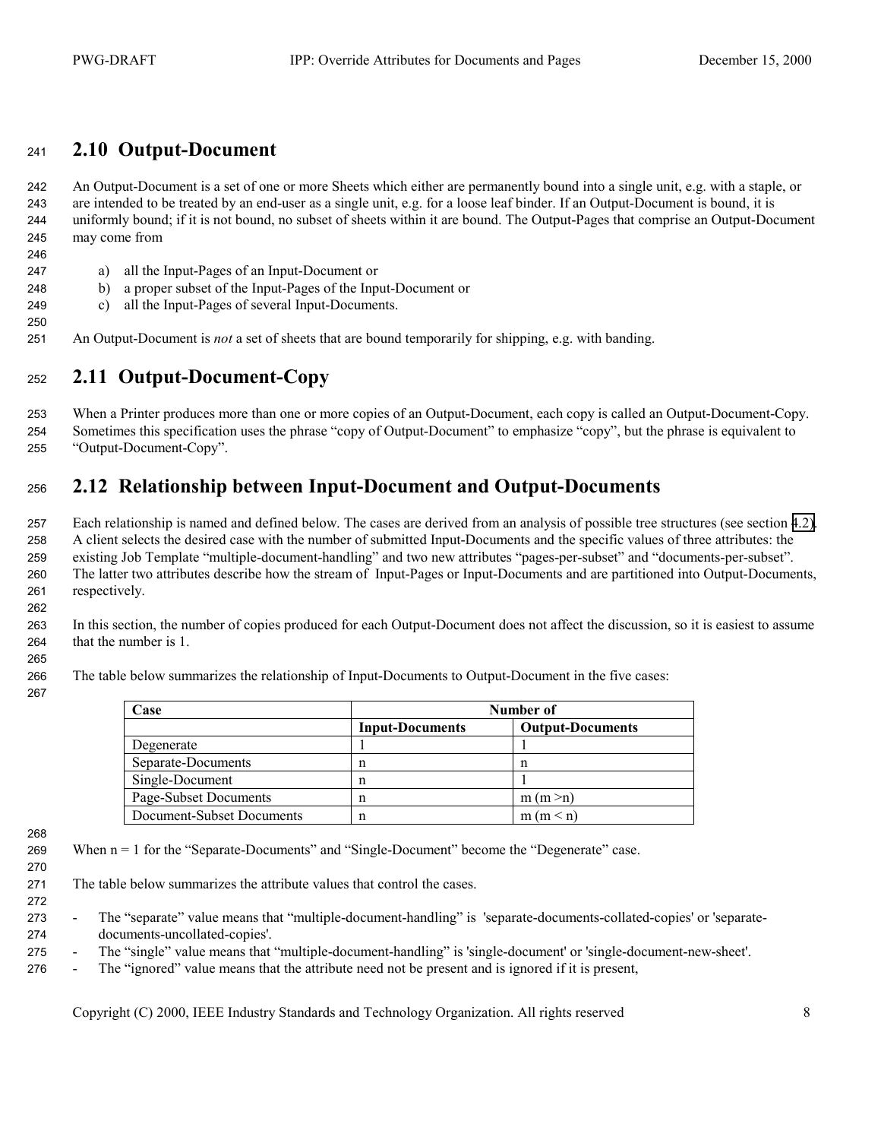#### <span id="page-7-0"></span>**2.10 Output-Document**

An Output-Document is a set of one or more Sheets which either are permanently bound into a single unit, e.g. with a staple, or are intended to be treated by an end-user as a single unit, e.g. for a loose leaf binder. If an Output-Document is bound, it is uniformly bound; if it is not bound, no subset of sheets within it are bound. The Output-Pages that comprise an Output-Document may come from

- a) all the Input-Pages of an Input-Document or
- b) a proper subset of the Input-Pages of the Input-Document or
- c) all the Input-Pages of several Input-Documents.
- An Output-Document is *not* a set of sheets that are bound temporarily for shipping, e.g. with banding.

#### **2.11 Output-Document-Copy**

When a Printer produces more than one or more copies of an Output-Document, each copy is called an Output-Document-Copy. Sometimes this specification uses the phrase "copy of Output-Document" to emphasize "copy", but the phrase is equivalent to "Output-Document-Copy".

### **2.12 Relationship between Input-Document and Output-Documents**

Each relationship is named and defined below. The cases are derived from an analysis of possible tree structures (see section [4.2\).](#page-11-0) A client selects the desired case with the number of submitted Input-Documents and the specific values of three attributes: the existing Job Template "multiple-document-handling" and two new attributes "pages-per-subset" and "documents-per-subset". The latter two attributes describe how the stream of Input-Pages or Input-Documents and are partitioned into Output-Documents, respectively.

In this section, the number of copies produced for each Output-Document does not affect the discussion, so it is easiest to assume that the number is 1.

The table below summarizes the relationship of Input-Documents to Output-Document in the five cases:

| Case                      | Number of              |                         |  |
|---------------------------|------------------------|-------------------------|--|
|                           | <b>Input-Documents</b> | <b>Output-Documents</b> |  |
| Degenerate                |                        |                         |  |
| Separate-Documents        | n                      | n                       |  |
| Single-Document           | n                      |                         |  |
| Page-Subset Documents     | n                      | m (m > n)               |  |
| Document-Subset Documents | n                      | m (m < n)               |  |

- When n = 1 for the "Separate-Documents" and "Single-Document" become the "Degenerate" case.
- 
- The table below summarizes the attribute values that control the cases.
- 
- The "separate" value means that "multiple-document-handling" is 'separate-documents-collated-copies' or 'separate-documents-uncollated-copies'.
- The "single" value means that "multiple-document-handling" is 'single-document' or 'single-document-new-sheet'.
- The "ignored" value means that the attribute need not be present and is ignored if it is present,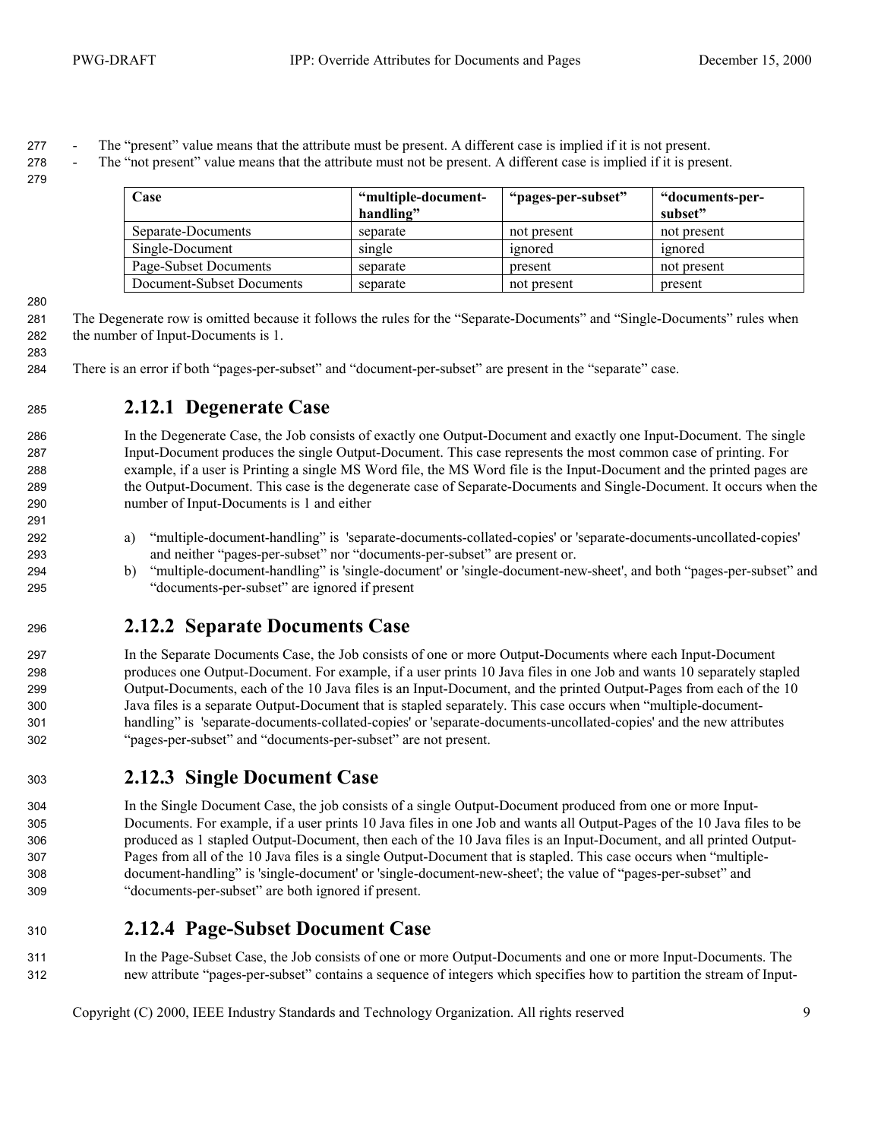<span id="page-8-0"></span>- The "present" value means that the attribute must be present. A different case is implied if it is not present.

- The "not present" value means that the attribute must not be present. A different case is implied if it is present.

| Case                      | "multiple-document- | "pages-per-subset" | "documents-per- |
|---------------------------|---------------------|--------------------|-----------------|
|                           | handling"           |                    | subset"         |
| Separate-Documents        | separate            | not present        | not present     |
| Single-Document           | single              | ignored            | ignored         |
| Page-Subset Documents     | separate            | present            | not present     |
| Document-Subset Documents | separate            | not present        | present         |

The Degenerate row is omitted because it follows the rules for the "Separate-Documents" and "Single-Documents" rules when the number of Input-Documents is 1.

There is an error if both "pages-per-subset" and "document-per-subset" are present in the "separate" case.

#### **2.12.1 Degenerate Case**

In the Degenerate Case, the Job consists of exactly one Output-Document and exactly one Input-Document. The single Input-Document produces the single Output-Document. This case represents the most common case of printing. For example, if a user is Printing a single MS Word file, the MS Word file is the Input-Document and the printed pages are the Output-Document. This case is the degenerate case of Separate-Documents and Single-Document. It occurs when the number of Input-Documents is 1 and either

- a) "multiple-document-handling" is 'separate-documents-collated-copies' or 'separate-documents-uncollated-copies' and neither "pages-per-subset" nor "documents-per-subset" are present or.
- b) "multiple-document-handling" is 'single-document' or 'single-document-new-sheet', and both "pages-per-subset" and "documents-per-subset" are ignored if present

#### **2.12.2 Separate Documents Case**

In the Separate Documents Case, the Job consists of one or more Output-Documents where each Input-Document produces one Output-Document. For example, if a user prints 10 Java files in one Job and wants 10 separately stapled Output-Documents, each of the 10 Java files is an Input-Document, and the printed Output-Pages from each of the 10 Java files is a separate Output-Document that is stapled separately. This case occurs when "multiple-document-handling" is 'separate-documents-collated-copies' or 'separate-documents-uncollated-copies' and the new attributes "pages-per-subset" and "documents-per-subset" are not present.

#### **2.12.3 Single Document Case**

In the Single Document Case, the job consists of a single Output-Document produced from one or more Input-Documents. For example, if a user prints 10 Java files in one Job and wants all Output-Pages of the 10 Java files to be produced as 1 stapled Output-Document, then each of the 10 Java files is an Input-Document, and all printed Output-Pages from all of the 10 Java files is a single Output-Document that is stapled. This case occurs when "multiple-document-handling" is 'single-document' or 'single-document-new-sheet'; the value of "pages-per-subset" and "documents-per-subset" are both ignored if present.

- **2.12.4 Page-Subset Document Case**
- In the Page-Subset Case, the Job consists of one or more Output-Documents and one or more Input-Documents. The new attribute "pages-per-subset" contains a sequence of integers which specifies how to partition the stream of Input-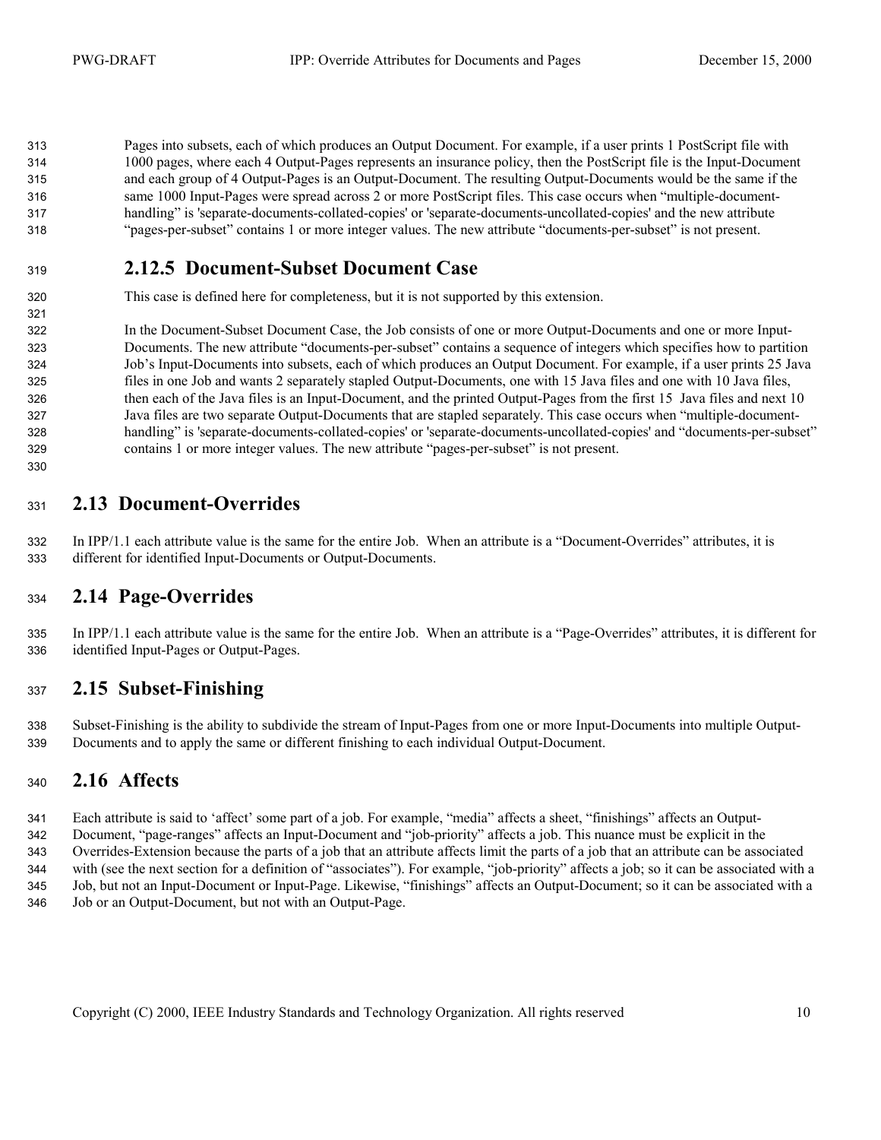<span id="page-9-0"></span>Pages into subsets, each of which produces an Output Document. For example, if a user prints 1 PostScript file with 1000 pages, where each 4 Output-Pages represents an insurance policy, then the PostScript file is the Input-Document and each group of 4 Output-Pages is an Output-Document. The resulting Output-Documents would be the same if the same 1000 Input-Pages were spread across 2 or more PostScript files. This case occurs when "multiple-document-handling" is 'separate-documents-collated-copies' or 'separate-documents-uncollated-copies' and the new attribute "pages-per-subset" contains 1 or more integer values. The new attribute "documents-per-subset" is not present.

#### **2.12.5 Document-Subset Document Case**

This case is defined here for completeness, but it is not supported by this extension.

In the Document-Subset Document Case, the Job consists of one or more Output-Documents and one or more Input-Documents. The new attribute "documents-per-subset" contains a sequence of integers which specifies how to partition Job's Input-Documents into subsets, each of which produces an Output Document. For example, if a user prints 25 Java files in one Job and wants 2 separately stapled Output-Documents, one with 15 Java files and one with 10 Java files, then each of the Java files is an Input-Document, and the printed Output-Pages from the first 15 Java files and next 10 Java files are two separate Output-Documents that are stapled separately. This case occurs when "multiple-document-handling" is 'separate-documents-collated-copies' or 'separate-documents-uncollated-copies' and "documents-per-subset" contains 1 or more integer values. The new attribute "pages-per-subset" is not present.

#### **2.13 Document-Overrides**

In IPP/1.1 each attribute value is the same for the entire Job. When an attribute is a "Document-Overrides" attributes, it is different for identified Input-Documents or Output-Documents.

#### **2.14 Page-Overrides**

In IPP/1.1 each attribute value is the same for the entire Job. When an attribute is a "Page-Overrides" attributes, it is different for identified Input-Pages or Output-Pages.

#### **2.15 Subset-Finishing**

Subset-Finishing is the ability to subdivide the stream of Input-Pages from one or more Input-Documents into multiple Output-Documents and to apply the same or different finishing to each individual Output-Document.

#### **2.16 Affects**

Each attribute is said to 'affect' some part of a job. For example, "media" affects a sheet, "finishings" affects an Output-Document, "page-ranges" affects an Input-Document and "job-priority" affects a job. This nuance must be explicit in the Overrides-Extension because the parts of a job that an attribute affects limit the parts of a job that an attribute can be associated with (see the next section for a definition of "associates"). For example, "job-priority" affects a job; so it can be associated with a Job, but not an Input-Document or Input-Page. Likewise, "finishings" affects an Output-Document; so it can be associated with a Job or an Output-Document, but not with an Output-Page.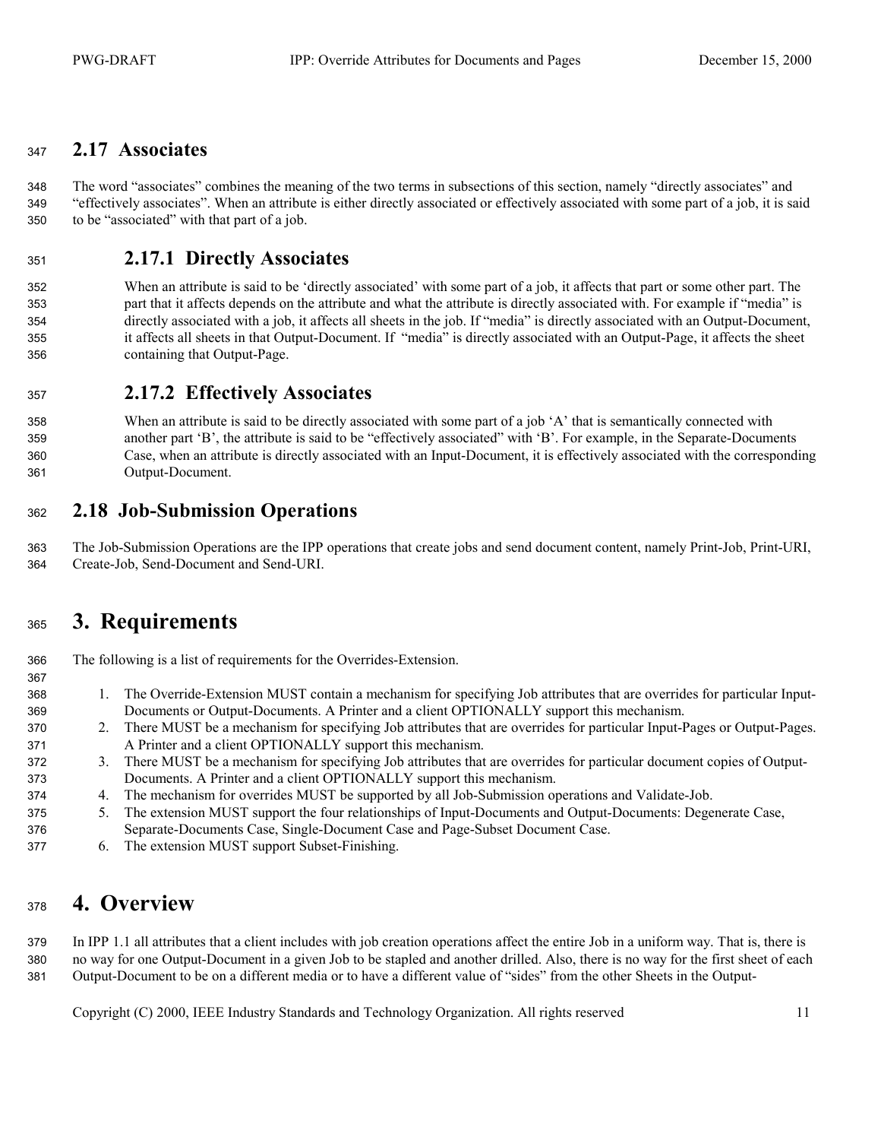#### <span id="page-10-0"></span>**2.17 Associates**

The word "associates" combines the meaning of the two terms in subsections of this section, namely "directly associates" and "effectively associates". When an attribute is either directly associated or effectively associated with some part of a job, it is said to be "associated" with that part of a job.

#### **2.17.1 Directly Associates**

When an attribute is said to be 'directly associated' with some part of a job, it affects that part or some other part. The part that it affects depends on the attribute and what the attribute is directly associated with. For example if "media" is directly associated with a job, it affects all sheets in the job. If "media" is directly associated with an Output-Document, it affects all sheets in that Output-Document. If "media" is directly associated with an Output-Page, it affects the sheet containing that Output-Page.

#### **2.17.2 Effectively Associates**

When an attribute is said to be directly associated with some part of a job 'A' that is semantically connected with another part 'B', the attribute is said to be "effectively associated" with 'B'. For example, in the Separate-Documents Case, when an attribute is directly associated with an Input-Document, it is effectively associated with the corresponding Output-Document.

#### **2.18 Job-Submission Operations**

The Job-Submission Operations are the IPP operations that create jobs and send document content, namely Print-Job, Print-URI, Create-Job, Send-Document and Send-URI.

## **3. Requirements**

The following is a list of requirements for the Overrides-Extension.

- 1. The Override-Extension MUST contain a mechanism for specifying Job attributes that are overrides for particular Input-Documents or Output-Documents. A Printer and a client OPTIONALLY support this mechanism.
- 2. There MUST be a mechanism for specifying Job attributes that are overrides for particular Input-Pages or Output-Pages. A Printer and a client OPTIONALLY support this mechanism.
- 3. There MUST be a mechanism for specifying Job attributes that are overrides for particular document copies of Output-Documents. A Printer and a client OPTIONALLY support this mechanism.
- 4. The mechanism for overrides MUST be supported by all Job-Submission operations and Validate-Job.
- 5. The extension MUST support the four relationships of Input-Documents and Output-Documents: Degenerate Case,
- Separate-Documents Case, Single-Document Case and Page-Subset Document Case.
- 6. The extension MUST support Subset-Finishing.

## **4. Overview**

In IPP 1.1 all attributes that a client includes with job creation operations affect the entire Job in a uniform way. That is, there is no way for one Output-Document in a given Job to be stapled and another drilled. Also, there is no way for the first sheet of each Output-Document to be on a different media or to have a different value of "sides" from the other Sheets in the Output-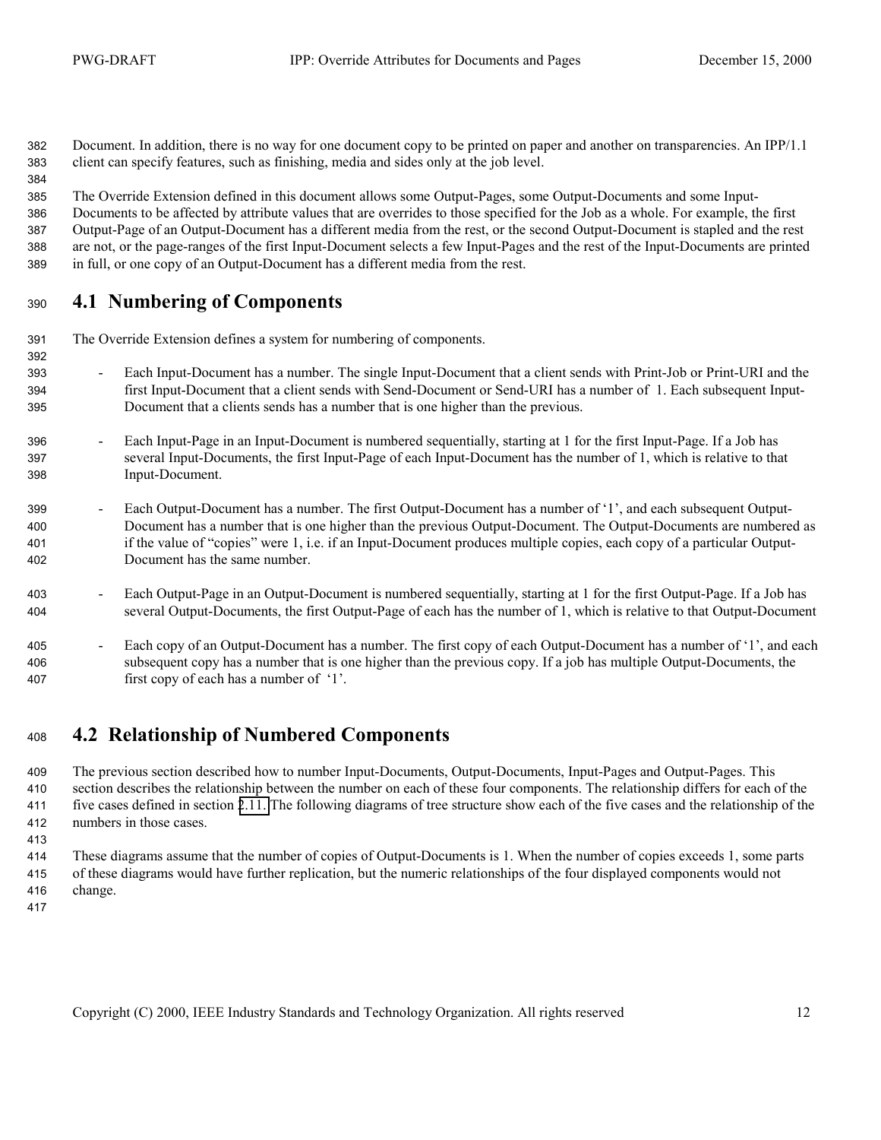<span id="page-11-0"></span>Document. In addition, there is no way for one document copy to be printed on paper and another on transparencies. An IPP/1.1 client can specify features, such as finishing, media and sides only at the job level.

The Override Extension defined in this document allows some Output-Pages, some Output-Documents and some Input-Documents to be affected by attribute values that are overrides to those specified for the Job as a whole. For example, the first Output-Page of an Output-Document has a different media from the rest, or the second Output-Document is stapled and the rest are not, or the page-ranges of the first Input-Document selects a few Input-Pages and the rest of the Input-Documents are printed in full, or one copy of an Output-Document has a different media from the rest.

#### **4.1 Numbering of Components**

The Override Extension defines a system for numbering of components.

- Each Input-Document has a number. The single Input-Document that a client sends with Print-Job or Print-URI and the first Input-Document that a client sends with Send-Document or Send-URI has a number of 1. Each subsequent Input-Document that a clients sends has a number that is one higher than the previous.
- Each Input-Page in an Input-Document is numbered sequentially, starting at 1 for the first Input-Page. If a Job has several Input-Documents, the first Input-Page of each Input-Document has the number of 1, which is relative to that Input-Document.
- Each Output-Document has a number. The first Output-Document has a number of '1', and each subsequent Output-Document has a number that is one higher than the previous Output-Document. The Output-Documents are numbered as if the value of "copies" were 1, i.e. if an Input-Document produces multiple copies, each copy of a particular Output-Document has the same number.
- 403 Each Output-Page in an Output-Document is numbered sequentially, starting at 1 for the first Output-Page. If a Job has several Output-Documents, the first Output-Page of each has the number of 1, which is relative to that Output-Document
- 405 Each copy of an Output-Document has a number. The first copy of each Output-Document has a number of '1', and each subsequent copy has a number that is one higher than the previous copy. If a job has multiple Output-Documents, the first copy of each has a number of '1'.

### **4.2 Relationship of Numbered Components**

The previous section described how to number Input-Documents, Output-Documents, Input-Pages and Output-Pages. This section describes the relationship between the number on each of these four components. The relationship differs for each of the five cases defined in section [2.11.](#page-7-0) The following diagrams of tree structure show each of the five cases and the relationship of the numbers in those cases.

- These diagrams assume that the number of copies of Output-Documents is 1. When the number of copies exceeds 1, some parts of these diagrams would have further replication, but the numeric relationships of the four displayed components would not change.
-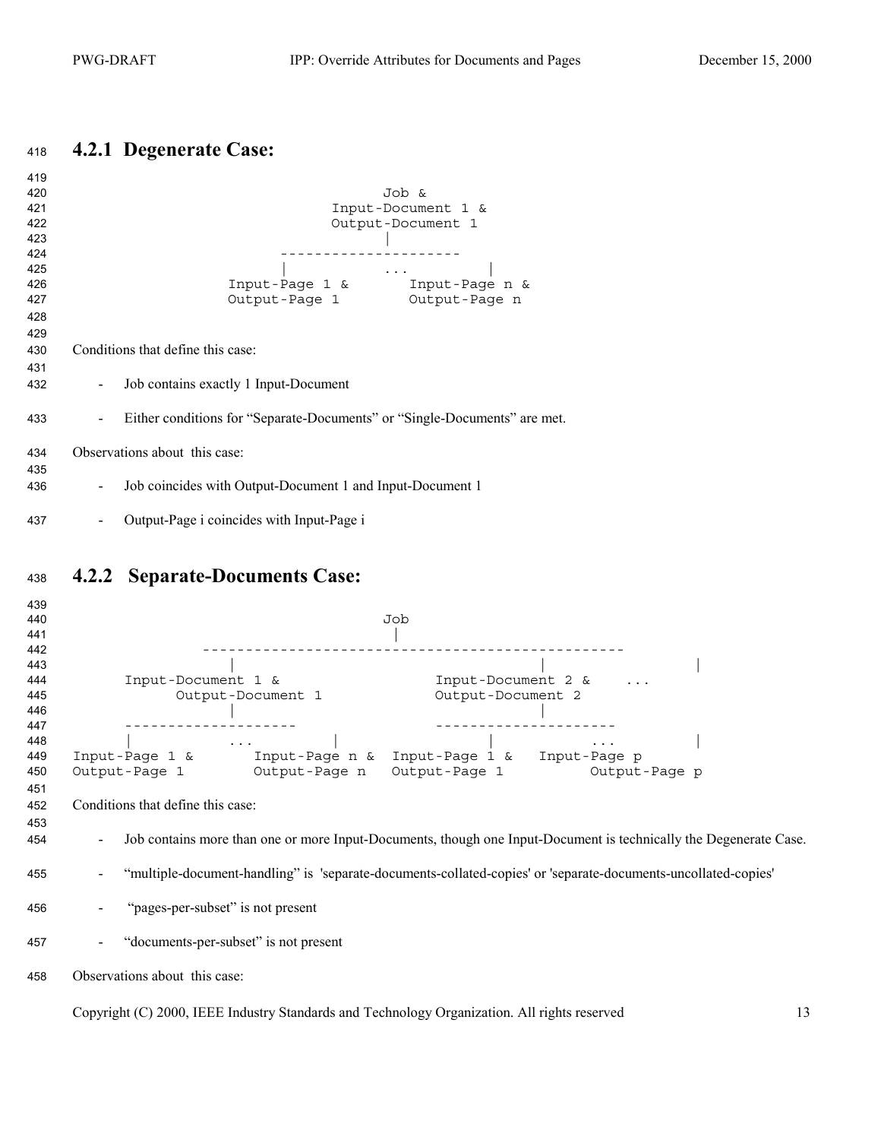## <span id="page-12-0"></span>**4.2.1 Degenerate Case:**

| 419<br>420<br>421<br>422<br>423<br>424<br>425 | Job &<br>Input-Document 1 &<br>Output-Document 1                                                                                                  |
|-----------------------------------------------|---------------------------------------------------------------------------------------------------------------------------------------------------|
| 426                                           | $\begin{array}{c ccc}\n & & \dots & & \nImput\text{-} \texttt{Page 1} & \& & \dots & \texttt{Input} \text{-} \texttt{Page n} & \& \\ \end{array}$ |
| 427                                           | Output-Page 1 Output-Page n                                                                                                                       |
|                                               |                                                                                                                                                   |
| 428                                           |                                                                                                                                                   |
| 429                                           |                                                                                                                                                   |
| 430                                           | Conditions that define this case:                                                                                                                 |
| 431                                           |                                                                                                                                                   |
| 432                                           | Job contains exactly 1 Input-Document                                                                                                             |
| 433                                           | Either conditions for "Separate-Documents" or "Single-Documents" are met.                                                                         |
| 434                                           | Observations about this case:                                                                                                                     |
| 435                                           |                                                                                                                                                   |
| 436                                           | Job coincides with Output-Document 1 and Input-Document 1                                                                                         |
| 437                                           | Output-Page i coincides with Input-Page i<br>۰.                                                                                                   |

## **4.2.2 Separate-Documents Case:**

| 439<br>440<br>441<br>442        | Job                                                                                                                                                                     |
|---------------------------------|-------------------------------------------------------------------------------------------------------------------------------------------------------------------------|
| 443<br>444<br>445<br>446        | Input-Document 1 &<br>Input-Document 2 &<br>Output-Document 1<br>Output-Document 2                                                                                      |
| 447<br>448<br>449<br>450<br>451 | $\cdot$ $\cdot$ $\cdot$<br>$\ddots$<br>$Input$ -Paqe 1 &<br>Input-Page n & Input-Page 1 & Input-Page p<br>Output-Page 1<br>Output-Page n Output-Page 1<br>Output-Page p |
| 452<br>453<br>454               | Conditions that define this case:<br>Job contains more than one or more Input-Documents, though one Input-Document is technically the Degenerate Case.                  |
| 455                             | "multiple-document-handling" is 'separate-documents-collated-copies' or 'separate-documents-uncollated-copies'                                                          |
| 456                             | "pages-per-subset" is not present                                                                                                                                       |
| 457                             | "documents-per-subset" is not present                                                                                                                                   |
| 458                             | Observations about this case:                                                                                                                                           |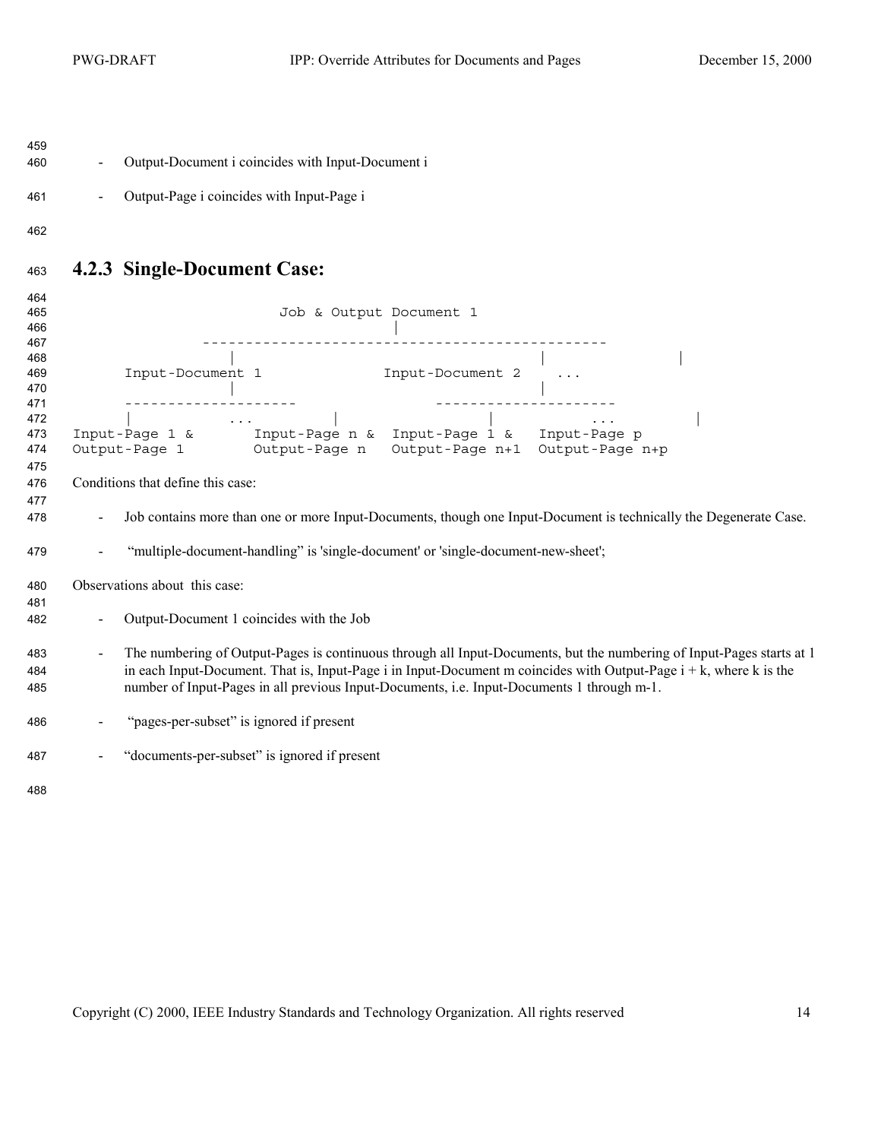<span id="page-13-0"></span>

| Job contains more than one or more Input-Documents, though one Input-Document is technically the Degenerate Case.     |
|-----------------------------------------------------------------------------------------------------------------------|
|                                                                                                                       |
|                                                                                                                       |
|                                                                                                                       |
|                                                                                                                       |
| The numbering of Output-Pages is continuous through all Input-Documents, but the numbering of Input-Pages starts at 1 |
| in each Input-Document. That is, Input-Page i in Input-Document m coincides with Output-Page $i + k$ , where k is the |
|                                                                                                                       |
|                                                                                                                       |
|                                                                                                                       |
|                                                                                                                       |
|                                                                                                                       |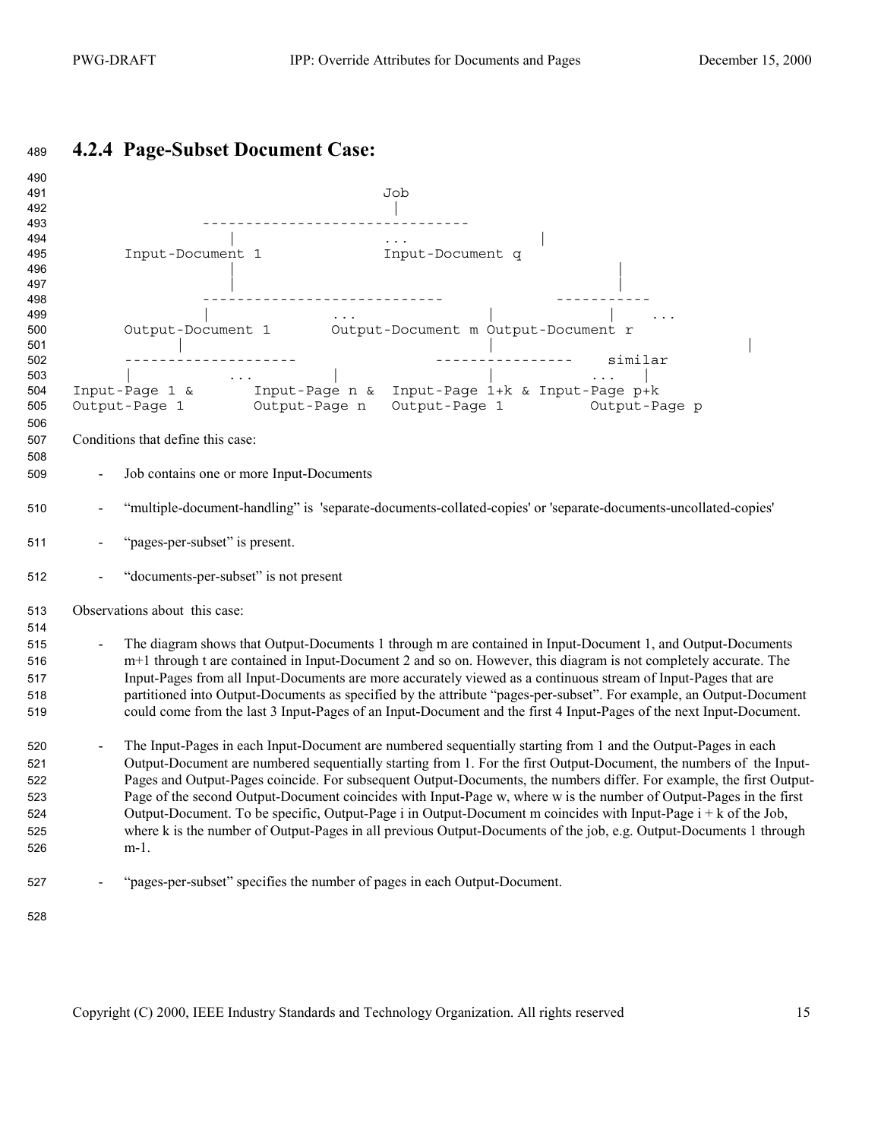## <span id="page-14-0"></span>**4.2.4 Page-Subset Document Case:**

| 490<br>491<br>492                                    | Job                                                                                                                                                                                                                                                                                                                                                                                                                                                                                                                                                                                                                                                                                                                                      |
|------------------------------------------------------|------------------------------------------------------------------------------------------------------------------------------------------------------------------------------------------------------------------------------------------------------------------------------------------------------------------------------------------------------------------------------------------------------------------------------------------------------------------------------------------------------------------------------------------------------------------------------------------------------------------------------------------------------------------------------------------------------------------------------------------|
| 493<br>494<br>495<br>496<br>497                      | $\cdot \cdot \cdot$<br><br>Input-Document q<br>Input-Document 1                                                                                                                                                                                                                                                                                                                                                                                                                                                                                                                                                                                                                                                                          |
| 498<br>499<br>500<br>501<br>502<br>503<br>504<br>505 | Output-Document 1 Output-Document m Output-Document r<br>Input-Page 1 & Input-Page n & Input-Page 1+k & Input-Page p+k<br>Output-Page 1 0utput-Page n 0utput-Page 1 0utput-Page p                                                                                                                                                                                                                                                                                                                                                                                                                                                                                                                                                        |
| 506<br>507<br>508<br>509                             | Conditions that define this case:<br>Job contains one or more Input-Documents                                                                                                                                                                                                                                                                                                                                                                                                                                                                                                                                                                                                                                                            |
| 510                                                  | "multiple-document-handling" is 'separate-documents-collated-copies' or 'separate-documents-uncollated-copies'                                                                                                                                                                                                                                                                                                                                                                                                                                                                                                                                                                                                                           |
| 511                                                  | "pages-per-subset" is present.                                                                                                                                                                                                                                                                                                                                                                                                                                                                                                                                                                                                                                                                                                           |
| 512                                                  | "documents-per-subset" is not present                                                                                                                                                                                                                                                                                                                                                                                                                                                                                                                                                                                                                                                                                                    |
| 513<br>514                                           | Observations about this case:                                                                                                                                                                                                                                                                                                                                                                                                                                                                                                                                                                                                                                                                                                            |
| 515<br>516<br>517<br>518<br>519                      | The diagram shows that Output-Documents 1 through m are contained in Input-Document 1, and Output-Documents<br>m+1 through t are contained in Input-Document 2 and so on. However, this diagram is not completely accurate. The<br>Input-Pages from all Input-Documents are more accurately viewed as a continuous stream of Input-Pages that are<br>partitioned into Output-Documents as specified by the attribute "pages-per-subset". For example, an Output-Document<br>could come from the last 3 Input-Pages of an Input-Document and the first 4 Input-Pages of the next Input-Document.                                                                                                                                          |
| 520<br>521<br>522<br>523<br>524<br>525<br>526        | The Input-Pages in each Input-Document are numbered sequentially starting from 1 and the Output-Pages in each<br>Output-Document are numbered sequentially starting from 1. For the first Output-Document, the numbers of the Input-<br>Pages and Output-Pages coincide. For subsequent Output-Documents, the numbers differ. For example, the first Output-<br>Page of the second Output-Document coincides with Input-Page w, where w is the number of Output-Pages in the first<br>Output-Document. To be specific, Output-Page i in Output-Document m coincides with Input-Page $i + k$ of the Job,<br>where k is the number of Output-Pages in all previous Output-Documents of the job, e.g. Output-Documents 1 through<br>$m-1$ . |
| 527                                                  | "pages-per-subset" specifies the number of pages in each Output-Document.                                                                                                                                                                                                                                                                                                                                                                                                                                                                                                                                                                                                                                                                |
|                                                      |                                                                                                                                                                                                                                                                                                                                                                                                                                                                                                                                                                                                                                                                                                                                          |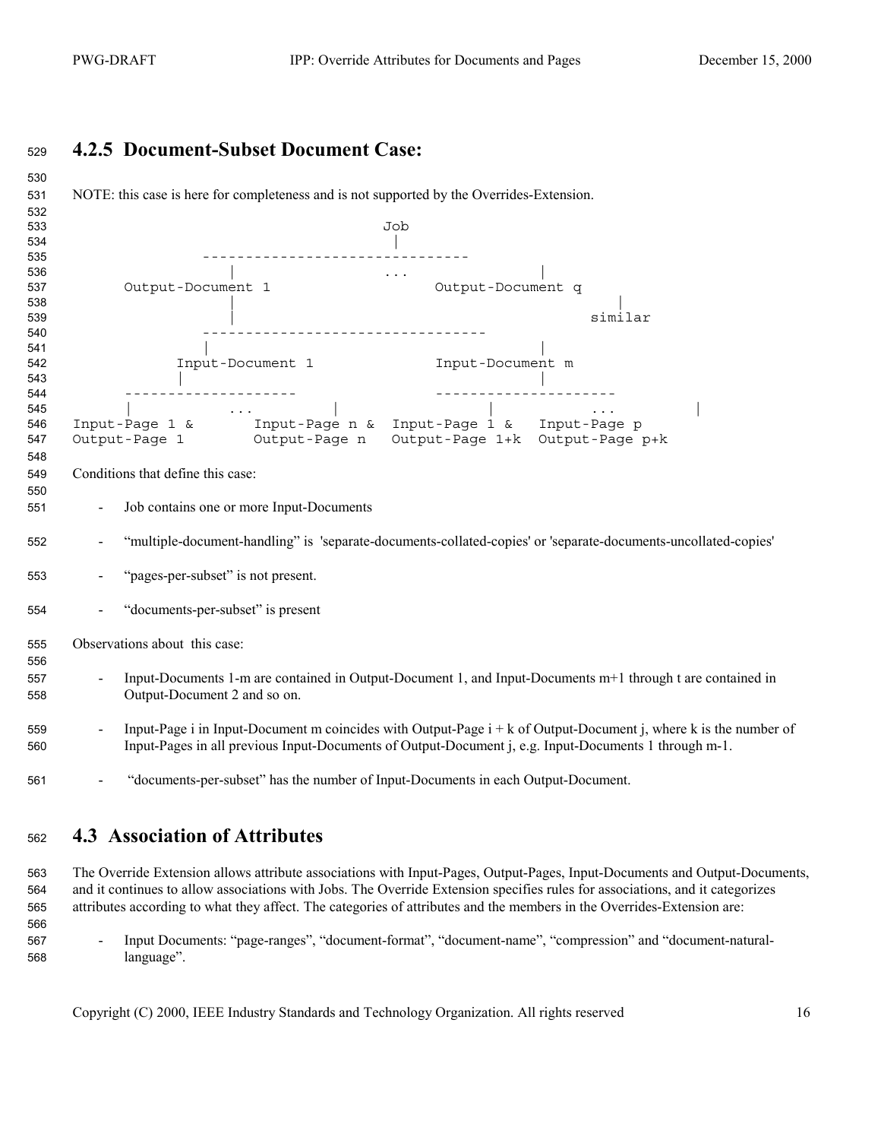#### <span id="page-15-0"></span>**4.2.5 Document-Subset Document Case:**

| 530        |                                                                                                                                                                                                                                                                           |
|------------|---------------------------------------------------------------------------------------------------------------------------------------------------------------------------------------------------------------------------------------------------------------------------|
| 531        | NOTE: this case is here for completeness and is not supported by the Overrides-Extension.                                                                                                                                                                                 |
| 532        |                                                                                                                                                                                                                                                                           |
| 533        | Job                                                                                                                                                                                                                                                                       |
| 534        |                                                                                                                                                                                                                                                                           |
| 535        |                                                                                                                                                                                                                                                                           |
| 536        | $\mathcal{L}_{\text{max}}$ and $\mathcal{L}_{\text{max}}$ . The set of $\mathcal{L}_{\text{max}}$                                                                                                                                                                         |
| 537        | Output-Document 1<br>Output-Document q                                                                                                                                                                                                                                    |
| 538        | similar                                                                                                                                                                                                                                                                   |
| 539<br>540 | ______________________________________                                                                                                                                                                                                                                    |
| 541        |                                                                                                                                                                                                                                                                           |
| 542        | Input-Document 1 Input-Document m                                                                                                                                                                                                                                         |
| 543        |                                                                                                                                                                                                                                                                           |
| 544        |                                                                                                                                                                                                                                                                           |
| 545        |                                                                                                                                                                                                                                                                           |
| 546        |                                                                                                                                                                                                                                                                           |
| 547        | $\begin{array}{l l} &   & \ldots &   &   & \ldots \\ \text{Input-Page 1 & & \small{Input-Page n & \small{Input-Page 1 & \small{x}}} & \text{Input-Page p} \\ \text{Output-Page 1} & & \text{Output-Page n} & \text{Output-Page 1+k} & \text{Output-Page p+k} \end{array}$ |
| 548        |                                                                                                                                                                                                                                                                           |
| 549        | Conditions that define this case:                                                                                                                                                                                                                                         |
| 550        |                                                                                                                                                                                                                                                                           |
| 551        | Job contains one or more Input-Documents                                                                                                                                                                                                                                  |
|            |                                                                                                                                                                                                                                                                           |
| 552        | "multiple-document-handling" is 'separate-documents-collated-copies' or 'separate-documents-uncollated-copies'                                                                                                                                                            |
|            |                                                                                                                                                                                                                                                                           |
| 553        | "pages-per-subset" is not present.                                                                                                                                                                                                                                        |
|            |                                                                                                                                                                                                                                                                           |
| 554        | "documents-per-subset" is present                                                                                                                                                                                                                                         |
|            |                                                                                                                                                                                                                                                                           |
| 555        | Observations about this case:                                                                                                                                                                                                                                             |
| 556        |                                                                                                                                                                                                                                                                           |
| 557        | Input-Documents 1-m are contained in Output-Document 1, and Input-Documents m+1 through t are contained in                                                                                                                                                                |
| 558        | Output-Document 2 and so on.                                                                                                                                                                                                                                              |
|            |                                                                                                                                                                                                                                                                           |
| 559        | Input-Page i in Input-Document m coincides with Output-Page $i + k$ of Output-Document j, where k is the number of                                                                                                                                                        |
|            | Input-Pages in all previous Input-Documents of Output-Document j, e.g. Input-Documents 1 through m-1.                                                                                                                                                                     |
| 560        |                                                                                                                                                                                                                                                                           |
|            |                                                                                                                                                                                                                                                                           |
| 561        | "documents-per-subset" has the number of Input-Documents in each Output-Document.                                                                                                                                                                                         |
|            |                                                                                                                                                                                                                                                                           |

### **4.3 Association of Attributes**

The Override Extension allows attribute associations with Input-Pages, Output-Pages, Input-Documents and Output-Documents, and it continues to allow associations with Jobs. The Override Extension specifies rules for associations, and it categorizes attributes according to what they affect. The categories of attributes and the members in the Overrides-Extension are:

- Input Documents: "page-ranges", "document-format", "document-name", "compression" and "document-natural-language".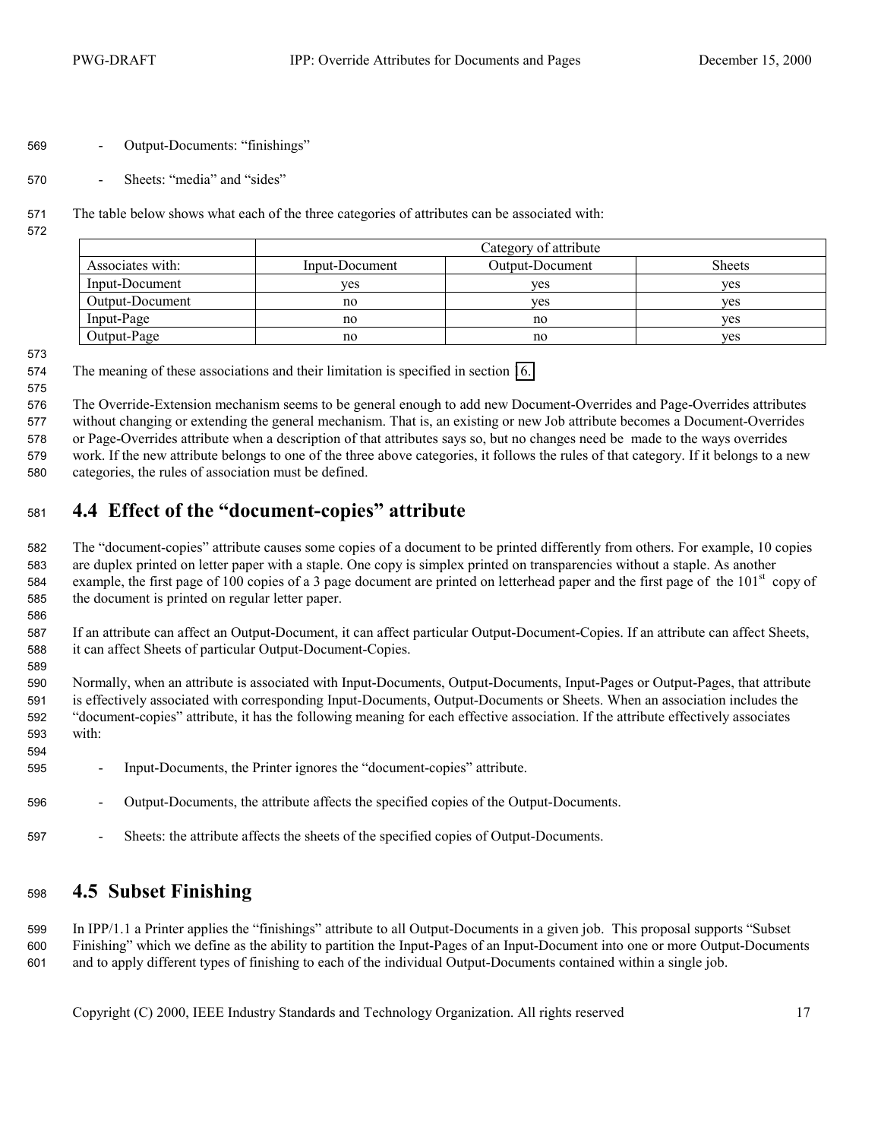- <span id="page-16-0"></span>- Output-Documents: "finishings"
- Sheets: "media" and "sides"
- The table below shows what each of the three categories of attributes can be associated with:
- 

|                  |                | Category of attribute |               |
|------------------|----------------|-----------------------|---------------|
| Associates with: | Input-Document | Output-Document       | <b>Sheets</b> |
| Input-Document   | ves            | ves                   | ves           |
| Output-Document  | no             | ves                   | ves           |
| Input-Page       | no             | no                    | yes           |
| Output-Page      | no             | no                    | yes           |

The meaning of these associations and their limitation is specified in section [16.](#page-43-0) 

The Override-Extension mechanism seems to be general enough to add new Document-Overrides and Page-Overrides attributes without changing or extending the general mechanism. That is, an existing or new Job attribute becomes a Document-Overrides or Page-Overrides attribute when a description of that attributes says so, but no changes need be made to the ways overrides work. If the new attribute belongs to one of the three above categories, it follows the rules of that category. If it belongs to a new categories, the rules of association must be defined.

### **4.4 Effect of the "document-copies" attribute**

The "document-copies" attribute causes some copies of a document to be printed differently from others. For example, 10 copies are duplex printed on letter paper with a staple. One copy is simplex printed on transparencies without a staple. As another example, the first page of 100 copies of a 3 page document are printed on letterhead paper and the first page of the  $101<sup>st</sup>$  copy of the document is printed on regular letter paper.

If an attribute can affect an Output-Document, it can affect particular Output-Document-Copies. If an attribute can affect Sheets, it can affect Sheets of particular Output-Document-Copies.

Normally, when an attribute is associated with Input-Documents, Output-Documents, Input-Pages or Output-Pages, that attribute is effectively associated with corresponding Input-Documents, Output-Documents or Sheets. When an association includes the "document-copies" attribute, it has the following meaning for each effective association. If the attribute effectively associates with:

- Input-Documents, the Printer ignores the "document-copies" attribute.
- Output-Documents, the attribute affects the specified copies of the Output-Documents.
- Sheets: the attribute affects the sheets of the specified copies of Output-Documents.

#### **4.5 Subset Finishing**

In IPP/1.1 a Printer applies the "finishings" attribute to all Output-Documents in a given job. This proposal supports "Subset Finishing" which we define as the ability to partition the Input-Pages of an Input-Document into one or more Output-Documents and to apply different types of finishing to each of the individual Output-Documents contained within a single job.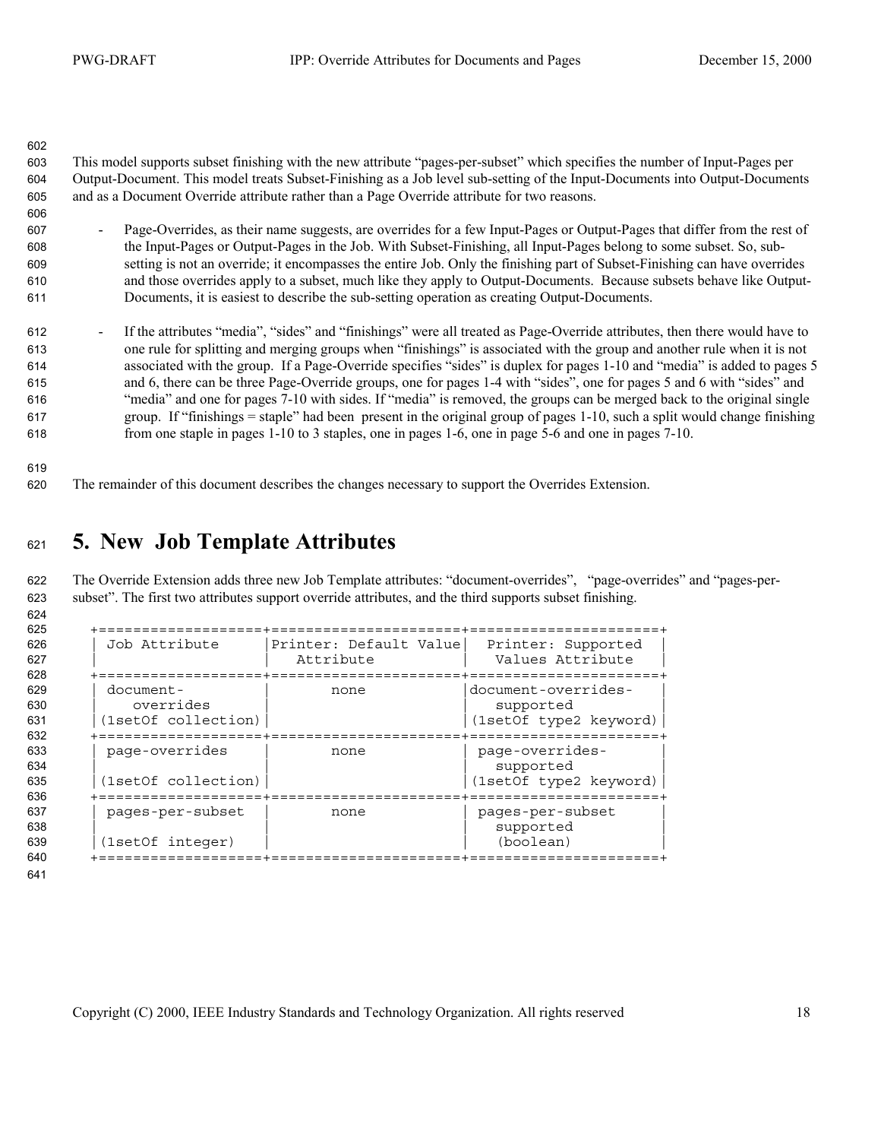<span id="page-17-0"></span>

| 602<br>603<br>604<br>605<br>606 | This model supports subset finishing with the new attribute "pages-per-subset" which specifies the number of Input-Pages per<br>Output-Document. This model treats Subset-Finishing as a Job level sub-setting of the Input-Documents into Output-Documents<br>and as a Document Override attribute rather than a Page Override attribute for two reasons. |
|---------------------------------|------------------------------------------------------------------------------------------------------------------------------------------------------------------------------------------------------------------------------------------------------------------------------------------------------------------------------------------------------------|
| 607                             | Page-Overrides, as their name suggests, are overrides for a few Input-Pages or Output-Pages that differ from the rest of                                                                                                                                                                                                                                   |
| 608                             | the Input-Pages or Output-Pages in the Job. With Subset-Finishing, all Input-Pages belong to some subset. So, sub-                                                                                                                                                                                                                                         |
| 609                             | setting is not an override; it encompasses the entire Job. Only the finishing part of Subset-Finishing can have overrides                                                                                                                                                                                                                                  |
| 610                             | and those overrides apply to a subset, much like they apply to Output-Documents. Because subsets behave like Output-                                                                                                                                                                                                                                       |
| 611                             | Documents, it is easiest to describe the sub-setting operation as creating Output-Documents.                                                                                                                                                                                                                                                               |
| 612                             | If the attributes "media", "sides" and "finishings" were all treated as Page-Override attributes, then there would have to                                                                                                                                                                                                                                 |
| 613                             | one rule for splitting and merging groups when "finishings" is associated with the group and another rule when it is not                                                                                                                                                                                                                                   |
| 614                             | associated with the group. If a Page-Override specifies "sides" is duplex for pages 1-10 and "media" is added to pages 5                                                                                                                                                                                                                                   |
| 615                             | and 6, there can be three Page-Override groups, one for pages 1-4 with "sides", one for pages 5 and 6 with "sides" and                                                                                                                                                                                                                                     |
| 616                             | "media" and one for pages 7-10 with sides. If "media" is removed, the groups can be merged back to the original single                                                                                                                                                                                                                                     |
| 617                             | group. If "finishings = staple" had been present in the original group of pages 1-10, such a split would change finishing                                                                                                                                                                                                                                  |
| 618                             | from one staple in pages 1-10 to 3 staples, one in pages 1-6, one in page 5-6 and one in pages 7-10.                                                                                                                                                                                                                                                       |

The remainder of this document describes the changes necessary to support the Overrides Extension.

## **5. New Job Template Attributes**

The Override Extension adds three new Job Template attributes: "document-overrides", "page-overrides" and "pages-per-subset". The first two attributes support override attributes, and the third supports subset finishing.

| 628<br>document-<br>629<br>none<br>overrides<br>630<br>(1setOf collection)<br>631<br>632<br>-------<br>page-overrides<br>633<br>none | document-overrides-<br>supported<br>(1setOf type2 keyword) |
|--------------------------------------------------------------------------------------------------------------------------------------|------------------------------------------------------------|
|                                                                                                                                      |                                                            |
| 634<br>(1setOf collection)<br>635<br>636                                                                                             | page-overrides-<br>supported<br>(1setOf type2 keyword)     |
| pages-per-subset<br>none<br>(1setOf integer)                                                                                         | pages-per-subset<br>supported<br>(boolean)                 |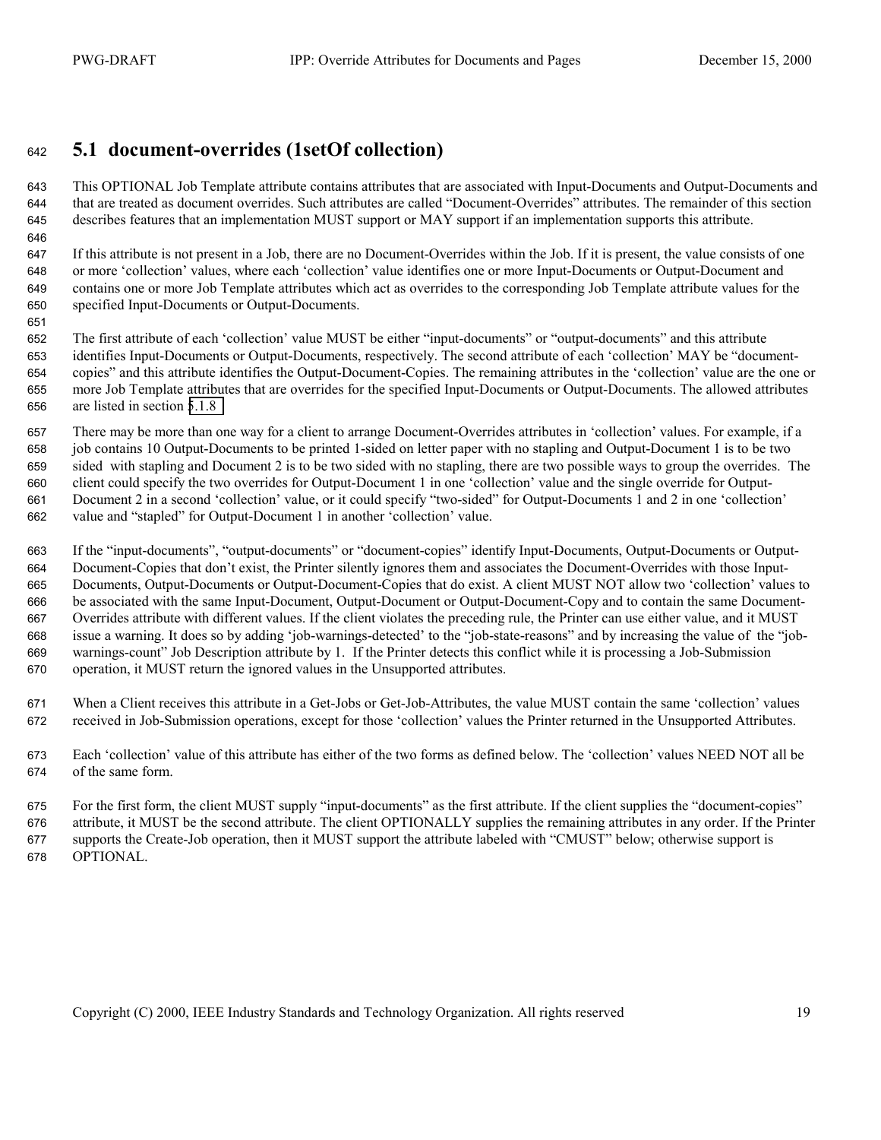#### <span id="page-18-0"></span>**5.1 document-overrides (1setOf collection)**

This OPTIONAL Job Template attribute contains attributes that are associated with Input-Documents and Output-Documents and that are treated as document overrides. Such attributes are called "Document-Overrides" attributes. The remainder of this section describes features that an implementation MUST support or MAY support if an implementation supports this attribute.

If this attribute is not present in a Job, there are no Document-Overrides within the Job. If it is present, the value consists of one or more 'collection' values, where each 'collection' value identifies one or more Input-Documents or Output-Document and contains one or more Job Template attributes which act as overrides to the corresponding Job Template attribute values for the specified Input-Documents or Output-Documents.

The first attribute of each 'collection' value MUST be either "input-documents" or "output-documents" and this attribute identifies Input-Documents or Output-Documents, respectively. The second attribute of each 'collection' MAY be "document-copies" and this attribute identifies the Output-Document-Copies. The remaining attributes in the 'collection' value are the one or more Job Template attributes that are overrides for the specified Input-Documents or Output-Documents. The allowed attributes are listed in section [5.1.8](#page-23-0) 

There may be more than one way for a client to arrange Document-Overrides attributes in 'collection' values. For example, if a job contains 10 Output-Documents to be printed 1-sided on letter paper with no stapling and Output-Document 1 is to be two sided with stapling and Document 2 is to be two sided with no stapling, there are two possible ways to group the overrides. The client could specify the two overrides for Output-Document 1 in one 'collection' value and the single override for Output-Document 2 in a second 'collection' value, or it could specify "two-sided" for Output-Documents 1 and 2 in one 'collection' value and "stapled" for Output-Document 1 in another 'collection' value.

If the "input-documents", "output-documents" or "document-copies" identify Input-Documents, Output-Documents or Output-Document-Copies that don't exist, the Printer silently ignores them and associates the Document-Overrides with those Input-Documents, Output-Documents or Output-Document-Copies that do exist. A client MUST NOT allow two 'collection' values to be associated with the same Input-Document, Output-Document or Output-Document-Copy and to contain the same Document-Overrides attribute with different values. If the client violates the preceding rule, the Printer can use either value, and it MUST issue a warning. It does so by adding 'job-warnings-detected' to the "job-state-reasons" and by increasing the value of the "job-warnings-count" Job Description attribute by 1. If the Printer detects this conflict while it is processing a Job-Submission operation, it MUST return the ignored values in the Unsupported attributes.

When a Client receives this attribute in a Get-Jobs or Get-Job-Attributes, the value MUST contain the same 'collection' values received in Job-Submission operations, except for those 'collection' values the Printer returned in the Unsupported Attributes.

Each 'collection' value of this attribute has either of the two forms as defined below. The 'collection' values NEED NOT all be of the same form.

For the first form, the client MUST supply "input-documents" as the first attribute. If the client supplies the "document-copies" attribute, it MUST be the second attribute. The client OPTIONALLY supplies the remaining attributes in any order. If the Printer supports the Create-Job operation, then it MUST support the attribute labeled with "CMUST" below; otherwise support is OPTIONAL.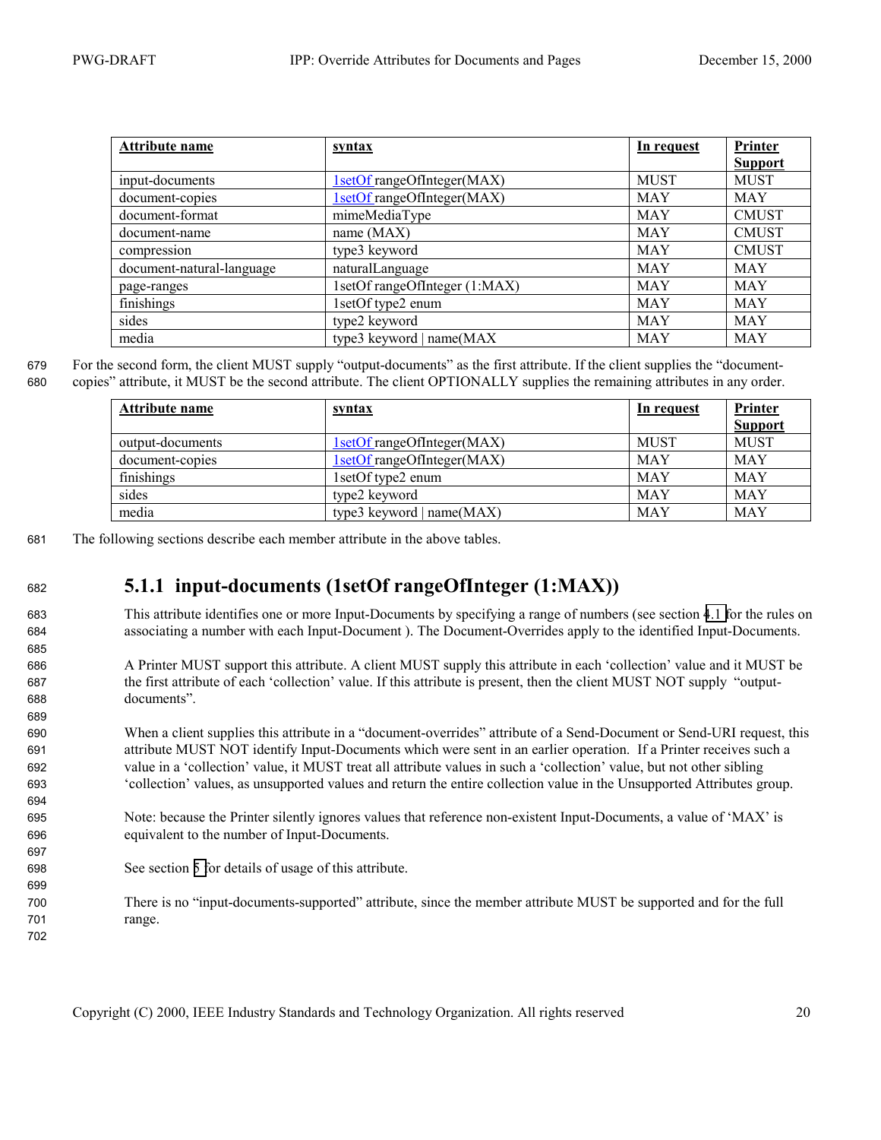689

694

697

699

702

<span id="page-19-0"></span>

| Attribute name            | <u>syntax</u>                 | In request  | Printer        |
|---------------------------|-------------------------------|-------------|----------------|
|                           |                               |             | <b>Support</b> |
| input-documents           | 1setOf rangeOfInteger(MAX)    | <b>MUST</b> | <b>MUST</b>    |
| document-copies           | 1setOf rangeOfInteger(MAX)    | MAY         | <b>MAY</b>     |
| document-format           | mimeMediaType                 | <b>MAY</b>  | <b>CMUST</b>   |
| document-name             | name $(MAX)$                  | MAY         | <b>CMUST</b>   |
| compression               | type3 keyword                 | <b>MAY</b>  | <b>CMUST</b>   |
| document-natural-language | naturalLanguage               | <b>MAY</b>  | <b>MAY</b>     |
| page-ranges               | 1setOf rangeOfInteger (1:MAX) | <b>MAY</b>  | <b>MAY</b>     |
| finishings                | 1setOf type2 enum             | MAY         | <b>MAY</b>     |
| sides                     | type2 keyword                 | <b>MAY</b>  | <b>MAY</b>     |
| media                     | type3 keyword   name(MAX      | MAY         | <b>MAY</b>     |

679 For the second form, the client MUST supply "output-documents" as the first attribute. If the client supplies the "document-

680 copies" attribute, it MUST be the second attribute. The client OPTIONALLY supplies the remaining attributes in any order.

| Attribute name   | <u>syntax</u>              | In request  | Printer<br><b>Support</b> |
|------------------|----------------------------|-------------|---------------------------|
| output-documents | 1setOf rangeOfInteger(MAX) | <b>MUST</b> | <b>MUST</b>               |
| document-copies  | 1setOf rangeOfInteger(MAX) | <b>MAY</b>  | <b>MAY</b>                |
| finishings       | 1 set Of type 2 enum       | <b>MAY</b>  | <b>MAY</b>                |
| sides            | type2 keyword              | <b>MAY</b>  | <b>MAY</b>                |
| media            | type3 keyword   name(MAX)  | <b>MAY</b>  | <b>MAY</b>                |

681 The following sections describe each member attribute in the above tables.

#### <sup>682</sup>**5.1.1 input-documents (1setOf rangeOfInteger (1:MAX))**

683 This attribute identifies one or more Input-Documents by specifying a range of numbers (see section [4.1 f](#page-11-0)or the rules on 684 associating a number with each Input-Document ). The Document-Overrides apply to the identified Input-Documents.

686 A Printer MUST support this attribute. A client MUST supply this attribute in each 'collection' value and it MUST be 687 the first attribute of each 'collection' value. If this attribute is present, then the client MUST NOT supply "output-688 documents".

When a client supplies this attribute in a "document-overrides" attribute of a Send-Document or Send-URI request, this attribute MUST NOT identify Input-Documents which were sent in an earlier operation. If a Printer receives such a value in a 'collection' value, it MUST treat all attribute values in such a 'collection' value, but not other sibling 'collection' values, as unsupported values and return the entire collection value in the Unsupported Attributes group.

- 695 Note: because the Printer silently ignores values that reference non-existent Input-Documents, a value of 'MAX' is 696 equivalent to the number of Input-Documents.
- 698 See section [5 f](#page-17-0)or details of usage of this attribute.
- 700 There is no "input-documents-supported" attribute, since the member attribute MUST be supported and for the full 701 range.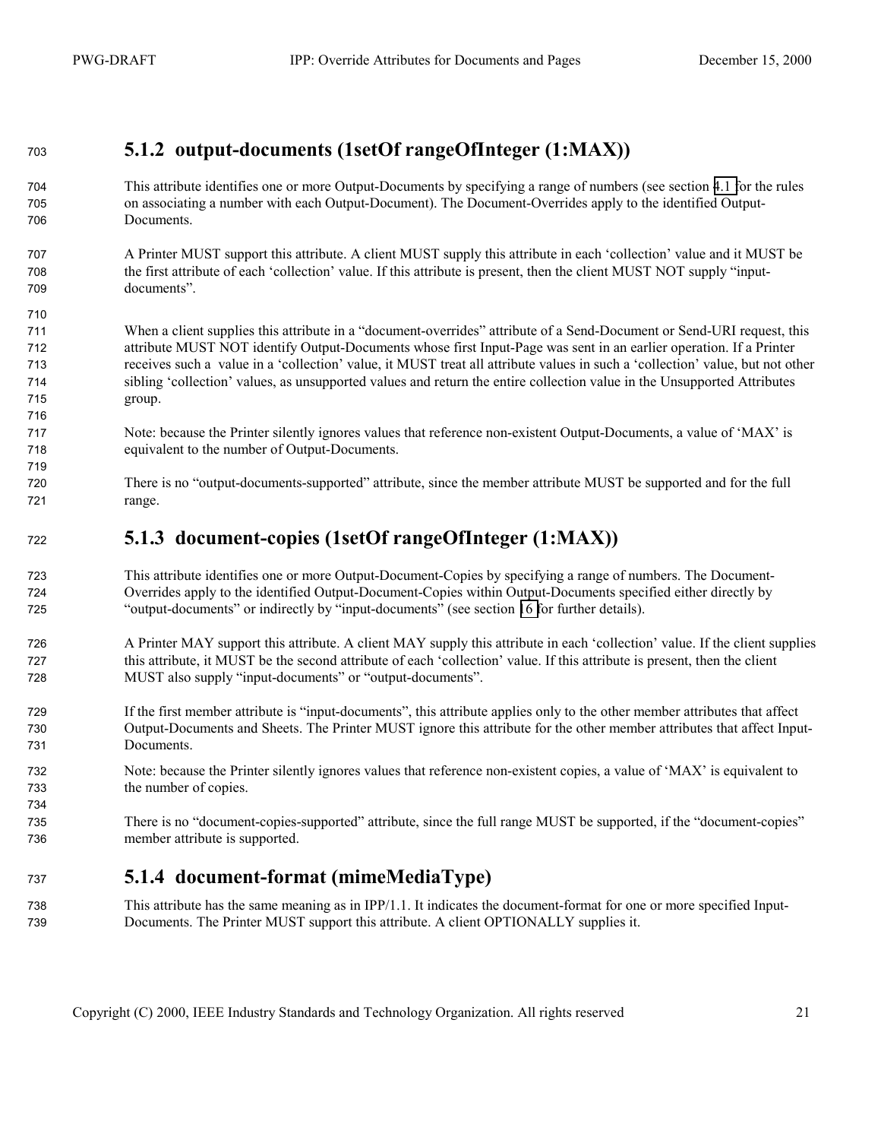#### <span id="page-20-0"></span>**5.1.2 output-documents (1setOf rangeOfInteger (1:MAX))**

- This attribute identifies one or more Output-Documents by specifying a range of numbers (see section [4.1 f](#page-11-0)or the rules on associating a number with each Output-Document). The Document-Overrides apply to the identified Output-Documents.
- A Printer MUST support this attribute. A client MUST supply this attribute in each 'collection' value and it MUST be the first attribute of each 'collection' value. If this attribute is present, then the client MUST NOT supply "input-documents".
- When a client supplies this attribute in a "document-overrides" attribute of a Send-Document or Send-URI request, this attribute MUST NOT identify Output-Documents whose first Input-Page was sent in an earlier operation. If a Printer receives such a value in a 'collection' value, it MUST treat all attribute values in such a 'collection' value, but not other sibling 'collection' values, as unsupported values and return the entire collection value in the Unsupported Attributes group.
- Note: because the Printer silently ignores values that reference non-existent Output-Documents, a value of 'MAX' is equivalent to the number of Output-Documents.
- There is no "output-documents-supported" attribute, since the member attribute MUST be supported and for the full range.

#### **5.1.3 document-copies (1setOf rangeOfInteger (1:MAX))**

- This attribute identifies one or more Output-Document-Copies by specifying a range of numbers. The Document-Overrides apply to the identified Output-Document-Copies within Output-Documents specified either directly by "output-documents" or indirectly by "input-documents" (see section [16 f](#page-43-0)or further details).
- A Printer MAY support this attribute. A client MAY supply this attribute in each 'collection' value. If the client supplies this attribute, it MUST be the second attribute of each 'collection' value. If this attribute is present, then the client MUST also supply "input-documents" or "output-documents".
- If the first member attribute is "input-documents", this attribute applies only to the other member attributes that affect Output-Documents and Sheets. The Printer MUST ignore this attribute for the other member attributes that affect Input-Documents.
- Note: because the Printer silently ignores values that reference non-existent copies, a value of 'MAX' is equivalent to the number of copies.
- There is no "document-copies-supported" attribute, since the full range MUST be supported, if the "document-copies" member attribute is supported.

#### **5.1.4 document-format (mimeMediaType)**

This attribute has the same meaning as in IPP/1.1. It indicates the document-format for one or more specified Input-Documents. The Printer MUST support this attribute. A client OPTIONALLY supplies it.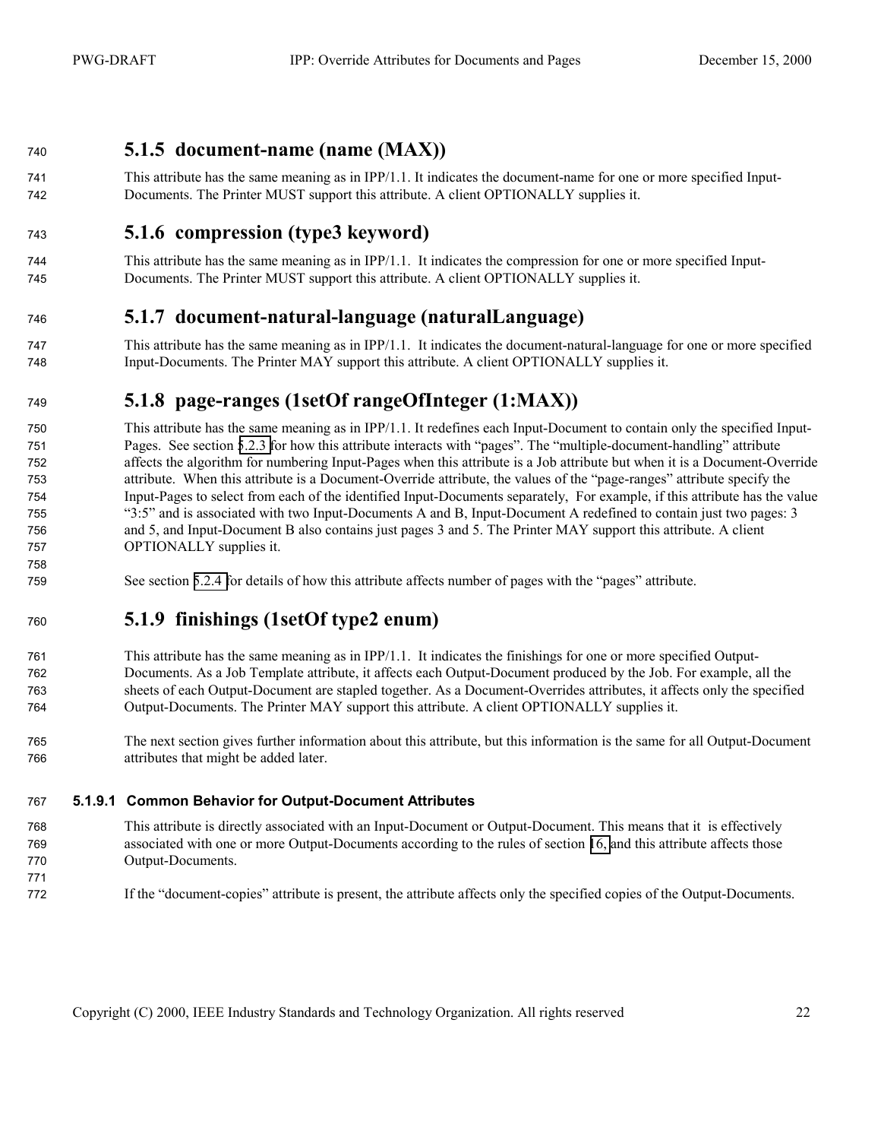#### <span id="page-21-0"></span>**5.1.5 document-name (name (MAX))**

This attribute has the same meaning as in IPP/1.1. It indicates the document-name for one or more specified Input-Documents. The Printer MUST support this attribute. A client OPTIONALLY supplies it.

#### **5.1.6 compression (type3 keyword)**

This attribute has the same meaning as in IPP/1.1. It indicates the compression for one or more specified Input-Documents. The Printer MUST support this attribute. A client OPTIONALLY supplies it.

#### **5.1.7 document-natural-language (naturalLanguage)**

This attribute has the same meaning as in IPP/1.1. It indicates the document-natural-language for one or more specified Input-Documents. The Printer MAY support this attribute. A client OPTIONALLY supplies it.

#### **5.1.8 page-ranges (1setOf rangeOfInteger (1:MAX))**

This attribute has the same meaning as in IPP/1.1. It redefines each Input-Document to contain only the specified Input-Pages. See section [5.2.3 f](#page-26-0)or how this attribute interacts with "pages". The "multiple-document-handling" attribute affects the algorithm for numbering Input-Pages when this attribute is a Job attribute but when it is a Document-Override attribute. When this attribute is a Document-Override attribute, the values of the "page-ranges" attribute specify the Input-Pages to select from each of the identified Input-Documents separately, For example, if this attribute has the value "3:5" and is associated with two Input-Documents A and B, Input-Document A redefined to contain just two pages: 3 and 5, and Input-Document B also contains just pages 3 and 5. The Printer MAY support this attribute. A client OPTIONALLY supplies it.

See section [5.2.4 f](#page-26-0)or details of how this attribute affects number of pages with the "pages" attribute.

#### **5.1.9 finishings (1setOf type2 enum)**

This attribute has the same meaning as in IPP/1.1. It indicates the finishings for one or more specified Output-Documents. As a Job Template attribute, it affects each Output-Document produced by the Job. For example, all the sheets of each Output-Document are stapled together. As a Document-Overrides attributes, it affects only the specified Output-Documents. The Printer MAY support this attribute. A client OPTIONALLY supplies it.

The next section gives further information about this attribute, but this information is the same for all Output-Document attributes that might be added later.

#### **5.1.9.1 Common Behavior for Output-Document Attributes**

- This attribute is directly associated with an Input-Document or Output-Document. This means that it is effectively associated with one or more Output-Documents according to the rules of section [16,](#page-43-0) and this attribute affects those Output-Documents.
- If the "document-copies" attribute is present, the attribute affects only the specified copies of the Output-Documents.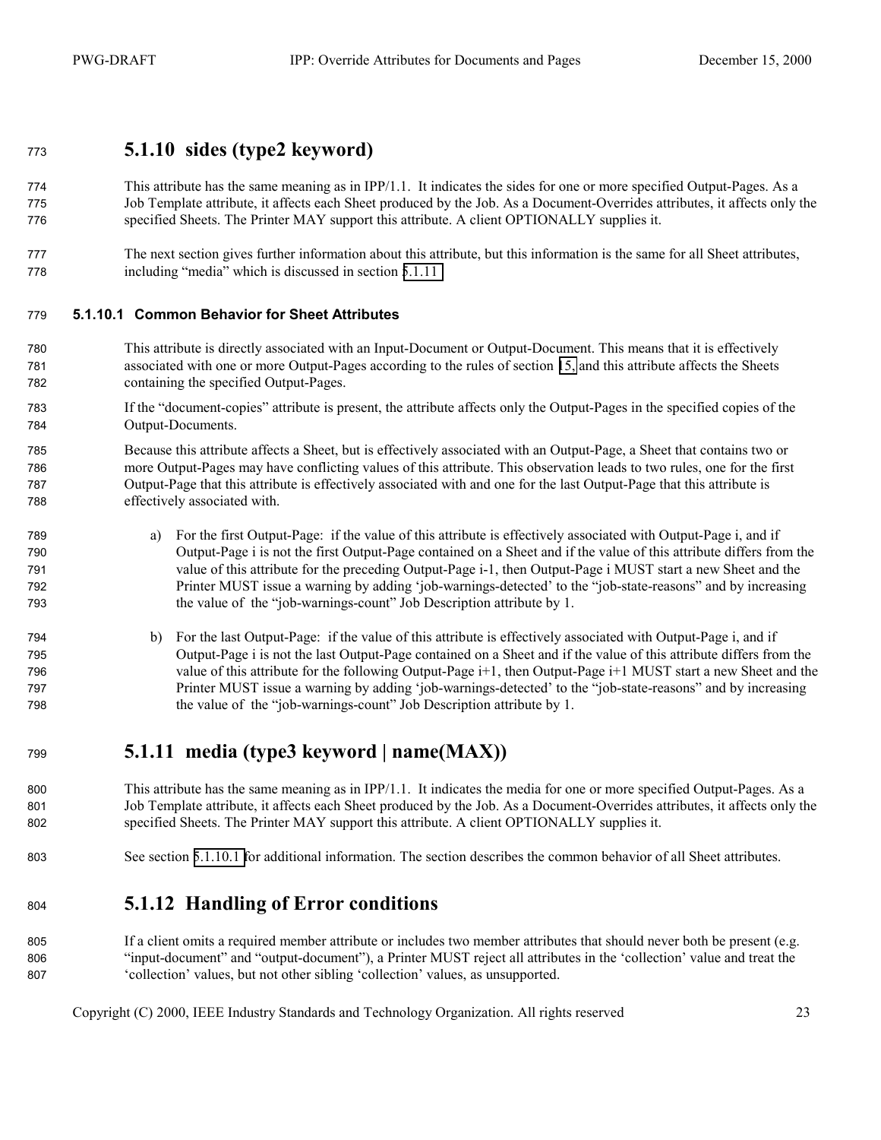#### <span id="page-22-0"></span>**5.1.10 sides (type2 keyword)**

- This attribute has the same meaning as in IPP/1.1. It indicates the sides for one or more specified Output-Pages. As a Job Template attribute, it affects each Sheet produced by the Job. As a Document-Overrides attributes, it affects only the specified Sheets. The Printer MAY support this attribute. A client OPTIONALLY supplies it.
- The next section gives further information about this attribute, but this information is the same for all Sheet attributes, including "media" which is discussed in section 5.1.11

#### **5.1.10.1 Common Behavior for Sheet Attributes**

- This attribute is directly associated with an Input-Document or Output-Document. This means that it is effectively associated with one or more Output-Pages according to the rules of section [15,](#page-43-0) and this attribute affects the Sheets containing the specified Output-Pages.
- If the "document-copies" attribute is present, the attribute affects only the Output-Pages in the specified copies of the Output-Documents.
- Because this attribute affects a Sheet, but is effectively associated with an Output-Page, a Sheet that contains two or more Output-Pages may have conflicting values of this attribute. This observation leads to two rules, one for the first Output-Page that this attribute is effectively associated with and one for the last Output-Page that this attribute is effectively associated with.
- a) For the first Output-Page: if the value of this attribute is effectively associated with Output-Page i, and if Output-Page i is not the first Output-Page contained on a Sheet and if the value of this attribute differs from the value of this attribute for the preceding Output-Page i-1, then Output-Page i MUST start a new Sheet and the Printer MUST issue a warning by adding 'job-warnings-detected' to the "job-state-reasons" and by increasing the value of the "job-warnings-count" Job Description attribute by 1.
- b) For the last Output-Page: if the value of this attribute is effectively associated with Output-Page i, and if Output-Page i is not the last Output-Page contained on a Sheet and if the value of this attribute differs from the value of this attribute for the following Output-Page i+1, then Output-Page i+1 MUST start a new Sheet and the Printer MUST issue a warning by adding 'job-warnings-detected' to the "job-state-reasons" and by increasing the value of the "job-warnings-count" Job Description attribute by 1.

#### **5.1.11 media (type3 keyword | name(MAX))**

800 This attribute has the same meaning as in IPP/1.1. It indicates the media for one or more specified Output-Pages. As a Job Template attribute, it affects each Sheet produced by the Job. As a Document-Overrides attributes, it affects only the specified Sheets. The Printer MAY support this attribute. A client OPTIONALLY supplies it.

See section 5.1.10.1 for additional information. The section describes the common behavior of all Sheet attributes.

#### **5.1.12 Handling of Error conditions**

805 If a client omits a required member attribute or includes two member attributes that should never both be present (e.g. "input-document" and "output-document"), a Printer MUST reject all attributes in the 'collection' value and treat the 'collection' values, but not other sibling 'collection' values, as unsupported.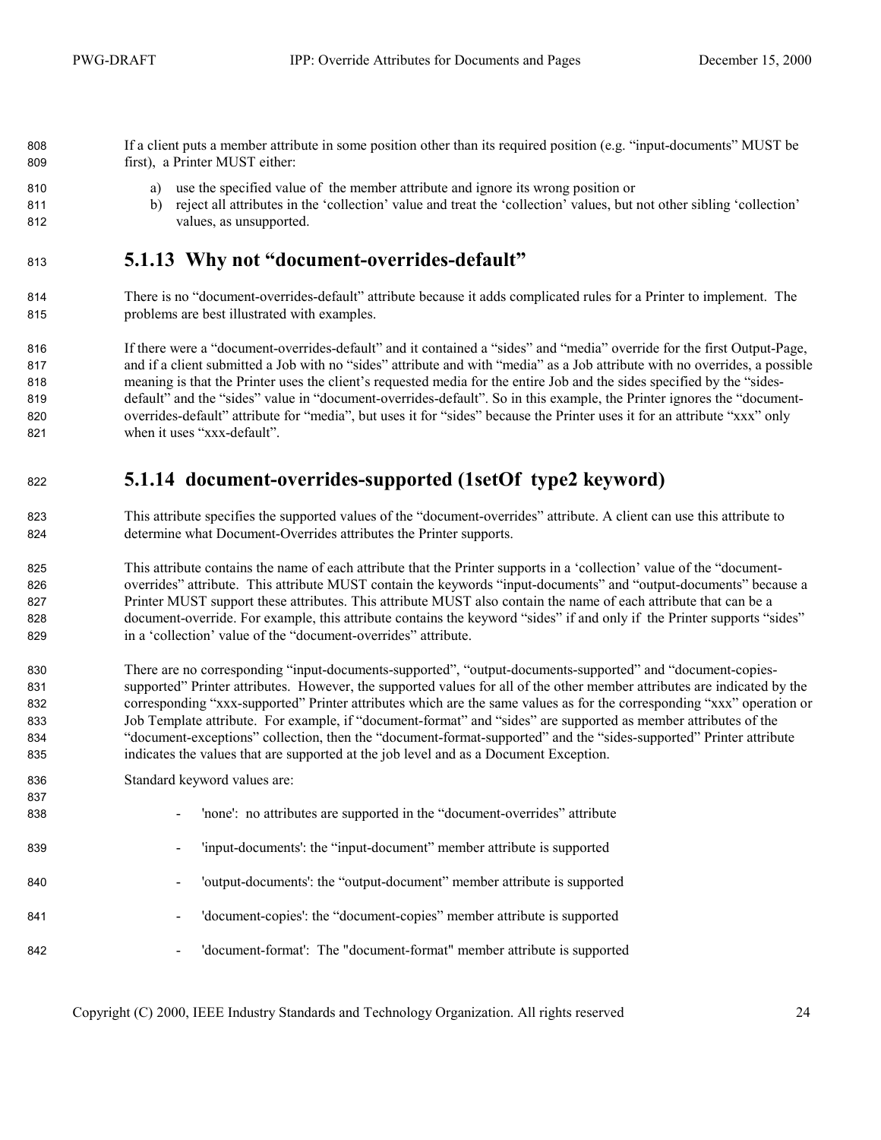<span id="page-23-0"></span>If a client puts a member attribute in some position other than its required position (e.g. "input-documents" MUST be first), a Printer MUST either:

- a) use the specified value of the member attribute and ignore its wrong position or
- b) reject all attributes in the 'collection' value and treat the 'collection' values, but not other sibling 'collection' values, as unsupported.

#### **5.1.13 Why not "document-overrides-default"**

There is no "document-overrides-default" attribute because it adds complicated rules for a Printer to implement. The problems are best illustrated with examples.

816 If there were a "document-overrides-default" and it contained a "sides" and "media" override for the first Output-Page, and if a client submitted a Job with no "sides" attribute and with "media" as a Job attribute with no overrides, a possible meaning is that the Printer uses the client's requested media for the entire Job and the sides specified by the "sides-default" and the "sides" value in "document-overrides-default". So in this example, the Printer ignores the "document-overrides-default" attribute for "media", but uses it for "sides" because the Printer uses it for an attribute "xxx" only when it uses "xxx-default".

#### **5.1.14 document-overrides-supported (1setOf type2 keyword)**

- This attribute specifies the supported values of the "document-overrides" attribute. A client can use this attribute to determine what Document-Overrides attributes the Printer supports.
- This attribute contains the name of each attribute that the Printer supports in a 'collection' value of the "document-overrides" attribute. This attribute MUST contain the keywords "input-documents" and "output-documents" because a Printer MUST support these attributes. This attribute MUST also contain the name of each attribute that can be a document-override. For example, this attribute contains the keyword "sides" if and only if the Printer supports "sides" in a 'collection' value of the "document-overrides" attribute.
- There are no corresponding "input-documents-supported", "output-documents-supported" and "document-copies-supported" Printer attributes. However, the supported values for all of the other member attributes are indicated by the corresponding "xxx-supported" Printer attributes which are the same values as for the corresponding "xxx" operation or Job Template attribute. For example, if "document-format" and "sides" are supported as member attributes of the "document-exceptions" collection, then the "document-format-supported" and the "sides-supported" Printer attribute indicates the values that are supported at the job level and as a Document Exception.
- Standard keyword values are:

| 837<br>838 | $\blacksquare$           | 'none': no attributes are supported in the "document-overrides" attribute |
|------------|--------------------------|---------------------------------------------------------------------------|
| 839        | $\blacksquare$           | 'input-documents': the "input-document" member attribute is supported     |
| 840        | $\overline{\phantom{a}}$ | 'output-documents': the "output-document" member attribute is supported   |
| 841        | $\blacksquare$           | 'document-copies': the "document-copies" member attribute is supported    |
| 842        | $\overline{\phantom{a}}$ | 'document-format': The "document-format" member attribute is supported    |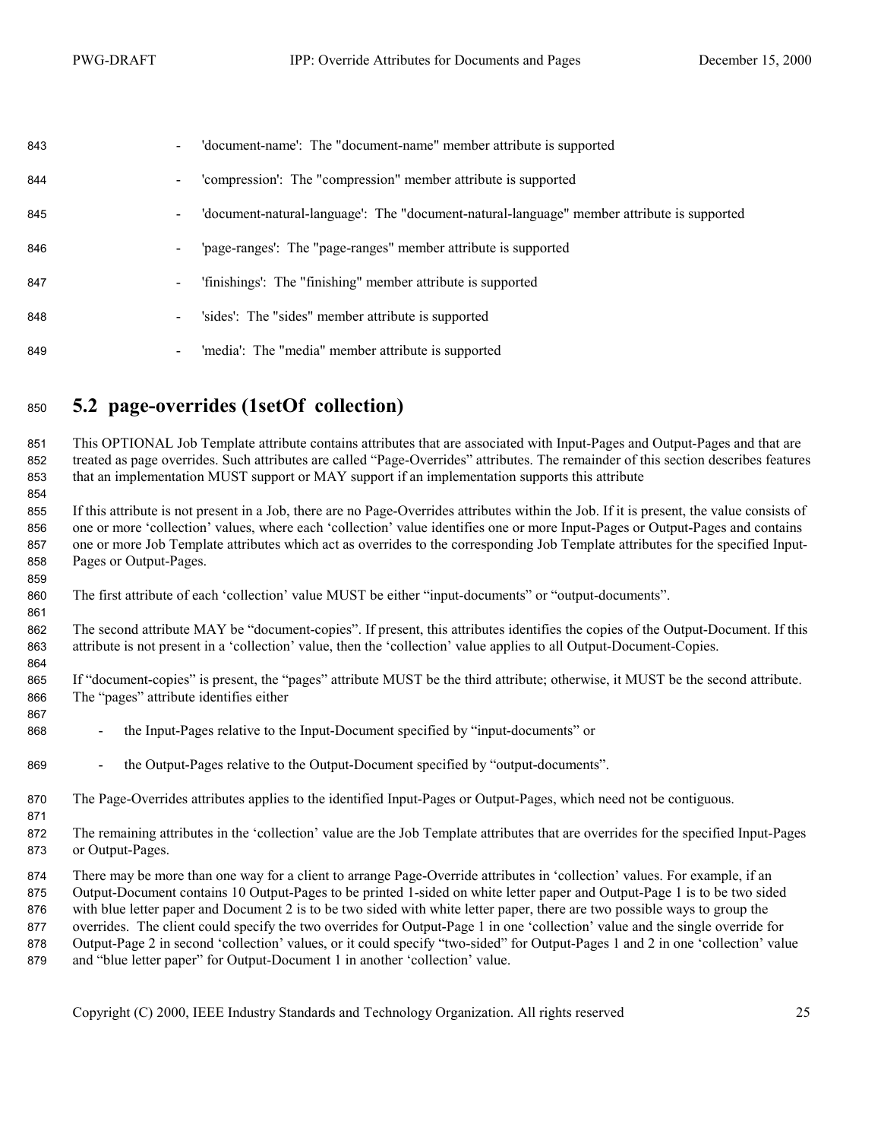<span id="page-24-0"></span>

| 843 | 'document-name': The "document-name" member attribute is supported                                           |
|-----|--------------------------------------------------------------------------------------------------------------|
| 844 | 'compression': The "compression" member attribute is supported<br>$\blacksquare$                             |
| 845 | 'document-natural-language': The "document-natural-language" member attribute is supported<br>$\blacksquare$ |
| 846 | 'page-ranges': The "page-ranges" member attribute is supported<br>$\overline{\phantom{a}}$                   |
| 847 | 'finishings': The "finishing" member attribute is supported<br>$\blacksquare$                                |
| 848 | 'sides': The "sides" member attribute is supported<br>۰                                                      |
| 849 | 'media': The "media" member attribute is supported<br>$\blacksquare$                                         |

### **5.2 page-overrides (1setOf collection)**

This OPTIONAL Job Template attribute contains attributes that are associated with Input-Pages and Output-Pages and that are treated as page overrides. Such attributes are called "Page-Overrides" attributes. The remainder of this section describes features that an implementation MUST support or MAY support if an implementation supports this attribute

If this attribute is not present in a Job, there are no Page-Overrides attributes within the Job. If it is present, the value consists of one or more 'collection' values, where each 'collection' value identifies one or more Input-Pages or Output-Pages and contains one or more Job Template attributes which act as overrides to the corresponding Job Template attributes for the specified Input-Pages or Output-Pages.

The first attribute of each 'collection' value MUST be either "input-documents" or "output-documents".

The second attribute MAY be "document-copies". If present, this attributes identifies the copies of the Output-Document. If this attribute is not present in a 'collection' value, then the 'collection' value applies to all Output-Document-Copies.

If "document-copies" is present, the "pages" attribute MUST be the third attribute; otherwise, it MUST be the second attribute. The "pages" attribute identifies either

- 868 the Input-Pages relative to the Input-Document specified by "input-documents" or
- 869 the Output-Pages relative to the Output-Document specified by "output-documents".
- 870 The Page-Overrides attributes applies to the identified Input-Pages or Output-Pages, which need not be contiguous.
- The remaining attributes in the 'collection' value are the Job Template attributes that are overrides for the specified Input-Pages or Output-Pages.
- There may be more than one way for a client to arrange Page-Override attributes in 'collection' values. For example, if an
- Output-Document contains 10 Output-Pages to be printed 1-sided on white letter paper and Output-Page 1 is to be two sided
- with blue letter paper and Document 2 is to be two sided with white letter paper, there are two possible ways to group the
- overrides. The client could specify the two overrides for Output-Page 1 in one 'collection' value and the single override for Output-Page 2 in second 'collection' values, or it could specify "two-sided" for Output-Pages 1 and 2 in one 'collection' value
- and "blue letter paper" for Output-Document 1 in another 'collection' value.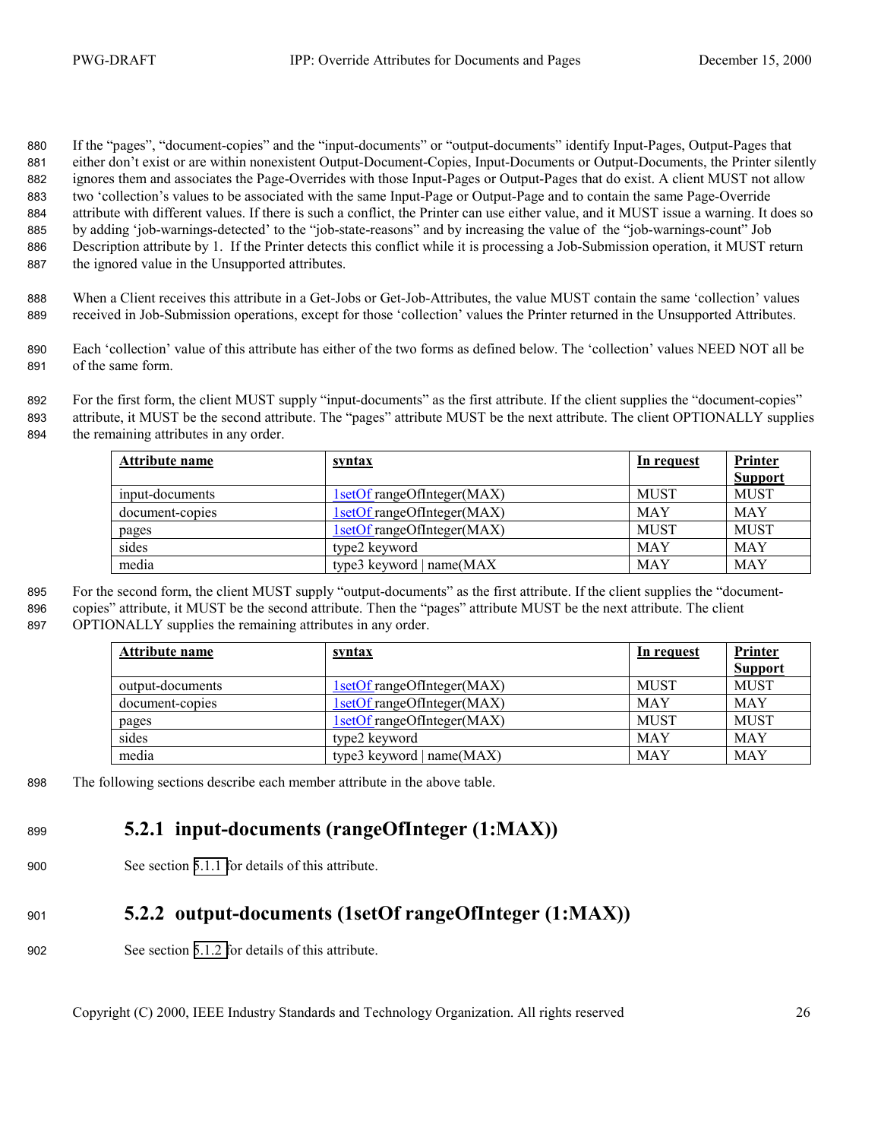<span id="page-25-0"></span>If the "pages", "document-copies" and the "input-documents" or "output-documents" identify Input-Pages, Output-Pages that either don't exist or are within nonexistent Output-Document-Copies, Input-Documents or Output-Documents, the Printer silently ignores them and associates the Page-Overrides with those Input-Pages or Output-Pages that do exist. A client MUST not allow two 'collection's values to be associated with the same Input-Page or Output-Page and to contain the same Page-Override attribute with different values. If there is such a conflict, the Printer can use either value, and it MUST issue a warning. It does so by adding 'job-warnings-detected' to the "job-state-reasons" and by increasing the value of the "job-warnings-count" Job Description attribute by 1. If the Printer detects this conflict while it is processing a Job-Submission operation, it MUST return the ignored value in the Unsupported attributes.

888 When a Client receives this attribute in a Get-Jobs or Get-Job-Attributes, the value MUST contain the same 'collection' values 889 received in Job-Submission operations, except for those 'collection' values the Printer returned in the Unsupported Attributes.

890 Each 'collection' value of this attribute has either of the two forms as defined below. The 'collection' values NEED NOT all be 891 of the same form.

892 For the first form, the client MUST supply "input-documents" as the first attribute. If the client supplies the "document-copies" 893 attribute, it MUST be the second attribute. The "pages" attribute MUST be the next attribute. The client OPTIONALLY supplies 894 the remaining attributes in any order.

| Attribute name  | <u>syntax</u>              | <u>In request</u> | <b>Printer</b><br><b>Support</b> |
|-----------------|----------------------------|-------------------|----------------------------------|
| input-documents | 1setOf rangeOfInteger(MAX) | <b>MUST</b>       | <b>MUST</b>                      |
| document-copies | 1setOf rangeOfInteger(MAX) | <b>MAY</b>        | <b>MAY</b>                       |
| pages           | 1setOf rangeOfInteger(MAX) | <b>MUST</b>       | <b>MUST</b>                      |
| sides           | type2 keyword              | <b>MAY</b>        | <b>MAY</b>                       |
| media           | type3 keyword $ name(MAX)$ | <b>MAY</b>        | <b>MAY</b>                       |

895 For the second form, the client MUST supply "output-documents" as the first attribute. If the client supplies the "document-896 copies" attribute, it MUST be the second attribute. Then the "pages" attribute MUST be the next attribute. The client 897 OPTIONALLY supplies the remaining attributes in any order.

| Attribute name   | <u>syntax</u>               | In request  | <b>Printer</b><br><b>Support</b> |
|------------------|-----------------------------|-------------|----------------------------------|
| output-documents | 1setOf rangeOfInteger(MAX)  | <b>MUST</b> | <b>MUST</b>                      |
| document-copies  | 1setOf rangeOfInteger(MAX)  | <b>MAY</b>  | <b>MAY</b>                       |
| pages            | 1setOf rangeOfInteger(MAX)  | <b>MUST</b> | <b>MUST</b>                      |
| sides            | type2 keyword               | <b>MAY</b>  | <b>MAY</b>                       |
| media            | type3 keyword $ name(MAX) $ | <b>MAY</b>  | <b>MAY</b>                       |

898 The following sections describe each member attribute in the above table.

### <sup>899</sup>**5.2.1 input-documents (rangeOfInteger (1:MAX))**

900 See section [5.1.1 f](#page-19-0)or details of this attribute.

## <sup>901</sup>**5.2.2 output-documents (1setOf rangeOfInteger (1:MAX))**

902 See section [5.1.2 f](#page-20-0)or details of this attribute.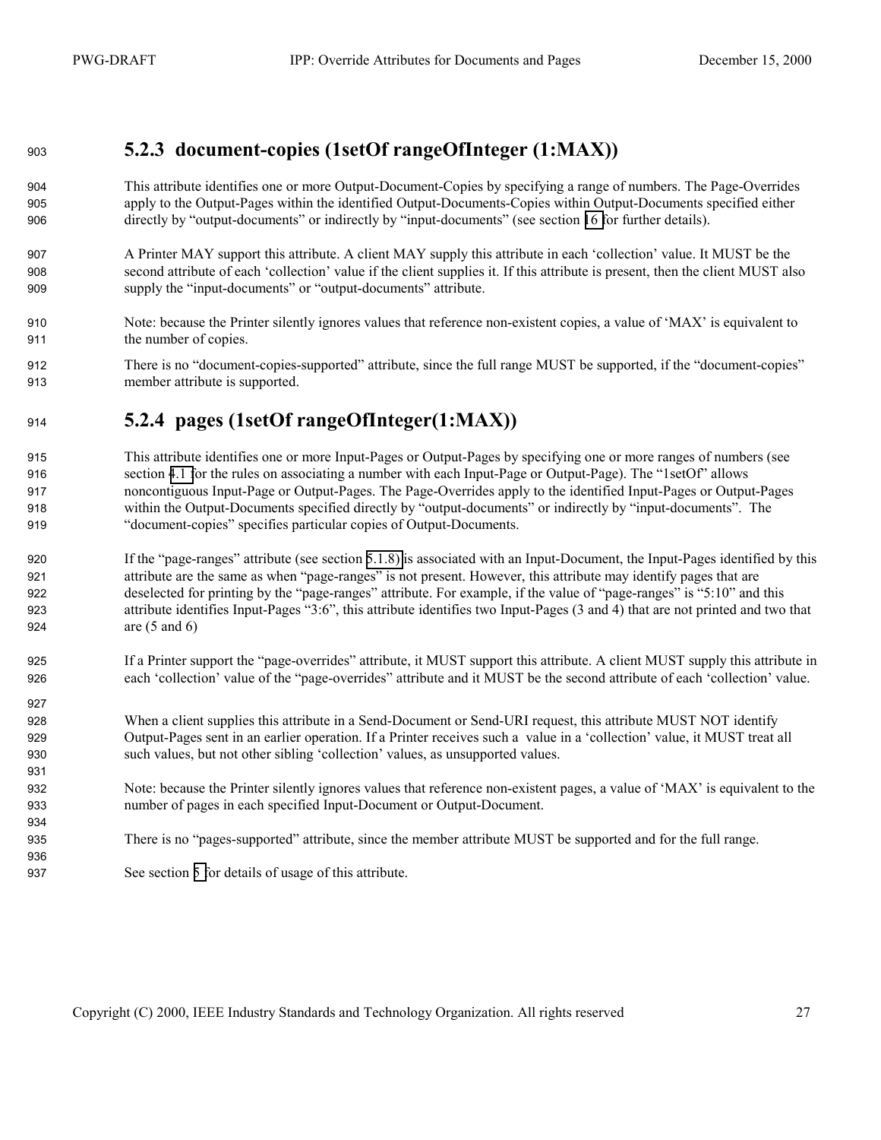#### <span id="page-26-0"></span>**5.2.3 document-copies (1setOf rangeOfInteger (1:MAX))**

- This attribute identifies one or more Output-Document-Copies by specifying a range of numbers. The Page-Overrides apply to the Output-Pages within the identified Output-Documents-Copies within Output-Documents specified either directly by "output-documents" or indirectly by "input-documents" (see section [16 f](#page-43-0)or further details).
- A Printer MAY support this attribute. A client MAY supply this attribute in each 'collection' value. It MUST be the second attribute of each 'collection' value if the client supplies it. If this attribute is present, then the client MUST also supply the "input-documents" or "output-documents" attribute.
- Note: because the Printer silently ignores values that reference non-existent copies, a value of 'MAX' is equivalent to the number of copies.
- 912 There is no "document-copies-supported" attribute, since the full range MUST be supported, if the "document-copies" member attribute is supported.

#### **5.2.4 pages (1setOf rangeOfInteger(1:MAX))**

- This attribute identifies one or more Input-Pages or Output-Pages by specifying one or more ranges of numbers (see section [4.1 f](#page-11-0)or the rules on associating a number with each Input-Page or Output-Page). The "1setOf" allows noncontiguous Input-Page or Output-Pages. The Page-Overrides apply to the identified Input-Pages or Output-Pages within the Output-Documents specified directly by "output-documents" or indirectly by "input-documents". The "document-copies" specifies particular copies of Output-Documents.
- If the "page-ranges" attribute (see section [5.1.8\)](#page-21-0) is associated with an Input-Document, the Input-Pages identified by this attribute are the same as when "page-ranges" is not present. However, this attribute may identify pages that are deselected for printing by the "page-ranges" attribute. For example, if the value of "page-ranges" is "5:10" and this attribute identifies Input-Pages "3:6", this attribute identifies two Input-Pages (3 and 4) that are not printed and two that are (5 and 6)
- If a Printer support the "page-overrides" attribute, it MUST support this attribute. A client MUST supply this attribute in each 'collection' value of the "page-overrides" attribute and it MUST be the second attribute of each 'collection' value.
- 928 When a client supplies this attribute in a Send-Document or Send-URI request, this attribute MUST NOT identify Output-Pages sent in an earlier operation. If a Printer receives such a value in a 'collection' value, it MUST treat all such values, but not other sibling 'collection' values, as unsupported values.
- Note: because the Printer silently ignores values that reference non-existent pages, a value of 'MAX' is equivalent to the number of pages in each specified Input-Document or Output-Document.
- There is no "pages-supported" attribute, since the member attribute MUST be supported and for the full range.
- See section [5 f](#page-17-0)or details of usage of this attribute.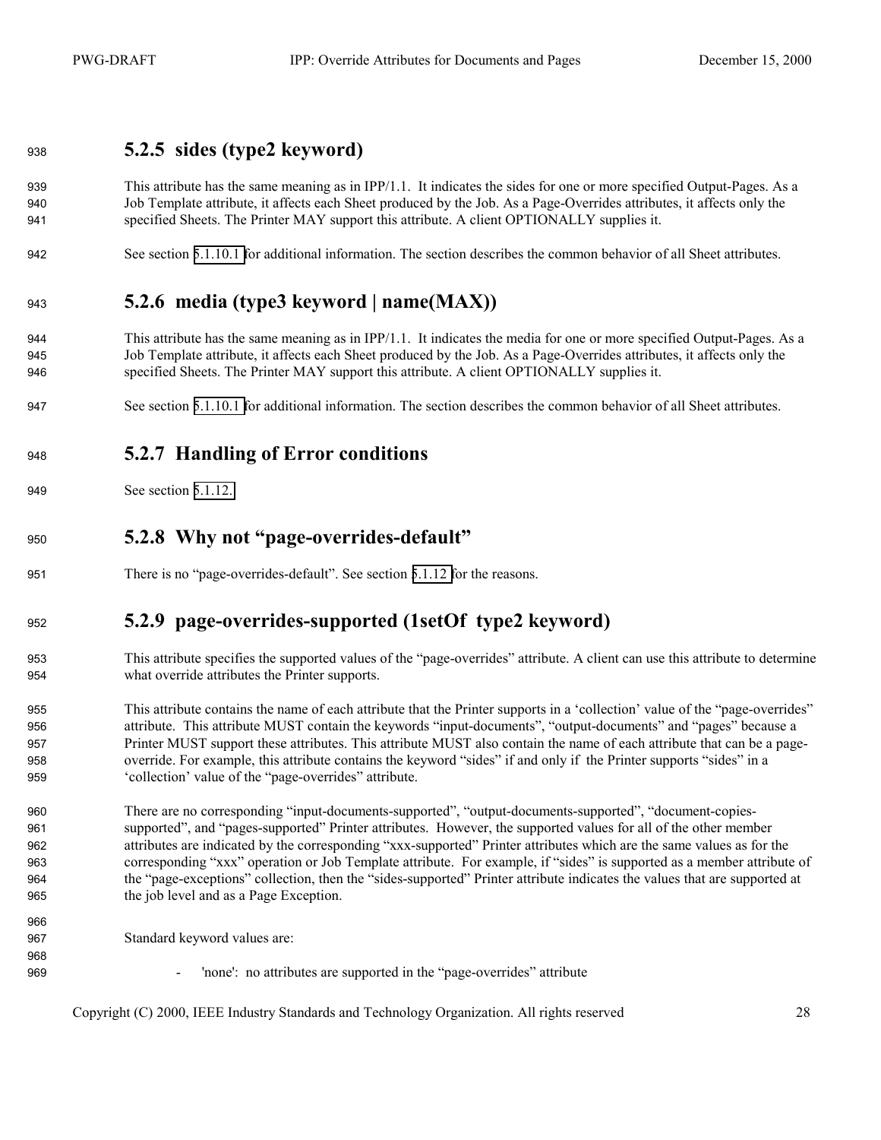#### <span id="page-27-0"></span>**5.2.5 sides (type2 keyword)**

- This attribute has the same meaning as in IPP/1.1. It indicates the sides for one or more specified Output-Pages. As a Job Template attribute, it affects each Sheet produced by the Job. As a Page-Overrides attributes, it affects only the specified Sheets. The Printer MAY support this attribute. A client OPTIONALLY supplies it.
- See section [5.1.10.1 f](#page-22-0)or additional information. The section describes the common behavior of all Sheet attributes.

#### **5.2.6 media (type3 keyword | name(MAX))**

- This attribute has the same meaning as in IPP/1.1. It indicates the media for one or more specified Output-Pages. As a Job Template attribute, it affects each Sheet produced by the Job. As a Page-Overrides attributes, it affects only the specified Sheets. The Printer MAY support this attribute. A client OPTIONALLY supplies it.
- See section [5.1.10.1 f](#page-22-0)or additional information. The section describes the common behavior of all Sheet attributes.

#### **5.2.7 Handling of Error conditions**

See section [5.1.12.](#page-22-0) 

#### **5.2.8 Why not "page-overrides-default"**

There is no "page-overrides-default". See section [5.1.12 f](#page-23-0)or the reasons.

#### **5.2.9 page-overrides-supported (1setOf type2 keyword)**

- This attribute specifies the supported values of the "page-overrides" attribute. A client can use this attribute to determine what override attributes the Printer supports.
- This attribute contains the name of each attribute that the Printer supports in a 'collection' value of the "page-overrides" attribute. This attribute MUST contain the keywords "input-documents", "output-documents" and "pages" because a Printer MUST support these attributes. This attribute MUST also contain the name of each attribute that can be a page-override. For example, this attribute contains the keyword "sides" if and only if the Printer supports "sides" in a 'collection' value of the "page-overrides" attribute.
- There are no corresponding "input-documents-supported", "output-documents-supported", "document-copies-supported", and "pages-supported" Printer attributes. However, the supported values for all of the other member attributes are indicated by the corresponding "xxx-supported" Printer attributes which are the same values as for the corresponding "xxx" operation or Job Template attribute. For example, if "sides" is supported as a member attribute of the "page-exceptions" collection, then the "sides-supported" Printer attribute indicates the values that are supported at the job level and as a Page Exception.
- Standard keyword values are:

- 'none': no attributes are supported in the "page-overrides" attribute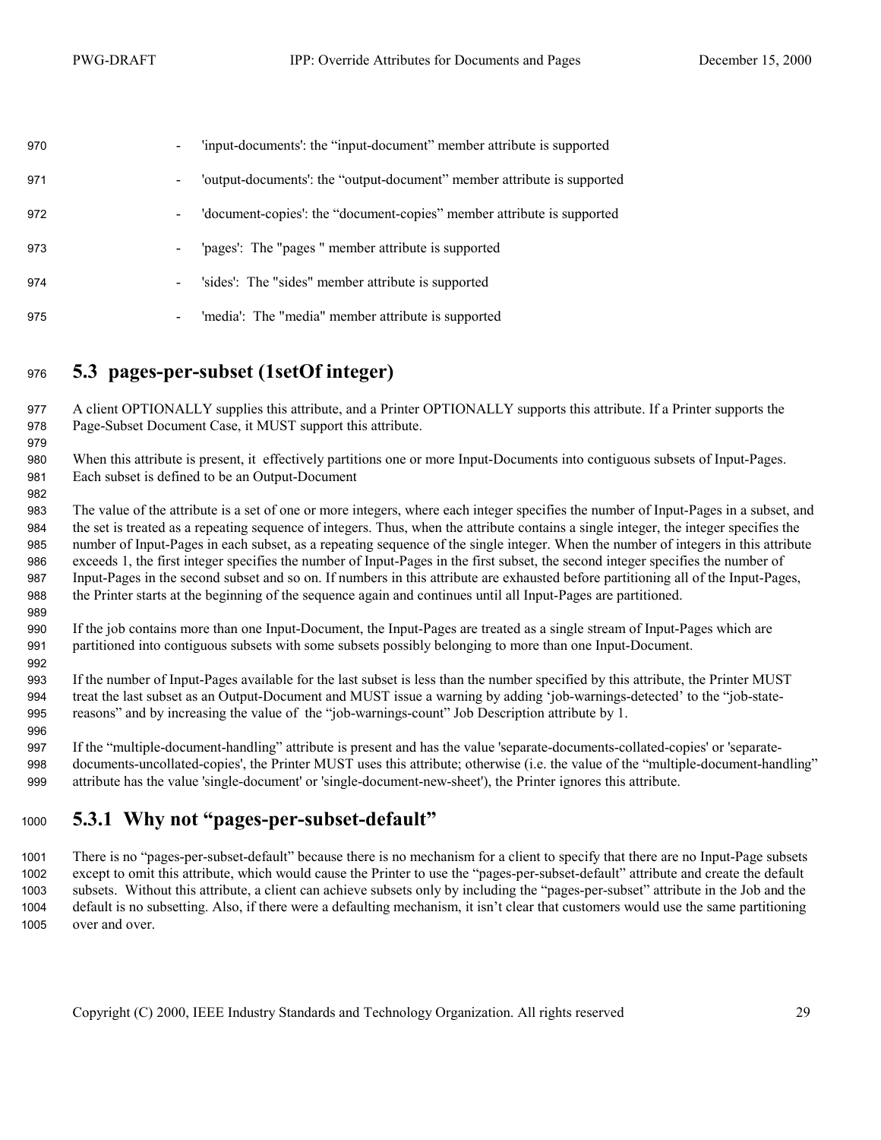<span id="page-28-0"></span>

| 970 | $\qquad \qquad \blacksquare$ | 'input-documents': the "input-document" member attribute is supported   |
|-----|------------------------------|-------------------------------------------------------------------------|
| 971 | $\qquad \qquad \blacksquare$ | 'output-documents': the "output-document" member attribute is supported |
| 972 | $\blacksquare$               | 'document-copies': the "document-copies" member attribute is supported  |
| 973 | $\overline{\phantom{a}}$     | 'pages': The "pages" member attribute is supported                      |
| 974 | $\blacksquare$               | 'sides': The "sides" member attribute is supported                      |
| 975 | -                            | 'media': The "media" member attribute is supported                      |

#### **5.3 pages-per-subset (1setOf integer)**

A client OPTIONALLY supplies this attribute, and a Printer OPTIONALLY supports this attribute. If a Printer supports the Page-Subset Document Case, it MUST support this attribute.

When this attribute is present, it effectively partitions one or more Input-Documents into contiguous subsets of Input-Pages. Each subset is defined to be an Output-Document

The value of the attribute is a set of one or more integers, where each integer specifies the number of Input-Pages in a subset, and the set is treated as a repeating sequence of integers. Thus, when the attribute contains a single integer, the integer specifies the number of Input-Pages in each subset, as a repeating sequence of the single integer. When the number of integers in this attribute exceeds 1, the first integer specifies the number of Input-Pages in the first subset, the second integer specifies the number of Input-Pages in the second subset and so on. If numbers in this attribute are exhausted before partitioning all of the Input-Pages, the Printer starts at the beginning of the sequence again and continues until all Input-Pages are partitioned.

If the job contains more than one Input-Document, the Input-Pages are treated as a single stream of Input-Pages which are partitioned into contiguous subsets with some subsets possibly belonging to more than one Input-Document.

If the number of Input-Pages available for the last subset is less than the number specified by this attribute, the Printer MUST treat the last subset as an Output-Document and MUST issue a warning by adding 'job-warnings-detected' to the "job-state-reasons" and by increasing the value of the "job-warnings-count" Job Description attribute by 1.

If the "multiple-document-handling" attribute is present and has the value 'separate-documents-collated-copies' or 'separate-documents-uncollated-copies', the Printer MUST uses this attribute; otherwise (i.e. the value of the "multiple-document-handling" attribute has the value 'single-document' or 'single-document-new-sheet'), the Printer ignores this attribute.

#### **5.3.1 Why not "pages-per-subset-default"**

There is no "pages-per-subset-default" because there is no mechanism for a client to specify that there are no Input-Page subsets except to omit this attribute, which would cause the Printer to use the "pages-per-subset-default" attribute and create the default subsets. Without this attribute, a client can achieve subsets only by including the "pages-per-subset" attribute in the Job and the default is no subsetting. Also, if there were a defaulting mechanism, it isn't clear that customers would use the same partitioning over and over.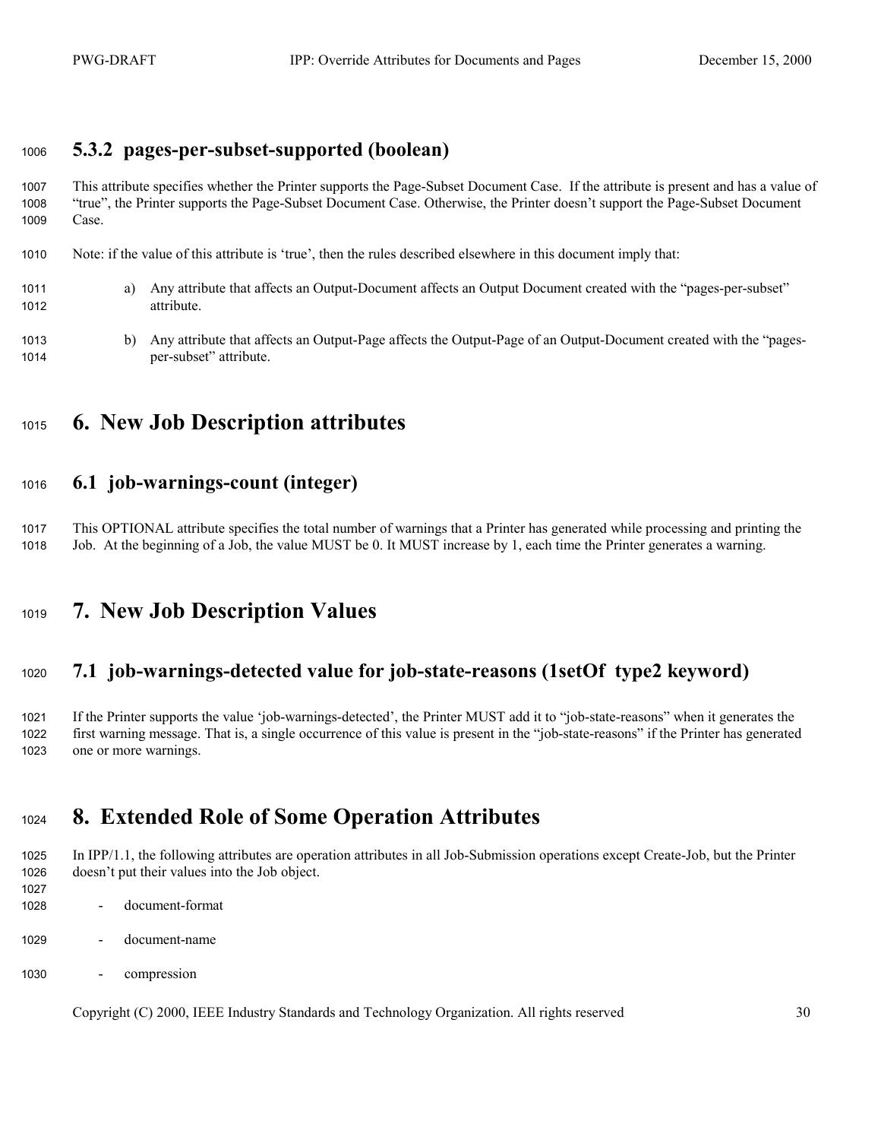#### <span id="page-29-0"></span>**5.3.2 pages-per-subset-supported (boolean)**

This attribute specifies whether the Printer supports the Page-Subset Document Case. If the attribute is present and has a value of "true", the Printer supports the Page-Subset Document Case. Otherwise, the Printer doesn't support the Page-Subset Document Case.

- Note: if the value of this attribute is 'true', then the rules described elsewhere in this document imply that:
- a) Any attribute that affects an Output-Document affects an Output Document created with the "pages-per-subset" attribute.
- b) Any attribute that affects an Output-Page affects the Output-Page of an Output-Document created with the "pages-per-subset" attribute.
- **6. New Job Description attributes**

#### **6.1 job-warnings-count (integer)**

This OPTIONAL attribute specifies the total number of warnings that a Printer has generated while processing and printing the Job. At the beginning of a Job, the value MUST be 0. It MUST increase by 1, each time the Printer generates a warning.

### **7. New Job Description Values**

#### **7.1 job-warnings-detected value for job-state-reasons (1setOf type2 keyword)**

If the Printer supports the value 'job-warnings-detected', the Printer MUST add it to "job-state-reasons" when it generates the first warning message. That is, a single occurrence of this value is present in the "job-state-reasons" if the Printer has generated one or more warnings.

### **8. Extended Role of Some Operation Attributes**

In IPP/1.1, the following attributes are operation attributes in all Job-Submission operations except Create-Job, but the Printer doesn't put their values into the Job object.

- - document-format
- document-name
- compression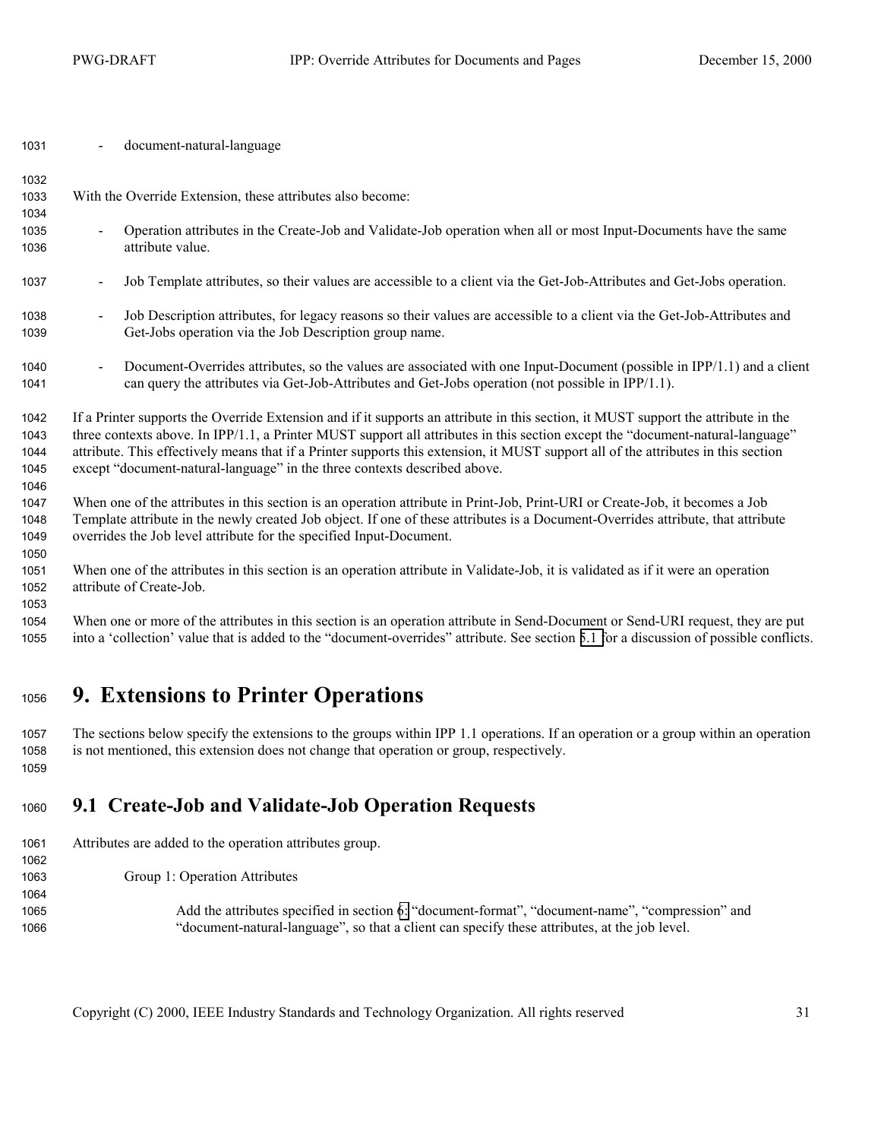<span id="page-30-0"></span>- document-natural-language

| 1032         |                                                                                                                                            |  |  |  |  |  |
|--------------|--------------------------------------------------------------------------------------------------------------------------------------------|--|--|--|--|--|
| 1033         | With the Override Extension, these attributes also become:                                                                                 |  |  |  |  |  |
| 1034         |                                                                                                                                            |  |  |  |  |  |
| 1035         | Operation attributes in the Create-Job and Validate-Job operation when all or most Input-Documents have the same<br>$\blacksquare$         |  |  |  |  |  |
| 1036         | attribute value.                                                                                                                           |  |  |  |  |  |
| 1037         | Job Template attributes, so their values are accessible to a client via the Get-Job-Attributes and Get-Jobs operation.<br>$\blacksquare$   |  |  |  |  |  |
| 1038         | Job Description attributes, for legacy reasons so their values are accessible to a client via the Get-Job-Attributes and<br>$\blacksquare$ |  |  |  |  |  |
| 1039         | Get-Jobs operation via the Job Description group name.                                                                                     |  |  |  |  |  |
| 1040         | Document-Overrides attributes, so the values are associated with one Input-Document (possible in IPP/1.1) and a client<br>$\blacksquare$   |  |  |  |  |  |
| 1041         | can query the attributes via Get-Job-Attributes and Get-Jobs operation (not possible in IPP/1.1).                                          |  |  |  |  |  |
| 1042         | If a Printer supports the Override Extension and if it supports an attribute in this section, it MUST support the attribute in the         |  |  |  |  |  |
| 1043         | three contexts above. In IPP/1.1, a Printer MUST support all attributes in this section except the "document-natural-language"             |  |  |  |  |  |
| 1044         | attribute. This effectively means that if a Printer supports this extension, it MUST support all of the attributes in this section         |  |  |  |  |  |
| 1045<br>1046 | except "document-natural-language" in the three contexts described above.                                                                  |  |  |  |  |  |
| 1047         | When one of the attributes in this section is an operation attribute in Print-Job, Print-URI or Create-Job, it becomes a Job               |  |  |  |  |  |
| 1048         | Template attribute in the newly created Job object. If one of these attributes is a Document-Overrides attribute, that attribute           |  |  |  |  |  |
| 1049         | overrides the Job level attribute for the specified Input-Document.                                                                        |  |  |  |  |  |
| 1050         |                                                                                                                                            |  |  |  |  |  |
| 1051         | When one of the attributes in this section is an operation attribute in Validate-Job, it is validated as if it were an operation           |  |  |  |  |  |
| 1052         | attribute of Create-Job.                                                                                                                   |  |  |  |  |  |
| 1053         |                                                                                                                                            |  |  |  |  |  |
| 1054         | When one or more of the attributes in this section is an operation attribute in Send-Document or Send-URI request, they are put            |  |  |  |  |  |
| 1055         | into a 'collection' value that is added to the "document-overrides" attribute. See section 5.1 for a discussion of possible conflicts.     |  |  |  |  |  |
|              |                                                                                                                                            |  |  |  |  |  |

## **9. Extensions to Printer Operations**

The sections below specify the extensions to the groups within IPP 1.1 operations. If an operation or a group within an operation is not mentioned, this extension does not change that operation or group, respectively. 

## **9.1 Create-Job and Validate-Job Operation Requests**

Attributes are added to the operation attributes group. 

Group 1: Operation Attributes

Add the attributes specified in section [6:](#page-29-0) "document-format", "document-name", "compression" and "document-natural-language", so that a client can specify these attributes, at the job level.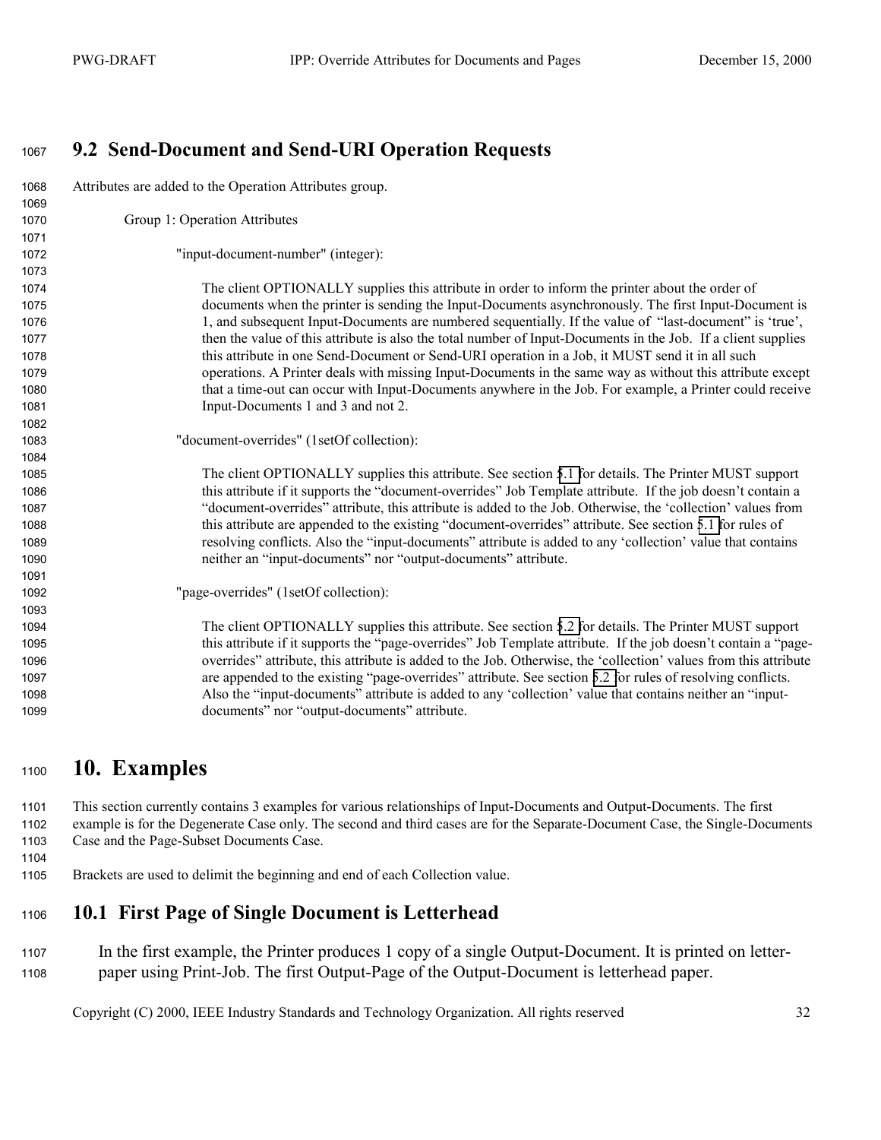#### <span id="page-31-0"></span>**9.2 Send-Document and Send-URI Operation Requests**  Attributes are added to the Operation Attributes group. Group 1: Operation Attributes "input-document-number" (integer): The client OPTIONALLY supplies this attribute in order to inform the printer about the order of documents when the printer is sending the Input-Documents asynchronously. The first Input-Document is 1, and subsequent Input-Documents are numbered sequentially. If the value of "last-document" is 'true', then the value of this attribute is also the total number of Input-Documents in the Job. If a client supplies this attribute in one Send-Document or Send-URI operation in a Job, it MUST send it in all such operations. A Printer deals with missing Input-Documents in the same way as without this attribute except that a time-out can occur with Input-Documents anywhere in the Job. For example, a Printer could receive Input-Documents 1 and 3 and not 2. "document-overrides" (1setOf collection): The client OPTIONALLY supplies this attribute. See section [5.1 f](#page-18-0)or details. The Printer MUST support this attribute if it supports the "document-overrides" Job Template attribute. If the job doesn't contain a "document-overrides" attribute, this attribute is added to the Job. Otherwise, the 'collection' values from this attribute are appended to the existing "document-overrides" attribute. See section [5.1 f](#page-18-0)or rules of resolving conflicts. Also the "input-documents" attribute is added to any 'collection' value that contains neither an "input-documents" nor "output-documents" attribute. "page-overrides" (1setOf collection): The client OPTIONALLY supplies this attribute. See section [5.2 f](#page-24-0)or details. The Printer MUST support this attribute if it supports the "page-overrides" Job Template attribute. If the job doesn't contain a "page-overrides" attribute, this attribute is added to the Job. Otherwise, the 'collection' values from this attribute are appended to the existing "page-overrides" attribute. See section [5.2 f](#page-24-0)or rules of resolving conflicts. Also the "input-documents" attribute is added to any 'collection' value that contains neither an "input-documents" nor "output-documents" attribute.

### **10. Examples**

This section currently contains 3 examples for various relationships of Input-Documents and Output-Documents. The first example is for the Degenerate Case only. The second and third cases are for the Separate-Document Case, the Single-Documents Case and the Page-Subset Documents Case.

- 
- Brackets are used to delimit the beginning and end of each Collection value.

### **10.1 First Page of Single Document is Letterhead**

In the first example, the Printer produces 1 copy of a single Output-Document. It is printed on letter-paper using Print-Job. The first Output-Page of the Output-Document is letterhead paper.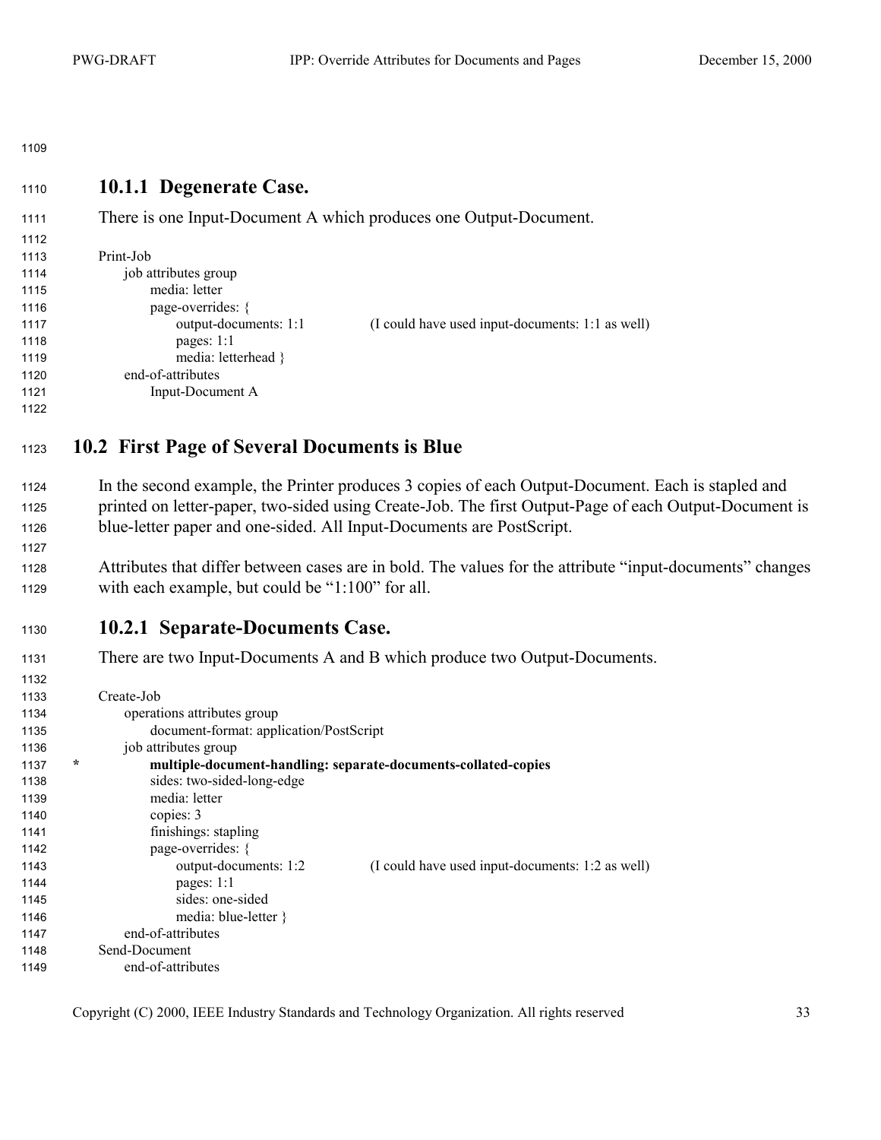#### <span id="page-32-0"></span>**10.1.1 Degenerate Case.**

| 1111 |  |
|------|--|
| 1112 |  |

1111 There is one Input-Document A which produces one Output-Document.

| 1113 | Print-Job             |                                                  |
|------|-----------------------|--------------------------------------------------|
| 1114 | job attributes group  |                                                  |
| 1115 | media: letter         |                                                  |
| 1116 | page-overrides: {     |                                                  |
| 1117 | output-documents: 1:1 | (I could have used input-documents: 1:1 as well) |
| 1118 | pages: $1:1$          |                                                  |
| 1119 | media: letterhead }   |                                                  |
| 1120 | end-of-attributes     |                                                  |
| 1121 | Input-Document A      |                                                  |
| 1122 |                       |                                                  |
|      |                       |                                                  |

### **10.2 First Page of Several Documents is Blue**

In the second example, the Printer produces 3 copies of each Output-Document. Each is stapled and 1125 printed on letter-paper, two-sided using Create-Job. The first Output-Page of each Output-Document is 1126 blue-letter paper and one-sided. All Input-Documents are PostScript.

1128 Attributes that differ between cases are in bold. The values for the attribute "input-documents" changes 1129 with each example, but could be "1:100" for all.

#### **10.2.1 Separate-Documents Case.**

1131 There are two Input-Documents A and B which produce two Output-Documents.

| 1132 |         |                                         |                                                                |
|------|---------|-----------------------------------------|----------------------------------------------------------------|
| 1133 |         | Create-Job                              |                                                                |
| 1134 |         | operations attributes group             |                                                                |
| 1135 |         | document-format: application/PostScript |                                                                |
| 1136 |         | job attributes group                    |                                                                |
| 1137 | $\star$ |                                         | multiple-document-handling: separate-documents-collated-copies |
| 1138 |         | sides: two-sided-long-edge              |                                                                |
| 1139 |         | media: letter                           |                                                                |
| 1140 |         | copies: 3                               |                                                                |
| 1141 |         | finishings: stapling                    |                                                                |
| 1142 |         | page-overrides: {                       |                                                                |
| 1143 |         | output-documents: 1:2                   | (I could have used input-documents: 1:2 as well)               |
| 1144 |         | pages: $1:1$                            |                                                                |
| 1145 |         | sides: one-sided                        |                                                                |
| 1146 |         | media: blue-letter $\}$                 |                                                                |
| 1147 |         | end-of-attributes                       |                                                                |
| 1148 |         | Send-Document                           |                                                                |
| 1149 |         | end-of-attributes                       |                                                                |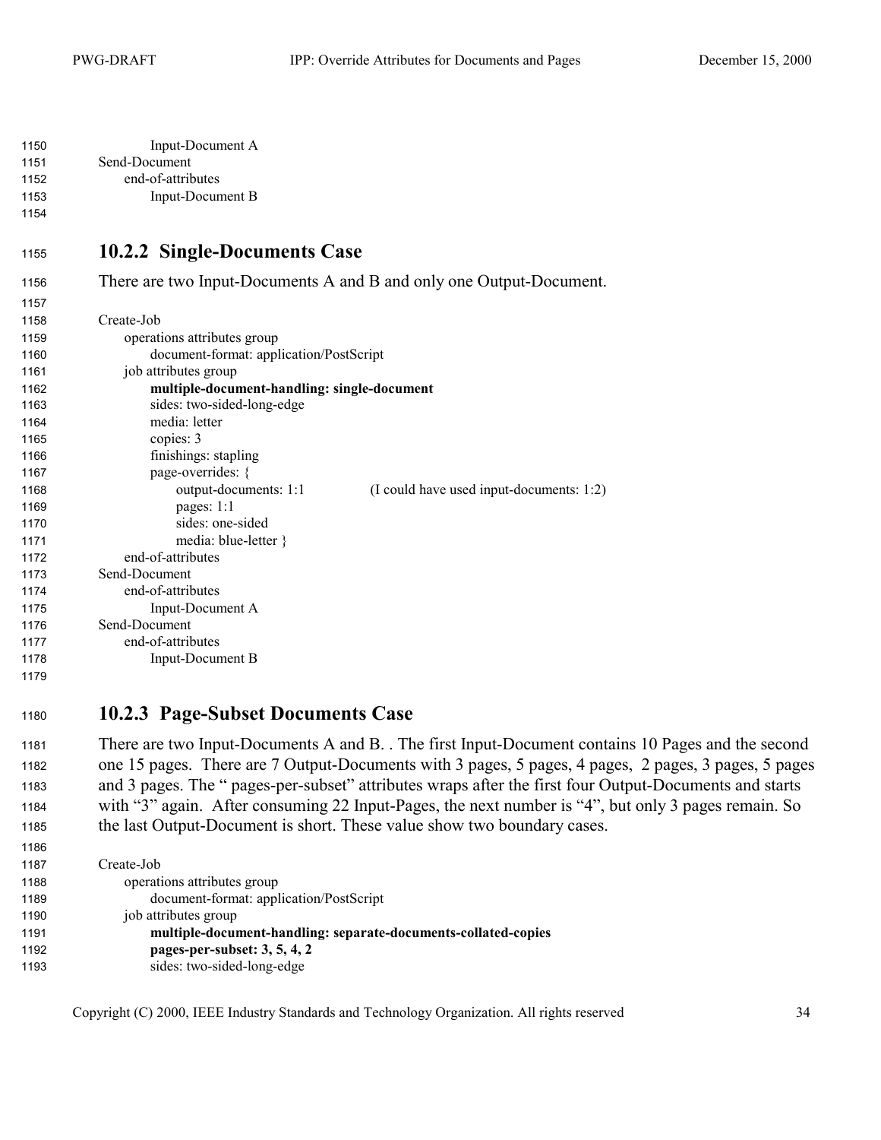<span id="page-33-0"></span>

| 1150 | Input-Document A  |
|------|-------------------|
| 1151 | Send-Document     |
| 1152 | end-of-attributes |
| 1153 | Input-Document B  |

| ۰. |  |
|----|--|
|    |  |

#### **10.2.2 Single-Documents Case**

1156 There are two Input-Documents A and B and only one Output-Document.

| .    |                                             |                                          |
|------|---------------------------------------------|------------------------------------------|
| 1158 | Create-Job                                  |                                          |
| 1159 | operations attributes group                 |                                          |
| 1160 | document-format: application/PostScript     |                                          |
| 1161 | job attributes group                        |                                          |
| 1162 | multiple-document-handling: single-document |                                          |
| 1163 | sides: two-sided-long-edge                  |                                          |
| 1164 | media: letter                               |                                          |
| 1165 | copies: 3                                   |                                          |
| 1166 | finishings: stapling                        |                                          |
| 1167 | page-overrides: {                           |                                          |
| 1168 | output-documents: 1:1                       | (I could have used input-documents: 1:2) |
| 1169 | pages: 1:1                                  |                                          |
| 1170 | sides: one-sided                            |                                          |
| 1171 | media: blue-letter }                        |                                          |
| 1172 | end-of-attributes                           |                                          |
| 1173 | Send-Document                               |                                          |
| 1174 | end-of-attributes                           |                                          |
| 1175 | Input-Document A                            |                                          |
| 1176 | Send-Document                               |                                          |
| 1177 | end-of-attributes                           |                                          |
| 1178 | Input-Document B                            |                                          |
| 1179 |                                             |                                          |

#### **10.2.3 Page-Subset Documents Case**

1181 There are two Input-Documents A and B. . The first Input-Document contains 10 Pages and the second 1182 one 15 pages. There are 7 Output-Documents with 3 pages, 5 pages, 4 pages, 2 pages, 3 pages, 5 pages 1183 and 3 pages. The " pages-per-subset" attributes wraps after the first four Output-Documents and starts 1184 with "3" again. After consuming 22 Input-Pages, the next number is "4", but only 3 pages remain. So 1185 the last Output-Document is short. These value show two boundary cases.

 Create-Job operations attributes group document-format: application/PostScript job attributes group **multiple-document-handling: separate-documents-collated-copies pages-per-subset: 3, 5, 4, 2**  sides: two-sided-long-edge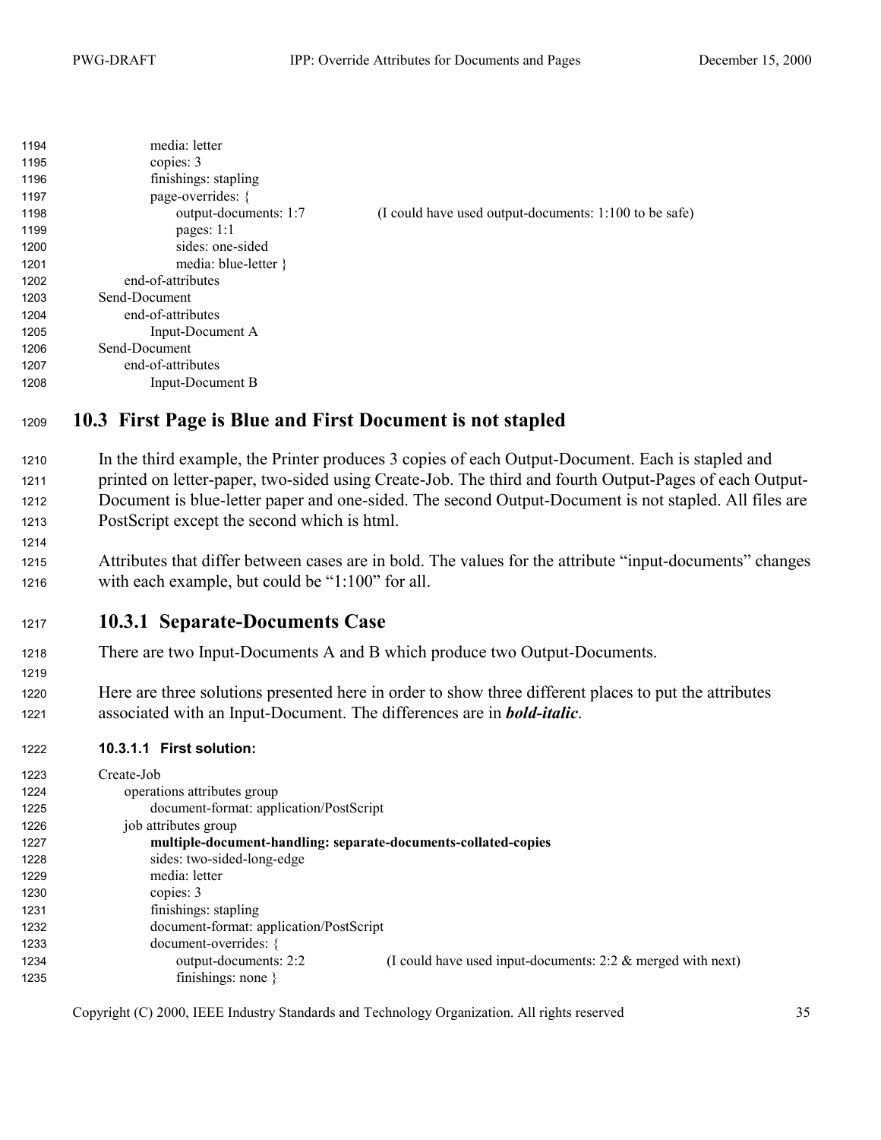<span id="page-34-0"></span>

| 1194 | media: letter           |                                                        |
|------|-------------------------|--------------------------------------------------------|
| 1195 | copies: 3               |                                                        |
| 1196 | finishings: stapling    |                                                        |
| 1197 | page-overrides: {       |                                                        |
| 1198 | output-documents: 1:7   | (I could have used output-documents: 1:100 to be safe) |
| 1199 | pages: $1:1$            |                                                        |
| 1200 | sides: one-sided        |                                                        |
| 1201 | media: blue-letter $\}$ |                                                        |
| 1202 | end-of-attributes       |                                                        |
| 1203 | Send-Document           |                                                        |
| 1204 | end-of-attributes       |                                                        |
| 1205 | Input-Document A        |                                                        |
| 1206 | Send-Document           |                                                        |
| 1207 | end-of-attributes       |                                                        |
| 1208 | Input-Document B        |                                                        |

#### **10.3 First Page is Blue and First Document is not stapled**

1210 In the third example, the Printer produces 3 copies of each Output-Document. Each is stapled and printed on letter-paper, two-sided using Create-Job. The third and fourth Output-Pages of each Output-1212 Document is blue-letter paper and one-sided. The second Output-Document is not stapled. All files are PostScript except the second which is html.

1215 Attributes that differ between cases are in bold. The values for the attribute "input-documents" changes 1216 with each example, but could be " $1:100$ " for all.

#### **10.3.1 Separate-Documents Case**

- 1218 There are two Input-Documents A and B which produce two Output-Documents.
- 1220 Here are three solutions presented here in order to show three different places to put the attributes 1221 associated with an Input-Document. The differences are in *bold-italic*.

#### **10.3.1.1 First solution:**

| 1223 | Create-Job                                                                              |
|------|-----------------------------------------------------------------------------------------|
| 1224 | operations attributes group                                                             |
| 1225 | document-format: application/PostScript                                                 |
| 1226 | job attributes group                                                                    |
| 1227 | multiple-document-handling: separate-documents-collated-copies                          |
| 1228 | sides: two-sided-long-edge                                                              |
| 1229 | media: letter                                                                           |
| 1230 | copies: 3                                                                               |
| 1231 | finishings: stapling                                                                    |
| 1232 | document-format: application/PostScript                                                 |
| 1233 | document-overrides: {                                                                   |
| 1234 | output-documents: 2:2<br>(I could have used input-documents: $2:2 \&$ merged with next) |
| 1235 | finishings: none $\}$                                                                   |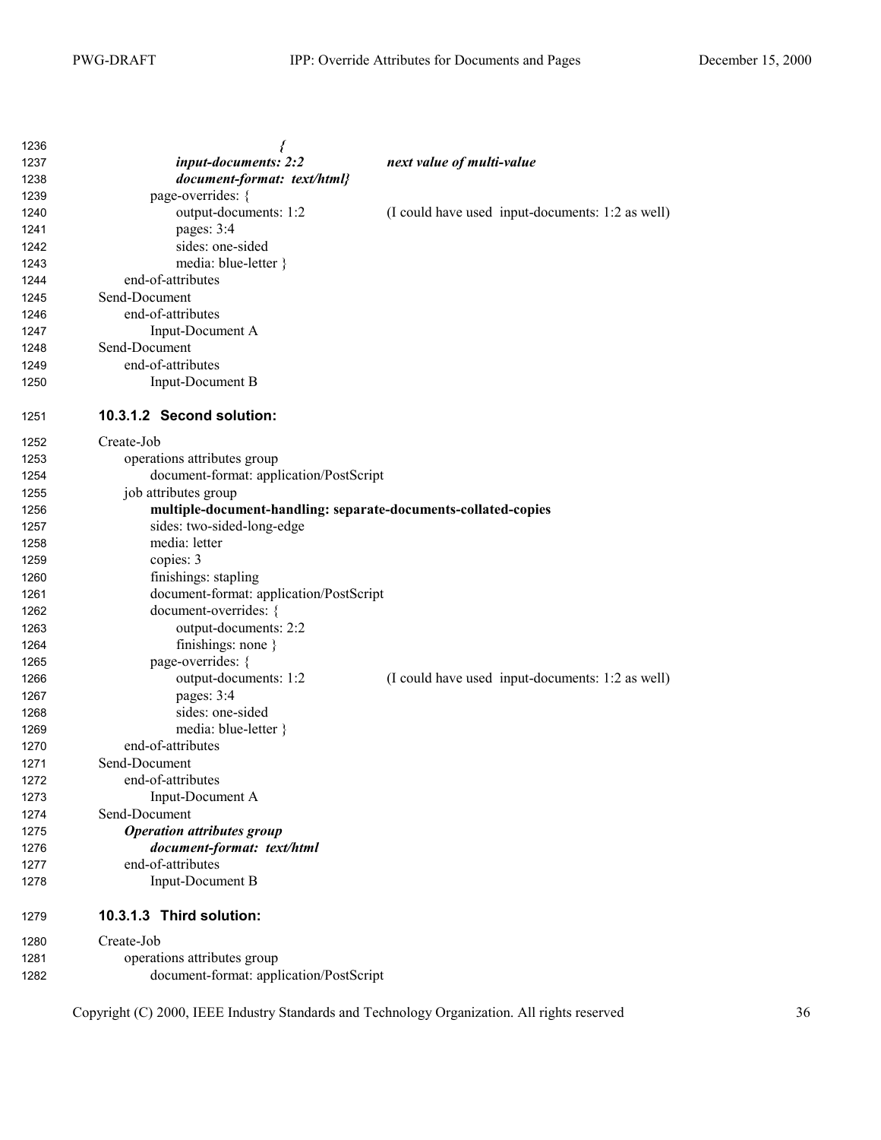| 1236 | {                                                              |                                                  |
|------|----------------------------------------------------------------|--------------------------------------------------|
| 1237 | input-documents: 2:2                                           | next value of multi-value                        |
| 1238 | document-format: text/html}                                    |                                                  |
| 1239 | page-overrides: {                                              |                                                  |
| 1240 | output-documents: 1:2                                          | (I could have used input-documents: 1:2 as well) |
| 1241 | pages: 3:4                                                     |                                                  |
| 1242 | sides: one-sided                                               |                                                  |
| 1243 | media: blue-letter }                                           |                                                  |
| 1244 | end-of-attributes                                              |                                                  |
| 1245 | Send-Document                                                  |                                                  |
| 1246 | end-of-attributes                                              |                                                  |
| 1247 | Input-Document A                                               |                                                  |
| 1248 | Send-Document                                                  |                                                  |
| 1249 | end-of-attributes                                              |                                                  |
| 1250 | Input-Document B                                               |                                                  |
| 1251 | 10.3.1.2 Second solution:                                      |                                                  |
| 1252 | Create-Job                                                     |                                                  |
| 1253 | operations attributes group                                    |                                                  |
| 1254 | document-format: application/PostScript                        |                                                  |
| 1255 | job attributes group                                           |                                                  |
| 1256 | multiple-document-handling: separate-documents-collated-copies |                                                  |
| 1257 | sides: two-sided-long-edge                                     |                                                  |
| 1258 | media: letter                                                  |                                                  |
| 1259 | copies: 3                                                      |                                                  |
| 1260 | finishings: stapling                                           |                                                  |
| 1261 | document-format: application/PostScript                        |                                                  |
| 1262 | document-overrides: {                                          |                                                  |
| 1263 | output-documents: 2:2                                          |                                                  |
| 1264 | finishings: none $\}$                                          |                                                  |
| 1265 | page-overrides: {                                              |                                                  |
| 1266 | output-documents: 1:2                                          | (I could have used input-documents: 1:2 as well) |
| 1267 | pages: 3:4                                                     |                                                  |
| 1268 | sides: one-sided                                               |                                                  |
| 1269 | media: blue-letter }                                           |                                                  |
| 1270 | end-of-attributes                                              |                                                  |
| 1271 | Send-Document                                                  |                                                  |
| 1272 | end-of-attributes                                              |                                                  |
| 1273 | Input-Document A                                               |                                                  |
| 1274 | Send-Document                                                  |                                                  |
| 1275 | <b>Operation attributes group</b>                              |                                                  |
| 1276 | document-format: text/html                                     |                                                  |
| 1277 | end-of-attributes                                              |                                                  |
| 1278 | Input-Document B                                               |                                                  |
| 1279 | 10.3.1.3 Third solution:                                       |                                                  |
| 1280 | Create-Job                                                     |                                                  |
| 1281 | operations attributes group                                    |                                                  |
| 1282 | document-format: application/PostScript                        |                                                  |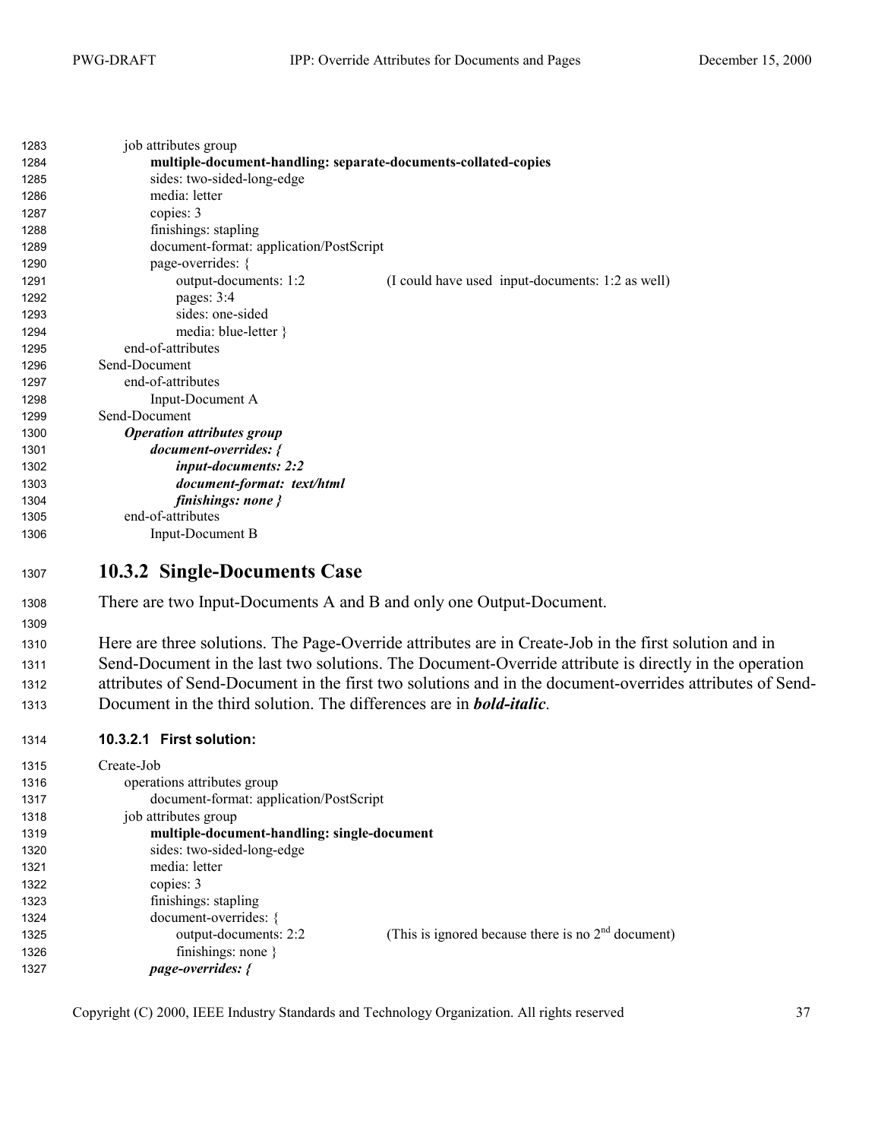<span id="page-36-0"></span>

| 1283 | job attributes group                                           |                                                  |
|------|----------------------------------------------------------------|--------------------------------------------------|
| 1284 | multiple-document-handling: separate-documents-collated-copies |                                                  |
| 1285 | sides: two-sided-long-edge                                     |                                                  |
| 1286 | media: letter                                                  |                                                  |
| 1287 | copies: 3                                                      |                                                  |
| 1288 | finishings: stapling                                           |                                                  |
| 1289 | document-format: application/PostScript                        |                                                  |
| 1290 | page-overrides: {                                              |                                                  |
| 1291 | output-documents: 1:2                                          | (I could have used input-documents: 1:2 as well) |
| 1292 | pages: 3:4                                                     |                                                  |
| 1293 | sides: one-sided                                               |                                                  |
| 1294 | media: blue-letter }                                           |                                                  |
| 1295 | end-of-attributes                                              |                                                  |
| 1296 | Send-Document                                                  |                                                  |
| 1297 | end-of-attributes                                              |                                                  |
| 1298 | Input-Document A                                               |                                                  |
| 1299 | Send-Document                                                  |                                                  |
| 1300 | <b>Operation attributes group</b>                              |                                                  |
| 1301 | document-overrides: {                                          |                                                  |
| 1302 | input-documents: 2:2                                           |                                                  |
| 1303 | document-format: text/html                                     |                                                  |
| 1304 | finishings: none }                                             |                                                  |
| 1305 | end-of-attributes                                              |                                                  |
| 1306 | Input-Document B                                               |                                                  |
| 1307 | 10.3.2 Single-Documents Case                                   |                                                  |

1308 There are two Input-Documents A and B and only one Output-Document.

1310 Here are three solutions. The Page-Override attributes are in Create-Job in the first solution and in 1311 Send-Document in the last two solutions. The Document-Override attribute is directly in the operation attributes of Send-Document in the first two solutions and in the document-overrides attributes of Send-Document in the third solution. The differences are in *bold-italic*.

#### **10.3.2.1 First solution:**

| 1315 | Create-Job                                  |                                                      |
|------|---------------------------------------------|------------------------------------------------------|
| 1316 | operations attributes group                 |                                                      |
| 1317 | document-format: application/PostScript     |                                                      |
| 1318 | job attributes group                        |                                                      |
| 1319 | multiple-document-handling: single-document |                                                      |
| 1320 | sides: two-sided-long-edge                  |                                                      |
| 1321 | media: letter                               |                                                      |
| 1322 | copies: 3                                   |                                                      |
| 1323 | finishings: stapling                        |                                                      |
| 1324 | document-overrides: {                       |                                                      |
| 1325 | output-documents: 2:2                       | (This is ignored because there is no $2nd$ document) |
| 1326 | finishings: none $\}$                       |                                                      |
| 1327 | page-overrides: {                           |                                                      |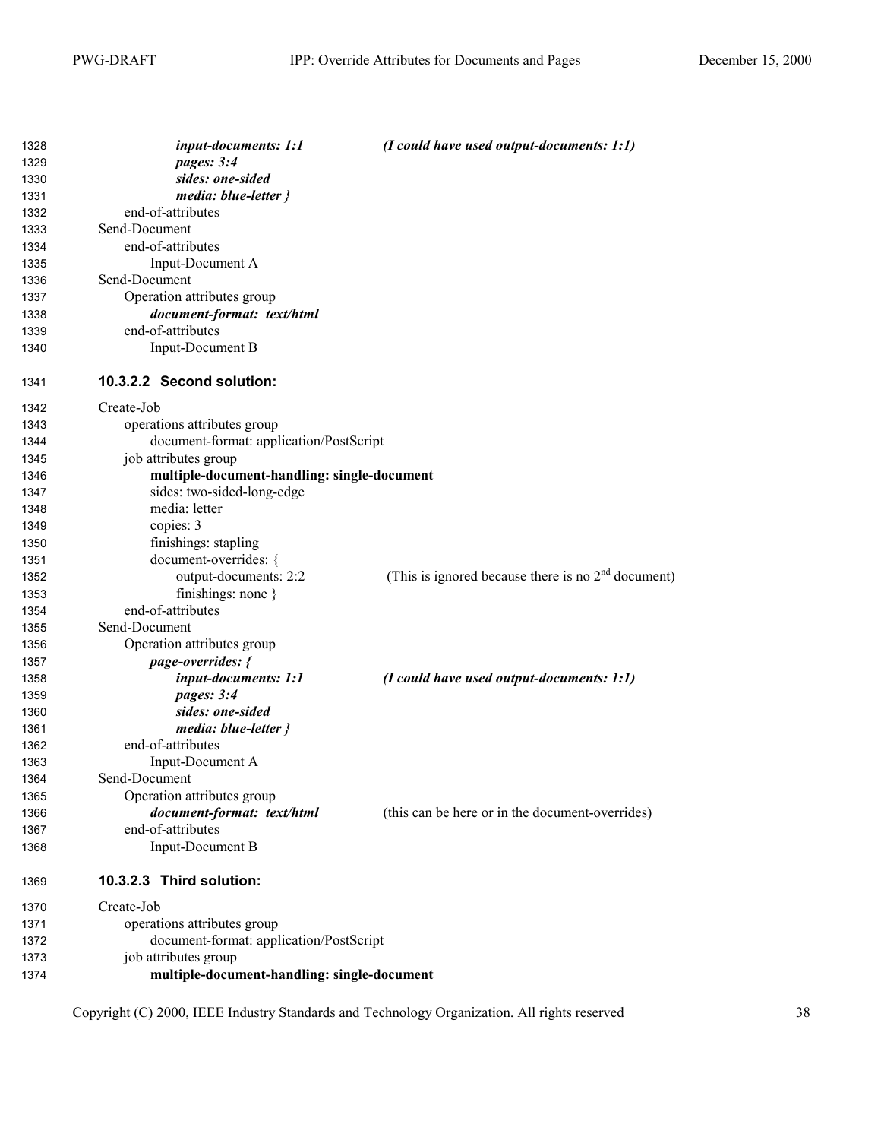| 1328 | input-documents: 1:1                        | (I could have used output-documents: 1:1)            |
|------|---------------------------------------------|------------------------------------------------------|
| 1329 | pages: 3:4                                  |                                                      |
| 1330 | sides: one-sided                            |                                                      |
| 1331 | media: blue-letter }                        |                                                      |
| 1332 | end-of-attributes                           |                                                      |
| 1333 | Send-Document                               |                                                      |
| 1334 | end-of-attributes                           |                                                      |
| 1335 | Input-Document A                            |                                                      |
| 1336 | Send-Document                               |                                                      |
| 1337 | Operation attributes group                  |                                                      |
| 1338 | document-format: text/html                  |                                                      |
| 1339 | end-of-attributes                           |                                                      |
| 1340 | <b>Input-Document B</b>                     |                                                      |
| 1341 | 10.3.2.2 Second solution:                   |                                                      |
| 1342 | Create-Job                                  |                                                      |
| 1343 | operations attributes group                 |                                                      |
| 1344 | document-format: application/PostScript     |                                                      |
| 1345 | job attributes group                        |                                                      |
| 1346 | multiple-document-handling: single-document |                                                      |
| 1347 | sides: two-sided-long-edge                  |                                                      |
| 1348 | media: letter                               |                                                      |
| 1349 | copies: 3                                   |                                                      |
| 1350 | finishings: stapling                        |                                                      |
| 1351 | document-overrides: {                       |                                                      |
| 1352 | output-documents: 2:2                       | (This is ignored because there is no $2nd$ document) |
| 1353 | finishings: none $\}$                       |                                                      |
| 1354 | end-of-attributes                           |                                                      |
| 1355 | Send-Document                               |                                                      |
| 1356 | Operation attributes group                  |                                                      |
| 1357 | page-overrides: {                           |                                                      |
| 1358 | input-documents: 1:1                        | $(I$ could have used output-documents: 1:1)          |
| 1359 | pages: 3:4                                  |                                                      |
| 1360 | sides: one-sided                            |                                                      |
| 1361 | media: blue-letter }                        |                                                      |
| 1362 | end-of-attributes                           |                                                      |
| 1363 | Input-Document A                            |                                                      |
| 1364 | Send-Document                               |                                                      |
| 1365 | Operation attributes group                  |                                                      |
| 1366 | document-format: text/html                  | (this can be here or in the document-overrides)      |
| 1367 | end-of-attributes                           |                                                      |
| 1368 | Input-Document B                            |                                                      |
| 1369 | 10.3.2.3 Third solution:                    |                                                      |
| 1370 | Create-Job                                  |                                                      |
| 1371 | operations attributes group                 |                                                      |
| 1372 | document-format: application/PostScript     |                                                      |
| 1373 | job attributes group                        |                                                      |
| 1374 | multiple-document-handling: single-document |                                                      |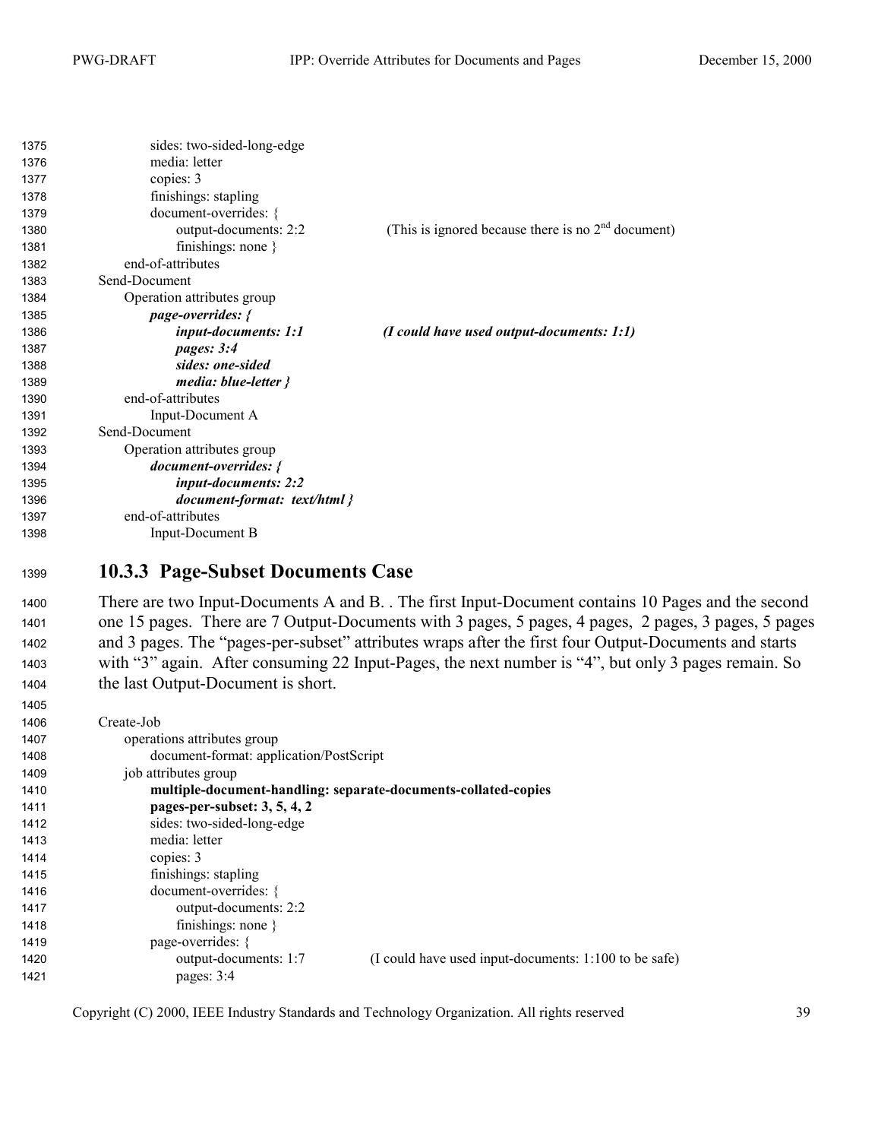<span id="page-38-0"></span>

| 1375 | sides: two-sided-long-edge   |                                                      |
|------|------------------------------|------------------------------------------------------|
| 1376 | media: letter                |                                                      |
| 1377 | copies: 3                    |                                                      |
| 1378 | finishings: stapling         |                                                      |
| 1379 | document-overrides: {        |                                                      |
| 1380 | output-documents: 2:2        | (This is ignored because there is no $2nd$ document) |
| 1381 | finishings: none $\}$        |                                                      |
| 1382 | end-of-attributes            |                                                      |
| 1383 | Send-Document                |                                                      |
| 1384 | Operation attributes group   |                                                      |
| 1385 | <i>page-overrides: {</i>     |                                                      |
| 1386 | input-documents: 1:1         | $(I \text{ could have used output-documents: } 1:1)$ |
| 1387 | pages: 3:4                   |                                                      |
| 1388 | sides: one-sided             |                                                      |
| 1389 | media: $blue-letter$ }       |                                                      |
| 1390 | end-of-attributes            |                                                      |
| 1391 | Input-Document A             |                                                      |
| 1392 | Send-Document                |                                                      |
| 1393 | Operation attributes group   |                                                      |
| 1394 | <i>document-overrides: {</i> |                                                      |
| 1395 | input-documents: 2:2         |                                                      |
| 1396 | document-format: text/html } |                                                      |
| 1397 | end-of-attributes            |                                                      |
| 1398 | Input-Document B             |                                                      |

#### **10.3.3 Page-Subset Documents Case**

1400 There are two Input-Documents A and B. . The first Input-Document contains 10 Pages and the second 1401 one 15 pages. There are 7 Output-Documents with 3 pages, 5 pages, 4 pages, 2 pages, 3 pages, 5 pages 1402 and 3 pages. The "pages-per-subset" attributes wraps after the first four Output-Documents and starts 1403 with "3" again. After consuming 22 Input-Pages, the next number is "4", but only 3 pages remain. So 1404 the last Output-Document is short.

| 1406 | Create-Job                                                                     |
|------|--------------------------------------------------------------------------------|
| 1407 | operations attributes group                                                    |
| 1408 | document-format: application/PostScript                                        |
| 1409 | job attributes group                                                           |
| 1410 | multiple-document-handling: separate-documents-collated-copies                 |
| 1411 | pages-per-subset: $3, 5, 4, 2$                                                 |
| 1412 | sides: two-sided-long-edge                                                     |
| 1413 | media: letter                                                                  |
| 1414 | copies: 3                                                                      |
| 1415 | finishings: stapling                                                           |
| 1416 | document-overrides: {                                                          |
| 1417 | output-documents: 2:2                                                          |
| 1418 | finishings: none $\}$                                                          |
| 1419 | page-overrides: {                                                              |
| 1420 | (I could have used input-documents: 1:100 to be safe)<br>output-documents: 1:7 |
| 1421 | pages: 3:4                                                                     |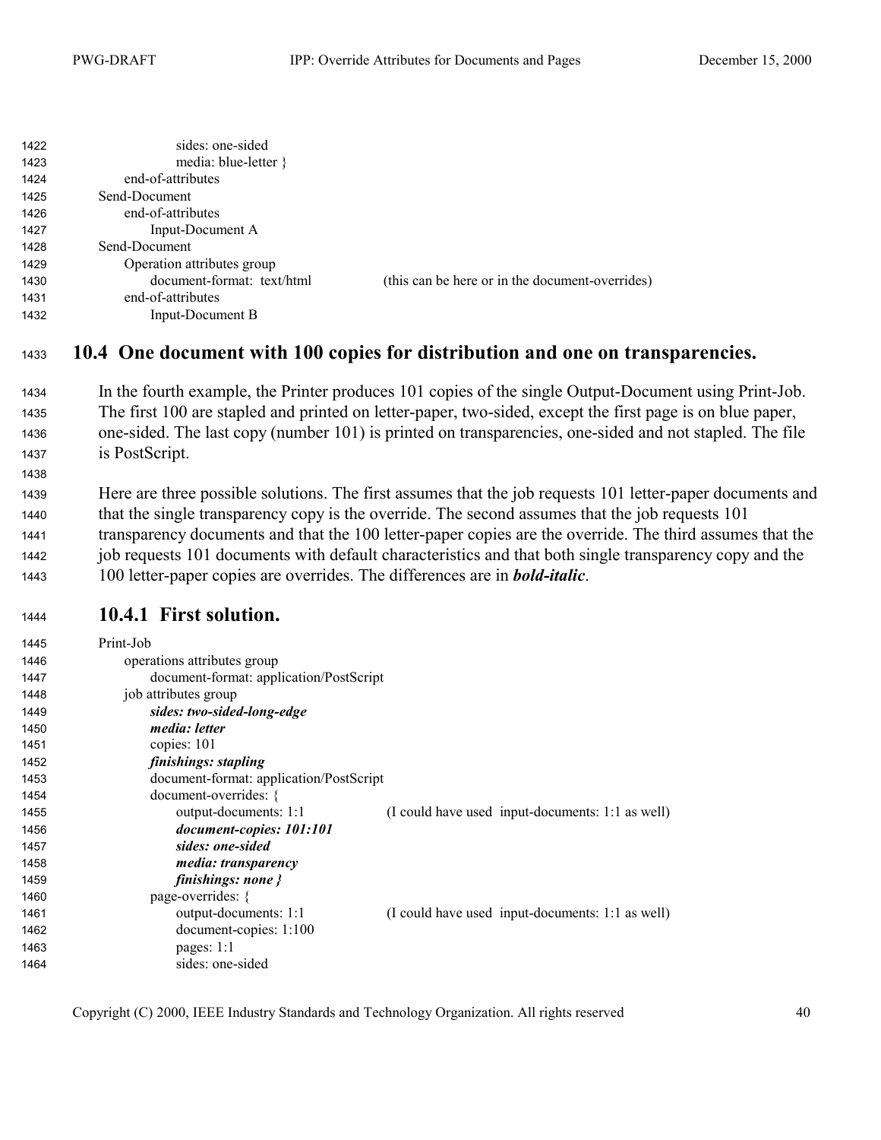<span id="page-39-0"></span>

| 1422 | sides: one-sided           |                                                 |
|------|----------------------------|-------------------------------------------------|
| 1423 | media: blue-letter $\}$    |                                                 |
| 1424 | end-of-attributes          |                                                 |
| 1425 | Send-Document              |                                                 |
| 1426 | end-of-attributes          |                                                 |
| 1427 | Input-Document A           |                                                 |
| 1428 | Send-Document              |                                                 |
| 1429 | Operation attributes group |                                                 |
| 1430 | document-format: text/html | (this can be here or in the document-overrides) |
| 1431 | end-of-attributes          |                                                 |
| 1432 | Input-Document B           |                                                 |

#### **10.4 One document with 100 copies for distribution and one on transparencies.**

- In the fourth example, the Printer produces 101 copies of the single Output-Document using Print-Job. 1435 The first 100 are stapled and printed on letter-paper, two-sided, except the first page is on blue paper, 1436 one-sided. The last copy (number 101) is printed on transparencies, one-sided and not stapled. The file 1437 is PostScript.
- Here are three possible solutions. The first assumes that the job requests 101 letter-paper documents and 1440 that the single transparency copy is the override. The second assumes that the job requests 101 1441 transparency documents and that the 100 letter-paper copies are the override. The third assumes that the 1442 job requests 101 documents with default characteristics and that both single transparency copy and the 100 letter-paper copies are overrides. The differences are in *bold-italic*.

#### **10.4.1 First solution.**

| 1445 | Print-Job                               |                                                  |
|------|-----------------------------------------|--------------------------------------------------|
| 1446 | operations attributes group             |                                                  |
| 1447 | document-format: application/PostScript |                                                  |
| 1448 | job attributes group                    |                                                  |
| 1449 | sides: two-sided-long-edge              |                                                  |
| 1450 | <i>media: letter</i>                    |                                                  |
| 1451 | copies: 101                             |                                                  |
| 1452 | finishings: stapling                    |                                                  |
| 1453 | document-format: application/PostScript |                                                  |
| 1454 | document-overrides: {                   |                                                  |
| 1455 | output-documents: 1:1                   | (I could have used input-documents: 1:1 as well) |
| 1456 | document-copies: 101:101                |                                                  |
| 1457 | sides: one-sided                        |                                                  |
| 1458 | <i>media: transparency</i>              |                                                  |
| 1459 | finishings: none $\}$                   |                                                  |
| 1460 | page-overrides: {                       |                                                  |
| 1461 | output-documents: 1:1                   | (I could have used input-documents: 1:1 as well) |
| 1462 | $document-copies: 1:100$                |                                                  |
| 1463 | pages: $1:1$                            |                                                  |
| 1464 | sides: one-sided                        |                                                  |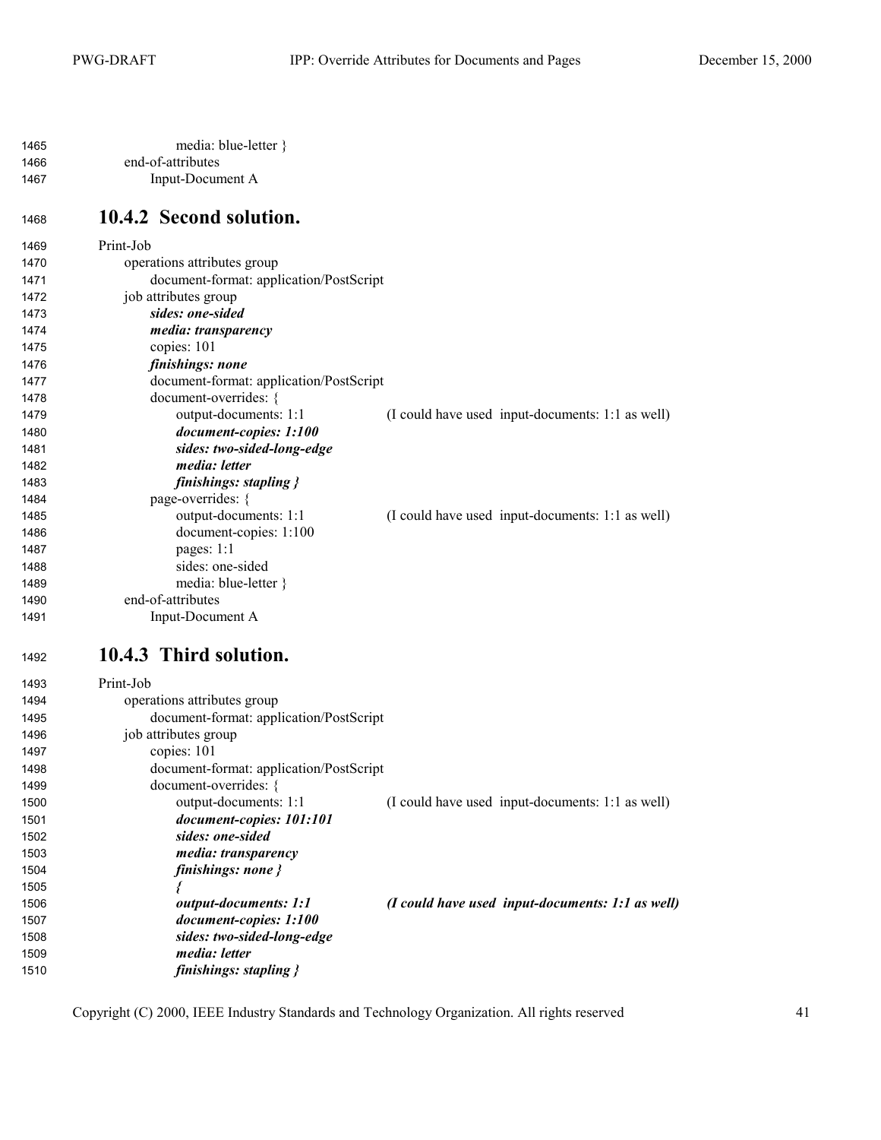<span id="page-40-0"></span>

| 1465 | media: blue-letter } |
|------|----------------------|
| 1466 | end-of-attributes    |
| 1467 | Input-Document A     |

### **10.4.2 Second solution.**

| 1469 | Print-Job                               |                                                  |
|------|-----------------------------------------|--------------------------------------------------|
| 1470 | operations attributes group             |                                                  |
| 1471 | document-format: application/PostScript |                                                  |
| 1472 | job attributes group                    |                                                  |
| 1473 | sides: one-sided                        |                                                  |
| 1474 | <i>media: transparency</i>              |                                                  |
| 1475 | copies: 101                             |                                                  |
| 1476 | finishings: none                        |                                                  |
| 1477 | document-format: application/PostScript |                                                  |
| 1478 | document-overrides: {                   |                                                  |
| 1479 | output-documents: 1:1                   | (I could have used input-documents: 1:1 as well) |
| 1480 | document-copies: 1:100                  |                                                  |
| 1481 | sides: two-sided-long-edge              |                                                  |
| 1482 | media: letter                           |                                                  |
| 1483 | finishings: stapling $\}$               |                                                  |
| 1484 | page-overrides: {                       |                                                  |
| 1485 | output-documents: 1:1                   | (I could have used input-documents: 1:1 as well) |
| 1486 | document-copies: 1:100                  |                                                  |
| 1487 | pages: $1:1$                            |                                                  |
| 1488 | sides: one-sided                        |                                                  |
| 1489 | media: blue-letter }                    |                                                  |
| 1490 | end-of-attributes                       |                                                  |
| 1491 | Input-Document A                        |                                                  |
|      |                                         |                                                  |

#### **10.4.3 Third solution.**

| 1493 | Print-Job                               |                                                                     |
|------|-----------------------------------------|---------------------------------------------------------------------|
| 1494 | operations attributes group             |                                                                     |
| 1495 | document-format: application/PostScript |                                                                     |
| 1496 | job attributes group                    |                                                                     |
| 1497 | copies: 101                             |                                                                     |
| 1498 | document-format: application/PostScript |                                                                     |
| 1499 | document-overrides: {                   |                                                                     |
| 1500 | output-documents: 1:1                   | (I could have used input-documents: 1:1 as well)                    |
| 1501 | document-copies: 101:101                |                                                                     |
| 1502 | sides: one-sided                        |                                                                     |
| 1503 | media: transparency                     |                                                                     |
| 1504 | finishings: none $\}$                   |                                                                     |
| 1505 |                                         |                                                                     |
| 1506 | <i>output-documents: 1:1</i>            | $(I \text{ could have used input-documents: } 1:1 \text{ as well})$ |
| 1507 | document-copies: 1:100                  |                                                                     |
| 1508 | sides: two-sided-long-edge              |                                                                     |
| 1509 | <i>media: letter</i>                    |                                                                     |
| 1510 | finishings: stapling $\}$               |                                                                     |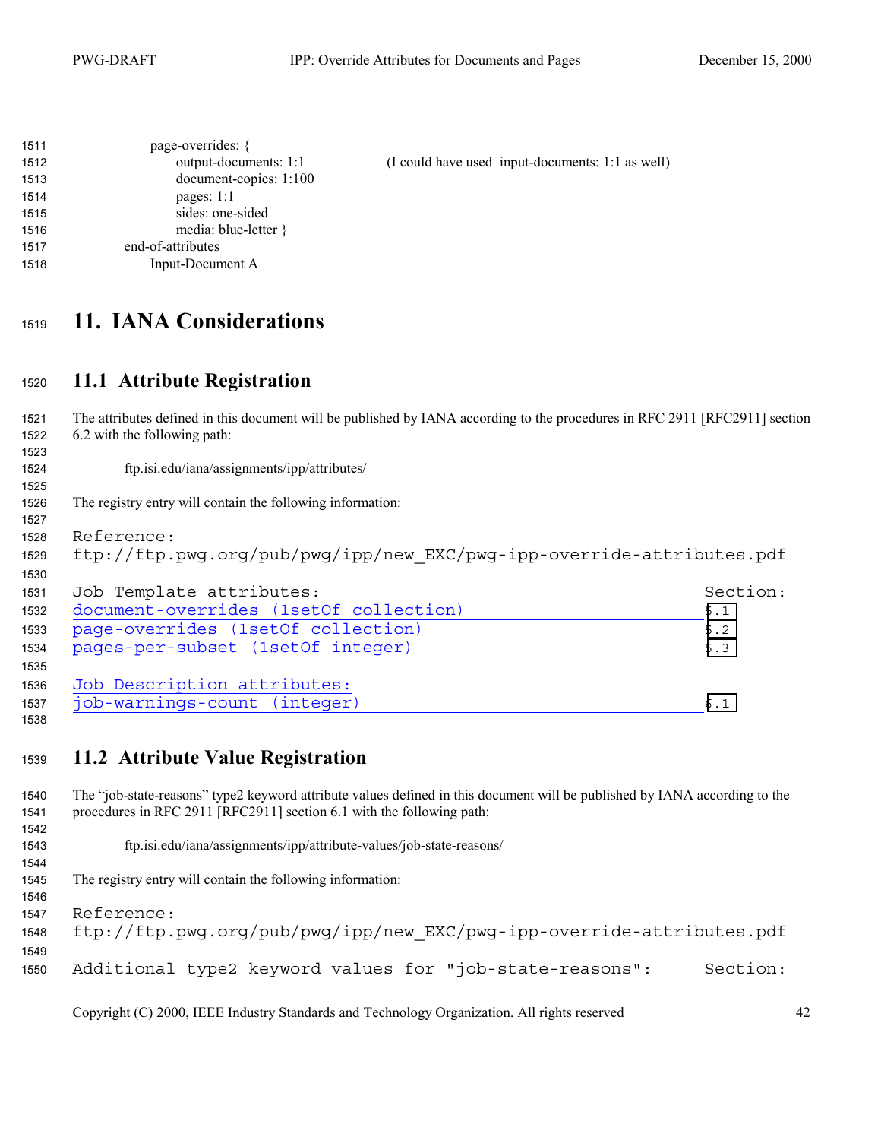<span id="page-41-0"></span>

| 1511 | page-overrides: {       |                                                  |
|------|-------------------------|--------------------------------------------------|
| 1512 | output-documents: 1:1   | (I could have used input-documents: 1:1 as well) |
| 1513 | document-copies: 1:100  |                                                  |
| 1514 | pages: $1:1$            |                                                  |
| 1515 | sides: one-sided        |                                                  |
| 1516 | media: blue-letter $\}$ |                                                  |
| 1517 | end-of-attributes       |                                                  |
| 1518 | Input-Document A        |                                                  |

## **11. IANA Considerations**

#### **11.1 Attribute Registration**

The attributes defined in this document will be published by IANA according to the procedures in RFC 2911 [RFC2911] section 6.2 with the following path: ftp.isi.edu/iana/assignments/ipp/attributes/ The registry entry will contain the following information: 1528 Reference: 1529 ftp://ftp.pwg.org/pub/pwg/ipp/new EXC/pwg-ipp-override-attributes.pdf 1531 Job Template attributes: Section: Section: document-overrides (1setOf collection) [5.1](#page-18-0) 1533 page-overrides (1setOf collection) [5.2](#page-24-0) 1534 pages-per-subset (1setOf integer) [5.3](#page-28-0) 1536 Job Description attributes: 1537 job-warnings-count (integer) [6.1](#page-29-0) 

#### **11.2 Attribute Value Registration**

The "job-state-reasons" type2 keyword attribute values defined in this document will be published by IANA according to the procedures in RFC 2911 [RFC2911] section 6.1 with the following path: 

ftp.isi.edu/iana/assignments/ipp/attribute-values/job-state-reasons/

The registry entry will contain the following information:

1547 Reference:

ftp://ftp.pwg.org/pub/pwg/ipp/new\_EXC/pwg-ipp-override-attributes.pdf Additional type2 keyword values for "job-state-reasons": Section: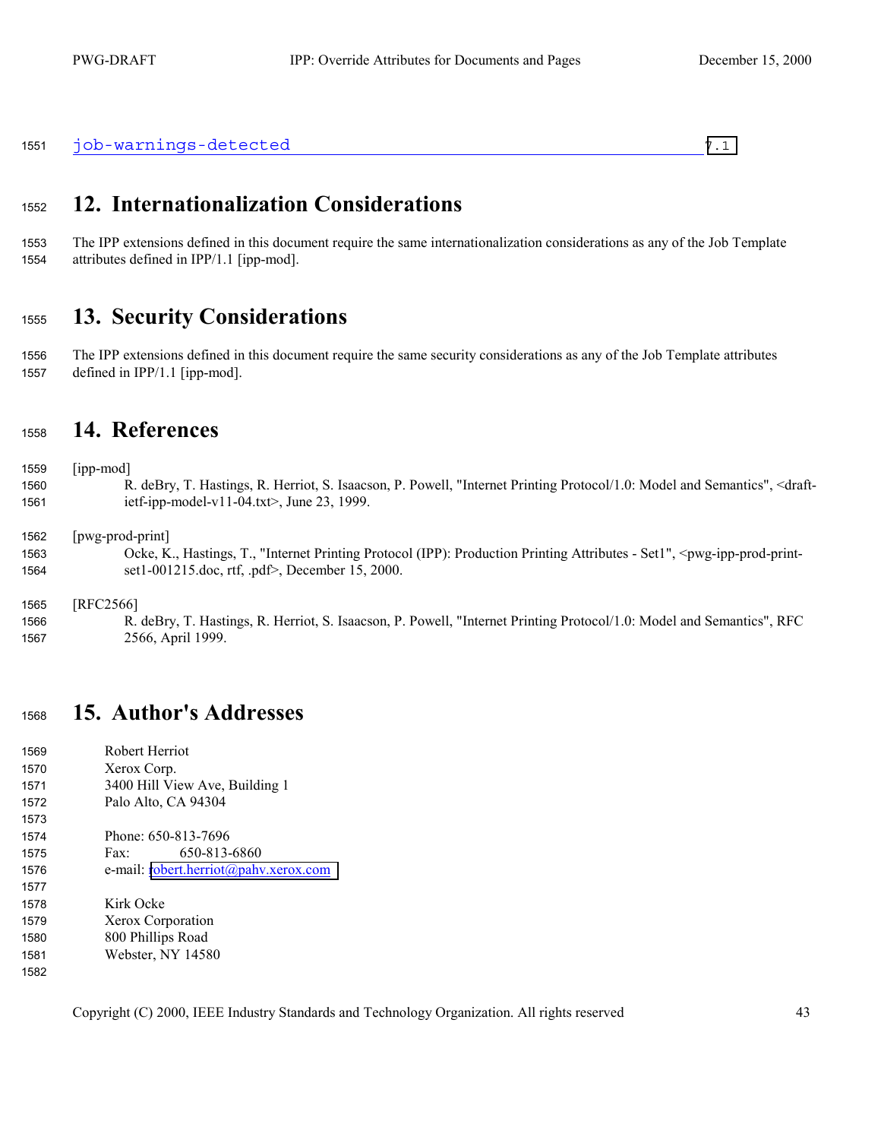<span id="page-42-0"></span>

|  | 1551 job-warnings-detected |  |  |
|--|----------------------------|--|--|
|--|----------------------------|--|--|

## **12. Internationalization Considerations**

The IPP extensions defined in this document require the same internationalization considerations as any of the Job Template attributes defined in IPP/1.1 [ipp-mod].

#### **13. Security Considerations**

The IPP extensions defined in this document require the same security considerations as any of the Job Template attributes defined in IPP/1.1 [ipp-mod].

### **14. References**

[ipp-mod]

R. deBry, T. Hastings, R. Herriot, S. Isaacson, P. Powell, "Internet Printing Protocol/1.0: Model and Semantics", <draft-ietf-ipp-model-v11-04.txt>, June 23, 1999.

[pwg-prod-print]

Ocke, K., Hastings, T., "Internet Printing Protocol (IPP): Production Printing Attributes - Set1", <pwg-ipp-prod-print-set1-001215.doc, rtf, .pdf>, December 15, 2000.

[RFC2566]

R. deBry, T. Hastings, R. Herriot, S. Isaacson, P. Powell, "Internet Printing Protocol/1.0: Model and Semantics", RFC 2566, April 1999.

#### **15. Author's Addresses**

| 1569 | Robert Herriot                        |
|------|---------------------------------------|
| 1570 | Xerox Corp.                           |
| 1571 | 3400 Hill View Ave, Building 1        |
| 1572 | Palo Alto, CA 94304                   |
| 1573 |                                       |
| 1574 | Phone: 650-813-7696                   |
| 1575 | 650-813-6860<br>Fax:                  |
| 1576 | e-mail: robert.herriot@pahv.xerox.com |
| 1577 |                                       |
| 1578 | Kirk Ocke                             |
| 1579 | Xerox Corporation                     |
| 1580 | 800 Phillips Road                     |
| 1581 | Webster, NY 14580                     |
| 1582 |                                       |
|      |                                       |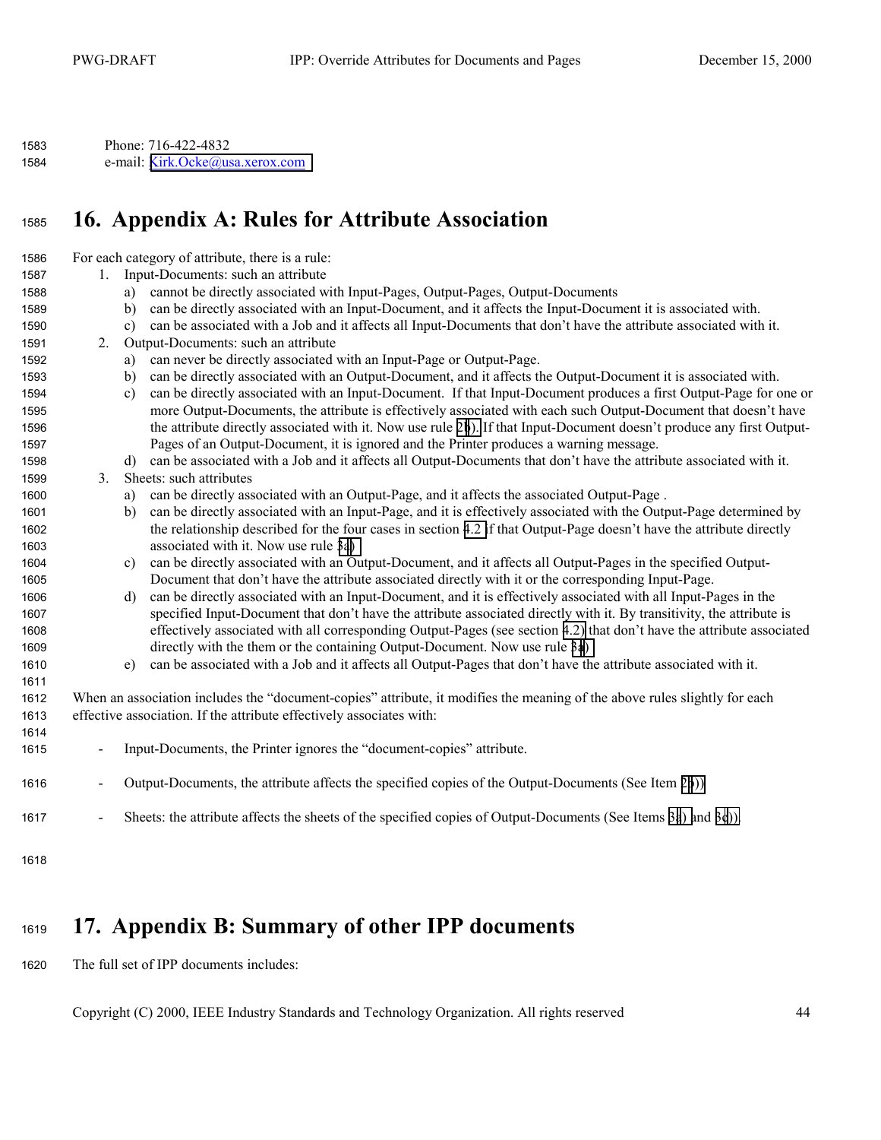<span id="page-43-0"></span>

| 1583 | Phone: 716-422-4832             |
|------|---------------------------------|
| 1584 | e-mail: Kirk.Ocke@usa.xerox.com |

### **16. Appendix A: Rules for Attribute Association**

For each category of attribute, there is a rule: 1. Input-Documents: such an attribute a) cannot be directly associated with Input-Pages, Output-Pages, Output-Documents b) can be directly associated with an Input-Document, and it affects the Input-Document it is associated with. c) can be associated with a Job and it affects all Input-Documents that don't have the attribute associated with it. 2. Output-Documents: such an attribute a) can never be directly associated with an Input-Page or Output-Page. b) can be directly associated with an Output-Document, and it affects the Output-Document it is associated with. c) can be directly associated with an Input-Document. If that Input-Document produces a first Output-Page for one or more Output-Documents, the attribute is effectively associated with each such Output-Document that doesn't have the attribute directly associated with it. Now use rule 2b). If that Input-Document doesn't produce any first Output-Pages of an Output-Document, it is ignored and the Printer produces a warning message. d) can be associated with a Job and it affects all Output-Documents that don't have the attribute associated with it. 3. Sheets: such attributes a) can be directly associated with an Output-Page, and it affects the associated Output-Page . b) can be directly associated with an Input-Page, and it is effectively associated with the Output-Page determined by the relationship described for the four cases in section [4.2 i](#page-11-0)f that Output-Page doesn't have the attribute directly associated with it. Now use rule 3a) c) can be directly associated with an Output-Document, and it affects all Output-Pages in the specified Output-Document that don't have the attribute associated directly with it or the corresponding Input-Page. d) can be directly associated with an Input-Document, and it is effectively associated with all Input-Pages in the specified Input-Document that don't have the attribute associated directly with it. By transitivity, the attribute is effectively associated with all corresponding Output-Pages (see section [4.2\)](#page-11-0) that don't have the attribute associated directly with the them or the containing Output-Document. Now use rule 3a) e) can be associated with a Job and it affects all Output-Pages that don't have the attribute associated with it. When an association includes the "document-copies" attribute, it modifies the meaning of the above rules slightly for each effective association. If the attribute effectively associates with: - Input-Documents, the Printer ignores the "document-copies" attribute. - Output-Documents, the attribute affects the specified copies of the Output-Documents (See Item 2b)) - Sheets: the attribute affects the sheets of the specified copies of Output-Documents (See Items 3a) and 3c)).

### **17. Appendix B: Summary of other IPP documents**

The full set of IPP documents includes: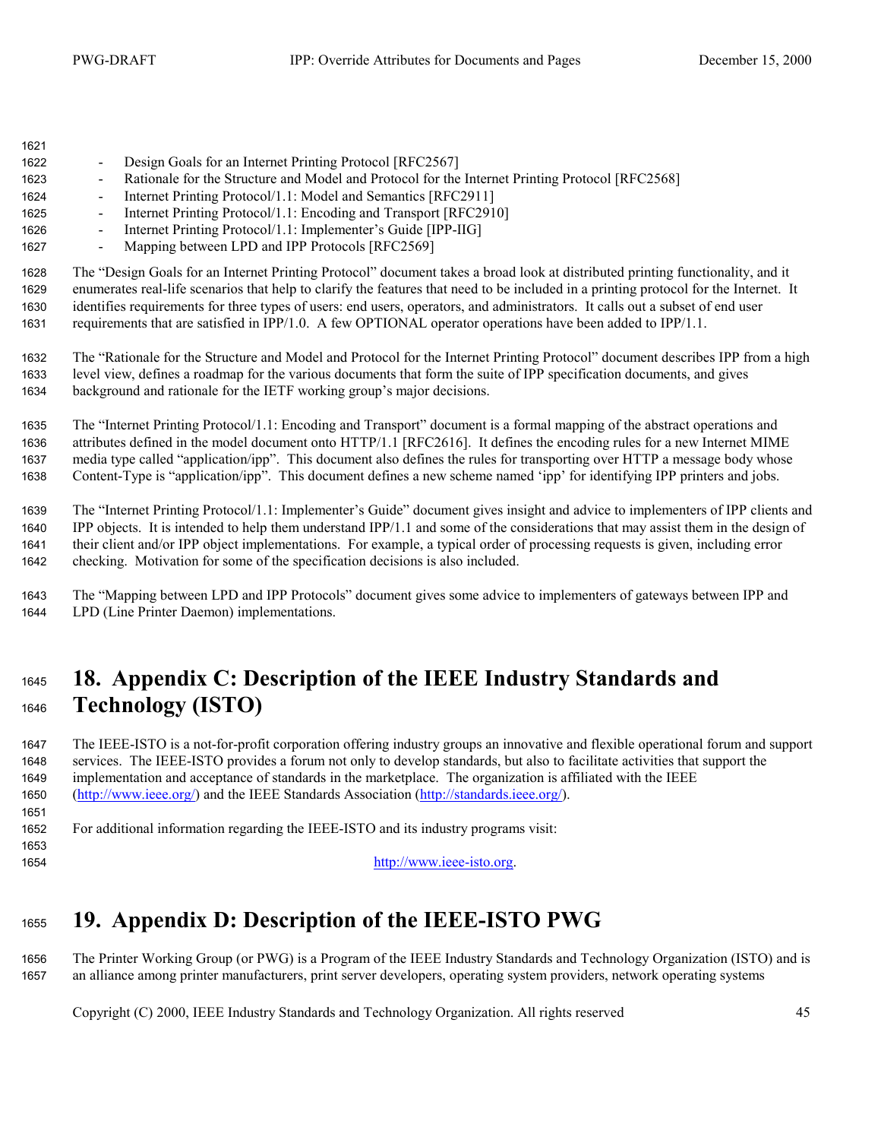<span id="page-44-0"></span>

| 1622 | Design Goals for an Internet Printing Protocol [RFC2567]<br>$\sim$                                                                |
|------|-----------------------------------------------------------------------------------------------------------------------------------|
| 1623 | Rationale for the Structure and Model and Protocol for the Internet Printing Protocol [RFC2568]<br>$\sim$                         |
| 1624 | Internet Printing Protocol/1.1: Model and Semantics [RFC2911]<br>$\sim$                                                           |
| 1625 | Internet Printing Protocol/1.1: Encoding and Transport [RFC2910]<br>$\sim$                                                        |
| 1626 | Internet Printing Protocol/1.1: Implementer's Guide [IPP-IIG]<br>$\sim$                                                           |
| 1627 | Mapping between LPD and IPP Protocols [RFC2569]<br>$\sim$                                                                         |
| 1628 | The "Design Goals for an Internet Printing Protocol" document takes a broad look at distributed printing functionality, and it    |
| 1629 | enumerates real-life scenarios that help to clarify the features that need to be included in a printing protocol for the Internet |

enumerates real-life scenarios that help to clarify the features that need to be included in a printing protocol for the Internet. It identifies requirements for three types of users: end users, operators, and administrators. It calls out a subset of end user requirements that are satisfied in IPP/1.0. A few OPTIONAL operator operations have been added to IPP/1.1.

The "Rationale for the Structure and Model and Protocol for the Internet Printing Protocol" document describes IPP from a high level view, defines a roadmap for the various documents that form the suite of IPP specification documents, and gives background and rationale for the IETF working group's major decisions.

The "Internet Printing Protocol/1.1: Encoding and Transport" document is a formal mapping of the abstract operations and attributes defined in the model document onto HTTP/1.1 [RFC2616]. It defines the encoding rules for a new Internet MIME media type called "application/ipp". This document also defines the rules for transporting over HTTP a message body whose Content-Type is "application/ipp". This document defines a new scheme named 'ipp' for identifying IPP printers and jobs.

The "Internet Printing Protocol/1.1: Implementer's Guide" document gives insight and advice to implementers of IPP clients and IPP objects. It is intended to help them understand IPP/1.1 and some of the considerations that may assist them in the design of their client and/or IPP object implementations. For example, a typical order of processing requests is given, including error checking. Motivation for some of the specification decisions is also included.

The "Mapping between LPD and IPP Protocols" document gives some advice to implementers of gateways between IPP and LPD (Line Printer Daemon) implementations.

## **18. Appendix C: Description of the IEEE Industry Standards and Technology (ISTO)**

The IEEE-ISTO is a not-for-profit corporation offering industry groups an innovative and flexible operational forum and support services. The IEEE-ISTO provides a forum not only to develop standards, but also to facilitate activities that support the implementation and acceptance of standards in the marketplace. The organization is affiliated with the IEEE (http://www.ieee.org/) and the IEEE Standards Association (http://standards.ieee.org/).

For additional information regarding the IEEE-ISTO and its industry programs visit:

http://www.ieee-isto.org.

## **19. Appendix D: Description of the IEEE-ISTO PWG**

The Printer Working Group (or PWG) is a Program of the IEEE Industry Standards and Technology Organization (ISTO) and is an alliance among printer manufacturers, print server developers, operating system providers, network operating systems